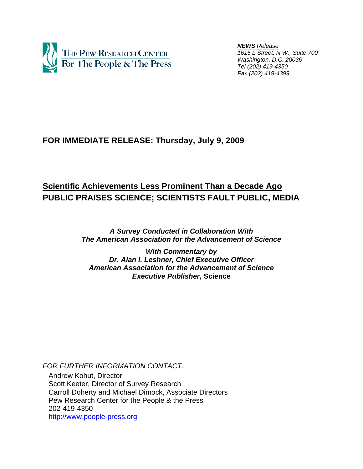

 *NEWS Release 1615 L Street, N.W., Suite 700 Washington, D.C. 20036 Tel (202) 419-4350 Fax (202) 419-4399*

## **FOR IMMEDIATE RELEASE: Thursday, July 9, 2009**

# **Scientific Achievements Less Prominent Than a Decade Ago PUBLIC PRAISES SCIENCE; SCIENTISTS FAULT PUBLIC, MEDIA**

*A Survey Conducted in Collaboration With The American Association for the Advancement of Science* 

*With Commentary by Dr. Alan I. Leshner, Chief Executive Officer American Association for the Advancement of Science Executive Publisher,* **Science**

*FOR FURTHER INFORMATION CONTACT:* 

 Andrew Kohut, Director Scott Keeter, Director of Survey Research Carroll Doherty and Michael Dimock, Associate Directors Pew Research Center for the People & the Press 202-419-4350 http://www.people-press.org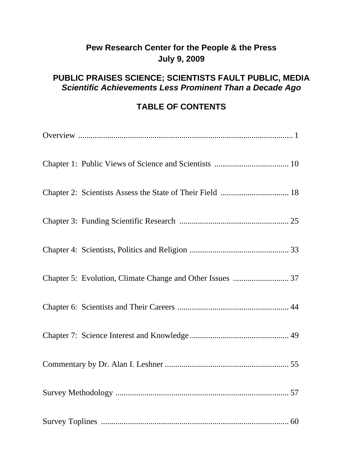# **Pew Research Center for the People & the Press July 9, 2009**

# **PUBLIC PRAISES SCIENCE; SCIENTISTS FAULT PUBLIC, MEDIA**  *Scientific Achievements Less Prominent Than a Decade Ago*

# **TABLE OF CONTENTS**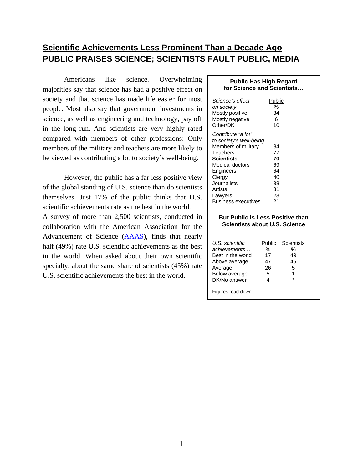## **Scientific Achievements Less Prominent Than a Decade Ago PUBLIC PRAISES SCIENCE; SCIENTISTS FAULT PUBLIC, MEDIA**

Americans like science. Overwhelming majorities say that science has had a positive effect on society and that science has made life easier for most people. Most also say that government investments in science, as well as engineering and technology, pay off in the long run. And scientists are very highly rated compared with members of other professions: Only members of the military and teachers are more likely to be viewed as contributing a lot to society's well-being.

However, the public has a far less positive view of the global standing of U.S. science than do scientists themselves. Just 17% of the public thinks that U.S. scientific achievements rate as the best in the world. A survey of more than 2,500 scientists, conducted in collaboration with the American Association for the Advancement of Science ([AAAS](http://www.aaas.org/)), finds that nearly half (49%) rate U.S. scientific achievements as the best in the world. When asked about their own scientific specialty, about the same share of scientists (45%) rate U.S. scientific achievements the best in the world.

#### **Public Has High Regard for Science and Scientists…**

| Science's effect<br>on society<br>Mostly positive<br>Mostly negative<br>Other/DK | Public<br>%<br>84<br>6<br>10 |
|----------------------------------------------------------------------------------|------------------------------|
| Contribute "a lot"                                                               |                              |
| to society's well-being                                                          |                              |
| Members of military                                                              | 84                           |
| Teachers                                                                         | 77                           |
| <b>Scientists</b>                                                                | 70                           |
| Medical doctors                                                                  | 69                           |
| Engineers                                                                        | 64                           |
| Clergy                                                                           | 40                           |
| Journalists                                                                      | 38                           |
| Artists                                                                          | 31                           |
| Lawyers                                                                          | 23                           |
| Business executives                                                              | 21                           |

#### **But Public Is Less Positive than Scientists about U.S. Science**

| U.S. scientific    | Public | Scientists |
|--------------------|--------|------------|
| achievements       | %      | %          |
| Best in the world  | 17     | 49         |
| Above average      | 47     | 45         |
| Average            | 26     | 5          |
| Below average      | 5      | 1          |
| DK/No answer       | 4      | $\star$    |
| Figures read down. |        |            |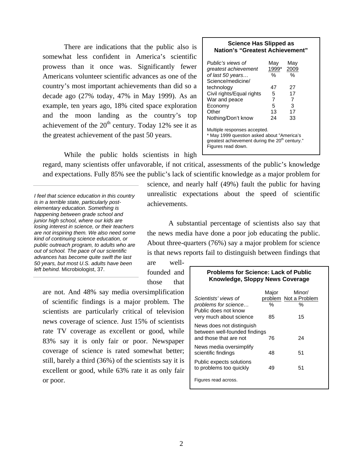There are indications that the public also is somewhat less confident in America's scientific prowess than it once was. Significantly fewer Americans volunteer scientific advances as one of the country's most important achievements than did so a decade ago (27% today, 47% in May 1999). As an example, ten years ago, 18% cited space exploration and the moon landing as the country's top achievement of the  $20<sup>th</sup>$  century. Today 12% see it as the greatest achievement of the past 50 years.

#### **Science Has Slipped as Nation's "Greatest Achievement"**

| Public's views of                                                                                                                                              | Mav   | May  |  |  |
|----------------------------------------------------------------------------------------------------------------------------------------------------------------|-------|------|--|--|
| greatest achievement                                                                                                                                           | 1999* | 2009 |  |  |
| of last 50 years<br>Science/medicine/                                                                                                                          | $\%$  | %    |  |  |
|                                                                                                                                                                |       |      |  |  |
| technology                                                                                                                                                     | 47    | 27   |  |  |
| Civil rights/Equal rights                                                                                                                                      | 5     | 17   |  |  |
| War and peace                                                                                                                                                  | 7     | 7    |  |  |
| Economy                                                                                                                                                        | 5     | 3    |  |  |
| Other                                                                                                                                                          | 13    | 17   |  |  |
| Nothing/Don't know                                                                                                                                             | 24    | 33   |  |  |
| Multiple responses accepted.<br>* May 1999 question asked about "America's<br>greatest achievement during the 20 <sup>th</sup> century."<br>Figures read down. |       |      |  |  |

While the public holds scientists in high

regard, many scientists offer unfavorable, if not critical, assessments of the public's knowledge and expectations. Fully 85% see the public's lack of scientific knowledge as a major problem for

*I feel that science education in this country is in a terrible state, particularly postelementary education. Something is happening between grade school and junior high school, where our kids are losing interest in science, or their teachers are not inspiring them. We also need some kind of continuing science education, or public outreach program, to adults who are out of school. The pace of our scientific advances has become quite swift the last 50 years, but most U.S. adults have been left behind.* Microbiologist, 37.

science, and nearly half (49%) fault the public for having unrealistic expectations about the speed of scientific achievements.

A substantial percentage of scientists also say that the news media have done a poor job educating the public. About three-quarters (76%) say a major problem for science is that news reports fail to distinguish between findings that

are wellfounded and those that

are not. And 48% say media oversimplification of scientific findings is a major problem. The scientists are particularly critical of television news coverage of science. Just 15% of scientists rate TV coverage as excellent or good, while 83% say it is only fair or poor. Newspaper coverage of science is rated somewhat better; still, barely a third (36%) of the scientists say it is excellent or good, while 63% rate it as only fair or poor.

#### **Problems for Science: Lack of Public Knowledge, Sloppy News Coverage**

| Scientists' views of<br>problems for science<br>Public does not know<br>very much about science | Major<br>$\%$<br>85 | Minor/<br>problem Not a Problem<br>℅<br>15 |
|-------------------------------------------------------------------------------------------------|---------------------|--------------------------------------------|
| News does not distinguish<br>between well-founded findings<br>and those that are not            | 76                  | 24                                         |
| News media oversimplify<br>scientific findings                                                  | 48                  | 51                                         |
| Public expects solutions<br>to problems too quickly                                             | 49                  | 51                                         |
| Figures read across.                                                                            |                     |                                            |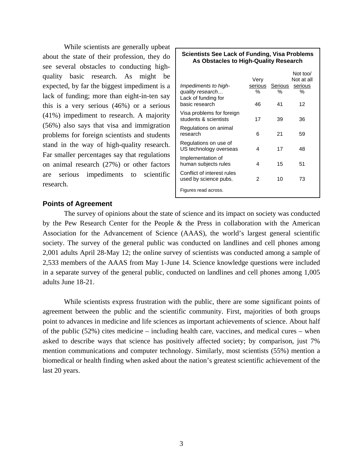While scientists are generally upbeat about the state of their profession, they do see several obstacles to conducting highquality basic research. As might be expected, by far the biggest impediment is a lack of funding; more than eight-in-ten say this is a very serious (46%) or a serious (41%) impediment to research. A majority (56%) also says that visa and immigration problems for foreign scientists and students stand in the way of high-quality research. Far smaller percentages say that regulations on animal research (27%) or other factors are serious impediments to scientific research.

| <b>Scientists See Lack of Funding, Visa Problems</b><br>As Obstacles to High-Quality Research |                            |                    |                                              |
|-----------------------------------------------------------------------------------------------|----------------------------|--------------------|----------------------------------------------|
| Impediments to high-<br>quality research<br>Lack of funding for<br>basic research             | Very<br>serious<br>%<br>46 | Serious<br>%<br>41 | Not too/<br>Not at all<br>serious<br>℅<br>12 |
| Visa problems for foreign<br>students & scientists                                            | 17                         | 39                 | 36                                           |
| Regulations on animal<br>research                                                             | 6                          | 21                 | 59                                           |
| Regulations on use of<br>US technology overseas                                               | 4                          | 17                 | 48                                           |
| Implementation of<br>human subjects rules                                                     | 4                          | 15                 | 51                                           |
| Conflict of interest rules<br>used by science pubs.                                           | 2                          | 10                 | 73                                           |
| Figures read across.                                                                          |                            |                    |                                              |

#### **Points of Agreement**

The survey of opinions about the state of science and its impact on society was conducted by the Pew Research Center for the People & the Press in collaboration with the American Association for the Advancement of Science (AAAS), the world's largest general scientific society. The survey of the general public was conducted on landlines and cell phones among 2,001 adults April 28-May 12; the online survey of scientists was conducted among a sample of 2,533 members of the AAAS from May 1-June 14. Science knowledge questions were included in a separate survey of the general public, conducted on landlines and cell phones among 1,005 adults June 18-21.

While scientists express frustration with the public, there are some significant points of agreement between the public and the scientific community. First, majorities of both groups point to advances in medicine and life sciences as important achievements of science. About half of the public (52%) cites medicine – including health care, vaccines, and medical cures – when asked to describe ways that science has positively affected society; by comparison, just 7% mention communications and computer technology. Similarly, most scientists (55%) mention a biomedical or health finding when asked about the nation's greatest scientific achievement of the last 20 years.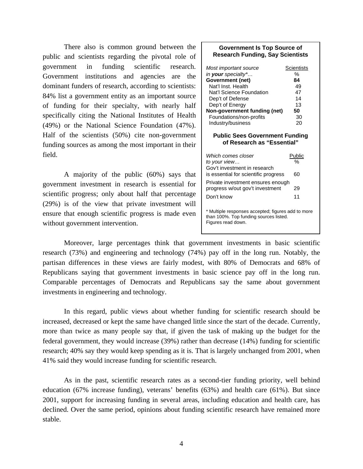There also is common ground between the public and scientists regarding the pivotal role of government in funding scientific research. Government institutions and agencies are the dominant funders of research, according to scientists: 84% list a government entity as an important source of funding for their specialty, with nearly half specifically citing the National Institutes of Health (49%) or the National Science Foundation (47%). Half of the scientists (50%) cite non-government funding sources as among the most important in their field.

 A majority of the public (60%) says that government investment in research is essential for scientific progress; only about half that percentage (29%) is of the view that private investment will ensure that enough scientific progress is made even without government intervention.

#### **Government Is Top Source of Research Funding, Say Scientists**

| Most important source<br>in your specialty*<br>Government (net)<br>Nat'l Inst Health<br>Nat'l Science Foundation<br>Dep't of Defense<br>Dep't of Energy<br>Non-government funding (net)<br>Foundations/non-profits<br>Industry/business | Scientists<br>%<br>84<br>49<br>47<br>14<br>13<br>50<br>30<br>20 |
|-----------------------------------------------------------------------------------------------------------------------------------------------------------------------------------------------------------------------------------------|-----------------------------------------------------------------|
| <b>Public Sees Government Funding</b><br>of Research as "Essential"                                                                                                                                                                     |                                                                 |
| Which comes closer<br>to your view<br>Gov't investment in research<br>is essential for scientific progress                                                                                                                              | Public<br>%<br>60                                               |
| Private investment ensures enough<br>progress w/out gov't investment<br>Don't know                                                                                                                                                      | 29<br>11                                                        |
| * Multiple responses accepted; figures add to more<br>than 100%. Top funding sources listed.<br>Figures read down.                                                                                                                      |                                                                 |

Moreover, large percentages think that government investments in basic scientific research (73%) and engineering and technology (74%) pay off in the long run. Notably, the partisan differences in these views are fairly modest, with 80% of Democrats and 68% of Republicans saying that government investments in basic science pay off in the long run. Comparable percentages of Democrats and Republicans say the same about government investments in engineering and technology.

In this regard, public views about whether funding for scientific research should be increased, decreased or kept the same have changed little since the start of the decade. Currently, more than twice as many people say that, if given the task of making up the budget for the federal government, they would increase (39%) rather than decrease (14%) funding for scientific research; 40% say they would keep spending as it is. That is largely unchanged from 2001, when 41% said they would increase funding for scientific research.

As in the past, scientific research rates as a second-tier funding priority, well behind education (67% increase funding), veterans' benefits (63%) and health care (61%). But since 2001, support for increasing funding in several areas, including education and health care, has declined. Over the same period, opinions about funding scientific research have remained more stable.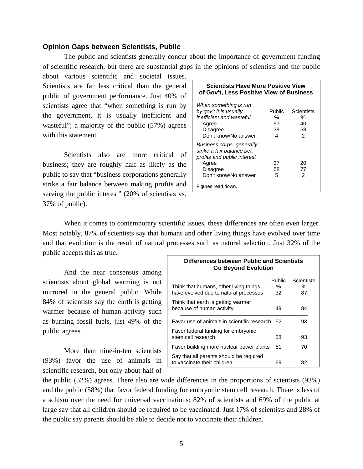#### **Opinion Gaps between Scientists, Public**

The public and scientists generally concur about the importance of government funding of scientific research, but there are substantial gaps in the opinions of scientists and the public

about various scientific and societal issues. Scientists are far less critical than the general public of government performance. Just 40% of scientists agree that "when something is run by the government, it is usually inefficient and wasteful"; a majority of the public (57%) agrees with this statement.

Scientists also are more critical of business; they are roughly half as likely as the public to say that "business corporations generally strike a fair balance between making profits and serving the public interest" (20% of scientists vs. 37% of public).

| Public | Scientists |
|--------|------------|
| %      | %          |
| 57     | 40         |
| 39     | 58         |
| 4      | 2          |
| 37     | 20         |
| 58     | 77         |
| 5      | 2          |
|        |            |

When it comes to contemporary scientific issues, these differences are often even larger. Most notably, 87% of scientists say that humans and other living things have evolved over time and that evolution is the result of natural processes such as natural selection. Just 32% of the public accepts this as true.

And the near consensus among scientists about global warming is not mirrored in the general public. While 84% of scientists say the earth is getting warmer because of human activity such as burning fossil fuels, just 49% of the public agrees.

 More than nine-in-ten scientists (93%) favor the use of animals in scientific research, but only about half of

| Differences between Public and Scientists<br><b>Go Beyond Evolution</b>         |                   |                          |  |
|---------------------------------------------------------------------------------|-------------------|--------------------------|--|
| Think that humans, other living things<br>have evolved due to natural processes | Public<br>℅<br>32 | Scientists<br>$\%$<br>87 |  |
| Think that earth is getting warmer<br>because of human activity                 | 49                | 84                       |  |
| Favor use of animals in scientific research 52                                  |                   | 93                       |  |
| Favor federal funding for embryonic<br>stem cell research                       | 58                | 93                       |  |
| Favor building more nuclear power plants                                        | 51                | 70                       |  |
| Say that all parents should be required<br>to vaccinate their children          | 69                | 82                       |  |

the public (52%) agrees. There also are wide differences in the proportions of scientists (93%) and the public (58%) that favor federal funding for embryonic stem cell research. There is less of a schism over the need for universal vaccinations: 82% of scientists and 69% of the public at large say that all children should be required to be vaccinated. Just 17% of scientists and 28% of the public say parents should be able to decide not to vaccinate their children.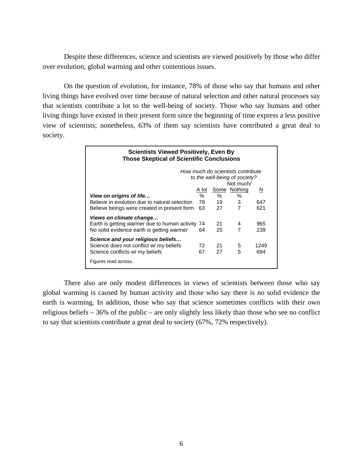Despite these differences, science and scientists are viewed positively by those who differ over evolution, global warming and other contentious issues.

On the question of evolution, for instance, 78% of those who say that humans and other living things have evolved over time because of natural selection and other natural processes say that scientists contribute a lot to the well-being of society. Those who say humans and other living things have existed in their present form since the beginning of time express a less positive view of scientists; nonetheless, 63% of them say scientists have contributed a great deal to society.

| <b>Scientists Viewed Positively, Even By</b><br><b>Those Skeptical of Scientific Conclusions</b> |              |    |              |      |
|--------------------------------------------------------------------------------------------------|--------------|----|--------------|------|
| How much do scientists contribute<br>to the well-being of society?                               |              |    |              |      |
|                                                                                                  |              |    | Not much/    |      |
|                                                                                                  | <u>A lot</u> |    | Some Nothing | N    |
| View on origins of life                                                                          | $\%$         | %  | $\%$         |      |
| Believe in evolution due to natural selection                                                    | 78 -         | 19 | 3            | 647  |
| Believe beings were created in present form                                                      | 63           | 27 | 7            | 621  |
| Views on climate change                                                                          |              |    |              |      |
| Earth is getting warmer due to human activity 74                                                 |              | 21 | 4            | 965  |
| No solid evidence earth is getting warmer                                                        | 64           | 25 | 7            | 239  |
| Science and your religious beliefs                                                               |              |    |              |      |
| Science does not conflict w/ my beliefs                                                          | 72.          | 21 | 5            | 1249 |
| Science conflicts w/ my beliefs                                                                  | 67           | 27 | 5            | 694  |
| Figures read across.                                                                             |              |    |              |      |

There also are only modest differences in views of scientists between those who say global warming is caused by human activity and those who say there is no solid evidence the earth is warming. In addition, those who say that science sometimes conflicts with their own religious beliefs – 36% of the public – are only slightly less likely than those who see no conflict to say that scientists contribute a great deal to society (67%, 72% respectively).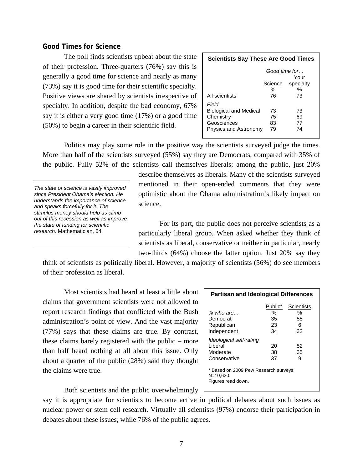### **Good Times for Science**

The poll finds scientists upbeat about the state of their profession. Three-quarters (76%) say this is generally a good time for science and nearly as many (73%) say it is good time for their scientific specialty. Positive views are shared by scientists irrespective of specialty. In addition, despite the bad economy, 67% say it is either a very good time (17%) or a good time (50%) to begin a career in their scientific field.

| <b>Scientists Say These Are Good Times</b>                                                  |                      |                      |  |
|---------------------------------------------------------------------------------------------|----------------------|----------------------|--|
| Good time for<br>Your                                                                       |                      |                      |  |
|                                                                                             | Science<br>%         | specialty<br>%       |  |
| All scientists                                                                              | 76                   | 73                   |  |
| Field<br><b>Biological and Medical</b><br>Chemistry<br>Geosciences<br>Physics and Astronomy | 73<br>75<br>83<br>79 | 73<br>69<br>77<br>74 |  |

Politics may play some role in the positive way the scientists surveyed judge the times. More than half of the scientists surveyed (55%) say they are Democrats, compared with 35% of the public. Fully 52% of the scientists call themselves liberals; among the public, just 20%

*The state of science is vastly improved since President Obama's election. He understands the importance of science and speaks forcefully for it. The stimulus money should help us climb out of this recession as well as improve the state of funding for scientific research.* Mathematician, 64

describe themselves as liberals. Many of the scientists surveyed mentioned in their open-ended comments that they were optimistic about the Obama administration's likely impact on science.

For its part, the public does not perceive scientists as a particularly liberal group. When asked whether they think of scientists as liberal, conservative or neither in particular, nearly two-thirds (64%) choose the latter option. Just 20% say they

think of scientists as politically liberal. However, a majority of scientists (56%) do see members of their profession as liberal.

Most scientists had heard at least a little about claims that government scientists were not allowed to report research findings that conflicted with the Bush administration's point of view. And the vast majority (77%) says that these claims are true. By contrast, these claims barely registered with the public – more than half heard nothing at all about this issue. Only about a quarter of the public (28%) said they thought the claims were true.

| <b>Partisan and Ideological Differences</b>                              |         |            |  |  |
|--------------------------------------------------------------------------|---------|------------|--|--|
|                                                                          | Public* | Scientists |  |  |
| $%$ who are $\ldots$                                                     | %       | $\%$       |  |  |
| Democrat                                                                 | 35      | 55         |  |  |
| Republican                                                               | 23      | 6          |  |  |
| Independent                                                              | 34      | 32         |  |  |
| Ideological self-rating                                                  |         |            |  |  |
| Liberal                                                                  | 20      | 52         |  |  |
| Moderate                                                                 | 38      | 35         |  |  |
| Conservative                                                             | 37      | 9          |  |  |
| * Based on 2009 Pew Research surveys;<br>N=10,630.<br>Figures read down. |         |            |  |  |

Both scientists and the public overwhelmingly

say it is appropriate for scientists to become active in political debates about such issues as nuclear power or stem cell research. Virtually all scientists (97%) endorse their participation in debates about these issues, while 76% of the public agrees.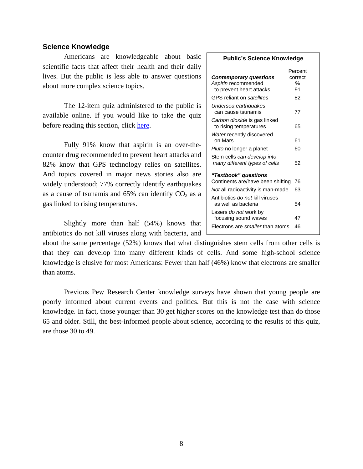#### **Science Knowledge**

Americans are knowledgeable about basic scientific facts that affect their health and their daily lives. But the public is less able to answer questions about more complex science topics.

The 12-item quiz administered to the public is available online. If you would like to take the quiz before reading this section, click [here.](http://pewresearch.org/sciencequiz/)

Fully 91% know that aspirin is an over-thecounter drug recommended to prevent heart attacks and 82% know that GPS technology relies on satellites. And topics covered in major news stories also are widely understood; 77% correctly identify earthquakes as a cause of tsunamis and  $65\%$  can identify  $CO<sub>2</sub>$  as a gas linked to rising temperatures.

Slightly more than half (54%) knows that antibiotics do not kill viruses along with bacteria, and **Public's Science Knowledge**

|                                         | Percent |
|-----------------------------------------|---------|
| <b>Contemporary questions</b>           | correct |
| Aspirin recommended                     | %       |
| to prevent heart attacks                | 91      |
| GPS reliant on satellites               | 82      |
| Undersea earthquakes                    |         |
| can cause tsunamis                      | 77      |
| Carbon dioxide is gas linked            |         |
| to rising temperatures                  | 65      |
| Water recently discovered               |         |
| on Mars                                 | 61      |
| Pluto no longer a planet                | 60      |
| Stem cells can develop into             |         |
| many different types of cells           | 52      |
| "Textbook" questions                    |         |
| Continents are/have been shifting       | 76      |
| Not all radioactivity is man-made       | 63      |
| Antibiotics do not kill viruses         |         |
| as well as bacteria                     | 54      |
| Lasers <i>do not</i> work by            |         |
| focusing sound waves                    | 47      |
| Electrons are <i>smaller</i> than atoms | 46      |

about the same percentage (52%) knows that what distinguishes stem cells from other cells is that they can develop into many different kinds of cells. And some high-school science knowledge is elusive for most Americans: Fewer than half (46%) know that electrons are smaller than atoms.

Previous Pew Research Center knowledge surveys have shown that young people are poorly informed about current events and politics. But this is not the case with science knowledge. In fact, those younger than 30 get higher scores on the knowledge test than do those 65 and older. Still, the best-informed people about science, according to the results of this quiz, are those 30 to 49.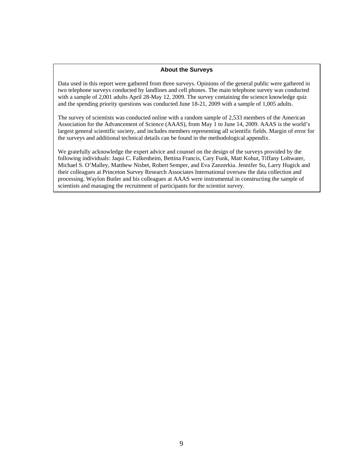#### **About the Surveys**

Data used in this report were gathered from three surveys. Opinions of the general public were gathered in two telephone surveys conducted by landlines and cell phones. The main telephone survey was conducted with a sample of 2,001 adults April 28-May 12, 2009. The survey containing the science knowledge quiz and the spending priority questions was conducted June 18-21, 2009 with a sample of 1,005 adults.

The survey of scientists was conducted online with a random sample of 2,533 members of the American Association for the Advancement of Science (AAAS), from May 1 to June 14, 2009. AAAS is the world's largest general scientific society, and includes members representing all scientific fields. Margin of error for the surveys and additional technical details can be found in the methodological appendix.

We gratefully acknowledge the expert advice and counsel on the design of the surveys provided by the following individuals: Jaqui C. Falkenheim, Bettina Francis, Cary Funk, Matt Kohut, Tiffany Lohwater, Michael S. O'Malley, Matthew Nisbet, Robert Semper, and Eva Zanzerkia. Jennifer Su, Larry Hugick and their colleagues at Princeton Survey Research Associates International oversaw the data collection and processing. Waylon Butler and his colleagues at AAAS were instrumental in constructing the sample of scientists and managing the recruitment of participants for the scientist survey.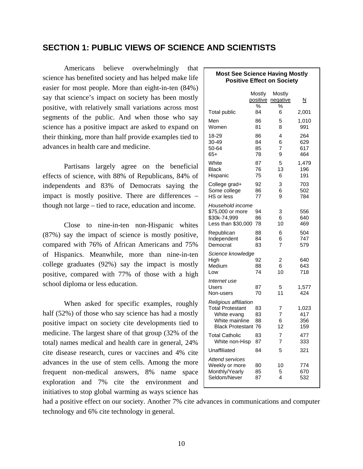### **SECTION 1: PUBLIC VIEWS OF SCIENCE AND SCIENTISTS**

Americans believe overwhelmingly that  $\Gamma$ science has benefited society and has helped make life easier for most people. More than eight-in-ten (84%) say that science's impact on society has been mostly positive, with relatively small variations across most segments of the public. And when those who say science has a positive impact are asked to expand on their thinking, more than half provide examples tied to advances in health care and medicine.

 Partisans largely agree on the beneficial effects of science, with 88% of Republicans, 84% of independents and 83% of Democrats saying the impact is mostly positive. There are differences – though not large – tied to race, education and income.

 Close to nine-in-ten non-Hispanic whites (87%) say the impact of science is mostly positive, compared with 76% of African Americans and 75% of Hispanics. Meanwhile, more than nine-in-ten college graduates (92%) say the impact is mostly positive, compared with 77% of those with a high school diploma or less education.

 When asked for specific examples, roughly half (52%) of those who say science has had a mostly positive impact on society cite developments tied to medicine. The largest share of that group (32% of the total) names medical and health care in general, 24% cite disease research, cures or vaccines and 4% cite advances in the use of stem cells. Among the more frequent non-medical answers, 8% name space exploration and 7% cite the environment and initiatives to stop global warming as ways science has

| <b>Most See Science Having Mostly</b><br><b>Positive Effect on Society</b>                                      |                         |                         |                            |  |
|-----------------------------------------------------------------------------------------------------------------|-------------------------|-------------------------|----------------------------|--|
|                                                                                                                 | Mostly<br>positive<br>℅ | Mostly<br>negative<br>% | <u>N</u>                   |  |
| <b>Total public</b>                                                                                             | 84                      | 6                       | 2,001                      |  |
| Men<br>Women                                                                                                    | 86<br>81                | 5<br>8                  | 1,010<br>991               |  |
| 18-29<br>30-49<br>50-64<br>$65+$                                                                                | 86<br>84<br>85<br>78    | 4<br>6<br>7<br>9        | 264<br>629<br>617<br>464   |  |
| White<br>Black<br>Hispanic                                                                                      | 87<br>76<br>75          | 5<br>13<br>6            | 1,479<br>196<br>191        |  |
| College grad+<br>Some college<br>HS or less                                                                     | 92<br>86<br>77          | 3<br>6<br>9             | 703<br>502<br>784          |  |
| Household income<br>\$75,000 or more<br>\$30k-74,999<br>Less than \$30,000                                      | 94<br>86<br>78          | 3<br>6<br>10            | 556<br>640<br>469          |  |
| Republican<br>Independent<br>Democrat                                                                           | 88<br>84<br>83          | 6<br>6<br>7             | 504<br>747<br>579          |  |
| Science knowledge<br>High<br>Medium<br>Low                                                                      | 92<br>88<br>74          | 2<br>6<br>10            | 640<br>643<br>718          |  |
| Internet use<br>Users<br>Non-users                                                                              | 87<br>70                | 5<br>11                 | 1,577<br>424               |  |
| Religious affiliation<br><b>Total Protestant</b><br>White evang<br>White mainline<br><b>Black Protestant 76</b> | 83<br>83<br>88          | 7<br>7<br>6<br>12       | 1,023<br>417<br>356<br>159 |  |
| <b>Total Catholic</b><br>White non-Hisp                                                                         | 83<br>87                | 7<br>7                  | 477<br>333                 |  |
| Unaffiliated                                                                                                    | 84                      | 5                       | 321                        |  |
| <b>Attend services</b><br>Weekly or more<br>Monthly/Yearly<br>Seldom/Never                                      | 80<br>85<br>87          | 10<br>5<br>4            | 774<br>670<br>532          |  |

had a positive effect on our society. Another 7% cite advances in communications and computer technology and 6% cite technology in general.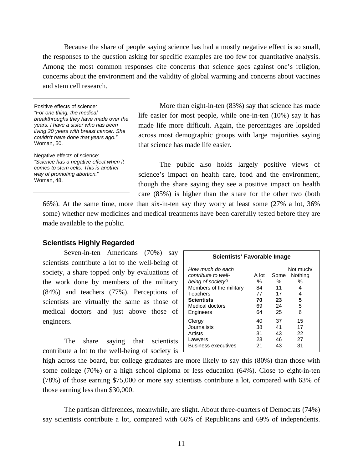Because the share of people saying science has had a mostly negative effect is so small, the responses to the question asking for specific examples are too few for quantitative analysis. Among the most common responses cite concerns that science goes against one's religion, concerns about the environment and the validity of global warming and concerns about vaccines and stem cell research.

Positive effects of science*: "For one thing, the medical breakthroughs they have made over the years. I have a sister who has been living 20 years with breast cancer. She couldn't have done that years ago."* Woman, 50.

Negative effects of science: *"Science has a negative effect when it comes to stem cells. This is another way of promoting abortion.*" Woman, 48.

More than eight-in-ten (83%) say that science has made life easier for most people, while one-in-ten (10%) say it has made life more difficult. Again, the percentages are lopsided across most demographic groups with large majorities saying that science has made life easier.

The public also holds largely positive views of science's impact on health care, food and the environment, though the share saying they see a positive impact on health care (85%) is higher than the share for the other two (both

66%). At the same time, more than six-in-ten say they worry at least some (27% a lot, 36% some) whether new medicines and medical treatments have been carefully tested before they are made available to the public.

#### **Scientists Highly Regarded**

Seven-in-ten Americans (70%) say scientists contribute a lot to the well-being of society, a share topped only by evaluations of the work done by members of the military (84%) and teachers (77%). Perceptions of scientists are virtually the same as those of medical doctors and just above those of engineers.

 The share saying that scientists contribute a lot to the well-being of society is

| Scientists' Favorable Image                                                                                                                              |                                          |                                         |                                                       |  |
|----------------------------------------------------------------------------------------------------------------------------------------------------------|------------------------------------------|-----------------------------------------|-------------------------------------------------------|--|
| How much do each<br>contribute to well-<br>being of society?<br>Members of the military<br>Teachers<br><b>Scientists</b><br>Medical doctors<br>Engineers | A lot<br>℅<br>84<br>77<br>70<br>69<br>64 | Some<br>℅<br>11<br>17<br>23<br>24<br>25 | Not much/<br>Nothing<br>$\%$<br>4<br>4<br>5<br>5<br>6 |  |
| Clergy<br>Journalists<br>Artists<br>Lawyers<br><b>Business executives</b>                                                                                | 40<br>38<br>31<br>23<br>21               | 37<br>41<br>43<br>46<br>43              | 15<br>17<br>22<br>27<br>31                            |  |

high across the board, but college graduates are more likely to say this (80%) than those with some college (70%) or a high school diploma or less education (64%). Close to eight-in-ten (78%) of those earning \$75,000 or more say scientists contribute a lot, compared with 63% of those earning less than \$30,000.

 The partisan differences, meanwhile, are slight. About three-quarters of Democrats (74%) say scientists contribute a lot, compared with 66% of Republicans and 69% of independents.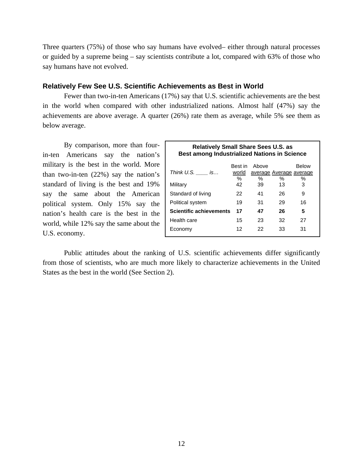Three quarters (75%) of those who say humans have evolved– either through natural processes or guided by a supreme being – say scientists contribute a lot, compared with 63% of those who say humans have not evolved.

#### **Relatively Few See U.S. Scientific Achievements as Best in World**

Fewer than two-in-ten Americans (17%) say that U.S. scientific achievements are the best in the world when compared with other industrialized nations. Almost half (47%) say the achievements are above average. A quarter (26%) rate them as average, while 5% see them as below average.

 By comparison, more than fourin-ten Americans say the nation's military is the best in the world. More than two-in-ten (22%) say the nation's standard of living is the best and 19% say the same about the American political system. Only 15% say the nation's health care is the best in the world, while 12% say the same about the U.S. economy.

| <b>Relatively Small Share Sees U.S. as</b><br><b>Best among Industrialized Nations in Science</b> |         |       |                         |              |  |  |
|---------------------------------------------------------------------------------------------------|---------|-------|-------------------------|--------------|--|--|
|                                                                                                   | Best in | Above |                         | <b>Below</b> |  |  |
| Think $U.S.$ _______ is                                                                           | world   |       | average Average average |              |  |  |
|                                                                                                   | %       | %     | %                       | ℅            |  |  |
| Military                                                                                          | 42      | 39    | 13                      | 3            |  |  |
| Standard of living                                                                                | 22      | 41    | 26                      | 9            |  |  |
| Political system<br>19<br>31<br>29<br>16                                                          |         |       |                         |              |  |  |
| <b>Scientific achievements</b><br>17<br>47<br>26<br>5                                             |         |       |                         |              |  |  |
| Health care                                                                                       | 15      | 23    | 32                      | 27           |  |  |
| Economy                                                                                           | 12      | 22    | 33                      | 31           |  |  |
|                                                                                                   |         |       |                         |              |  |  |

 Public attitudes about the ranking of U.S. scientific achievements differ significantly from those of scientists, who are much more likely to characterize achievements in the United States as the best in the world (See Section 2).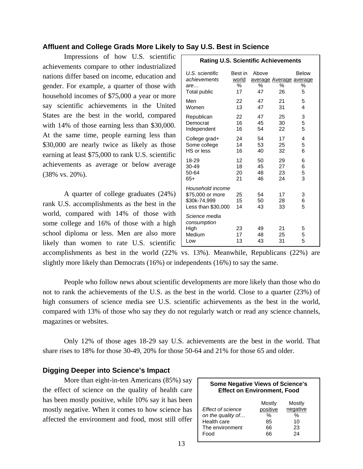### **Affluent and College Grads More Likely to Say U.S. Best in Science**

Impressions of how U.S. scientific achievements compare to other industrialized nations differ based on income, education and gender. For example, a quarter of those with household incomes of \$75,000 a year or more say scientific achievements in the United States are the best in the world, compared with 14% of those earning less than \$30,000. At the same time, people earning less than \$30,000 are nearly twice as likely as those earning at least \$75,000 to rank U.S. scientific achievements as average or below average (38% vs. 20%).

 A quarter of college graduates (24%) rank U.S. accomplishments as the best in the world, compared with 14% of those with some college and 16% of those with a high school diploma or less. Men are also more likely than women to rate U.S. scientific

| <b>Rating U.S. Scientific Achievements</b>                                 |                             |                  |                                    |                        |
|----------------------------------------------------------------------------|-----------------------------|------------------|------------------------------------|------------------------|
| U.S. scientific<br>achievements<br>are<br>Total public                     | Best in<br>world<br>%<br>17 | Above<br>℅<br>47 | average Average average<br>℅<br>26 | <b>Below</b><br>%<br>5 |
| Men                                                                        | 22                          | 47               | 21                                 | 5                      |
| Women                                                                      | 13                          | 47               | 31                                 | 4                      |
| Republican                                                                 | 22                          | 47               | 25                                 | 3                      |
| Democrat                                                                   | 16                          | 45               | 30                                 | 5                      |
| Independent                                                                | 16                          | 54               | 22                                 | 5                      |
| College grad+                                                              | 24                          | 54               | 17                                 | 4                      |
| Some college                                                               | 14                          | 53               | 25                                 | 5                      |
| HS or less                                                                 | 16                          | 40               | 32                                 | 6                      |
| 18-29                                                                      | 12                          | 50               | 29                                 | 6                      |
| 30-49                                                                      | 18                          | 45               | 27                                 | 6                      |
| 50-64                                                                      | 20                          | 48               | 23                                 | 5                      |
| $65+$                                                                      | 21                          | 46               | 24                                 | 3                      |
| Household income<br>\$75,000 or more<br>\$30k-74,999<br>Less than \$30,000 | 25<br>15<br>14              | 54<br>50<br>43   | 17<br>28<br>33                     | 3<br>6<br>5            |
| Science media<br>consumption<br>High<br>Medium<br>Low                      | 23<br>17<br>13              | 49<br>48<br>43   | 21<br>25<br>31                     | 5<br>5<br>5            |

accomplishments as best in the world (22% vs. 13%). Meanwhile, Republicans (22%) are slightly more likely than Democrats (16%) or independents (16%) to say the same.

 People who follow news about scientific developments are more likely than those who do not to rank the achievements of the U.S. as the best in the world. Close to a quarter (23%) of high consumers of science media see U.S. scientific achievements as the best in the world, compared with 13% of those who say they do not regularly watch or read any science channels, magazines or websites.

 Only 12% of those ages 18-29 say U.S. achievements are the best in the world. That share rises to 18% for those 30-49, 20% for those 50-64 and 21% for those 65 and older.

#### **Digging Deeper into Science's Impact**

More than eight-in-ten Americans (85%) say the effect of science on the quality of health care has been mostly positive, while 10% say it has been mostly negative. When it comes to how science has affected the environment and food, most still offer

| <b>Some Negative Views of Science's</b><br><b>Effect on Environment, Food</b>    |                                           |                                           |  |
|----------------------------------------------------------------------------------|-------------------------------------------|-------------------------------------------|--|
| Effect of science<br>on the quality of<br>Health care<br>The environment<br>Food | Mostly<br>positive<br>%<br>85<br>66<br>66 | Mostly<br>negative<br>%<br>10<br>23<br>24 |  |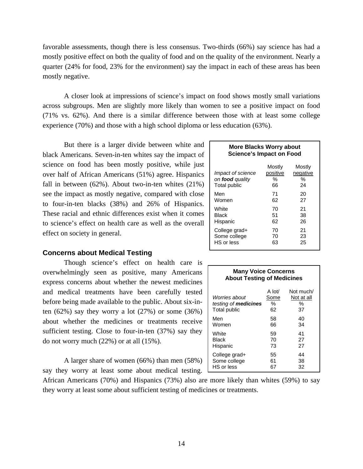favorable assessments, though there is less consensus. Two-thirds (66%) say science has had a mostly positive effect on both the quality of food and on the quality of the environment. Nearly a quarter (24% for food, 23% for the environment) say the impact in each of these areas has been mostly negative.

 A closer look at impressions of science's impact on food shows mostly small variations across subgroups. Men are slightly more likely than women to see a positive impact on food (71% vs. 62%). And there is a similar difference between those with at least some college experience (70%) and those with a high school diploma or less education (63%).

 But there is a larger divide between white and black Americans. Seven-in-ten whites say the impact of science on food has been mostly positive, while just over half of African Americans (51%) agree. Hispanics fall in between  $(62\%)$ . About two-in-ten whites  $(21\%)$ see the impact as mostly negative, compared with close to four-in-ten blacks (38%) and 26% of Hispanics. These racial and ethnic differences exist when it comes to science's effect on health care as well as the overall effect on society in general.

#### **Concerns about Medical Testing**

Though science's effect on health care is overwhelmingly seen as positive, many Americans express concerns about whether the newest medicines and medical treatments have been carefully tested before being made available to the public. About six-inten  $(62\%)$  say they worry a lot  $(27\%)$  or some  $(36\%)$ about whether the medicines or treatments receive sufficient testing. Close to four-in-ten (37%) say they do not worry much (22%) or at all (15%).

 A larger share of women (66%) than men (58%) say they worry at least some about medical testing.

African Americans (70%) and Hispanics (73%) also are more likely than whites (59%) to say they worry at least some about sufficient testing of medicines or treatments.

## **More Blacks Worry about Science's Impact on Food**

| <i>Impact of science</i><br>on food quality<br>Total public | Mostly<br>positive<br>%<br>66 | Mostly<br>negative<br>%<br>24 |
|-------------------------------------------------------------|-------------------------------|-------------------------------|
| Men                                                         | 71                            | 20                            |
| Women                                                       | 62                            | 27                            |
| White                                                       | 70                            | 21                            |
| Black                                                       | 51                            | 38                            |
| Hispanic                                                    | 62                            | 26                            |
| College grad+                                               | 70                            | 21                            |
| Some college                                                | 70                            | 23                            |
| HS or less                                                  | 63                            | 25                            |

#### **Many Voice Concerns About Testing of Medicines**

| Worries about<br>testing of <b>medicines</b><br>Total public | A lot/<br>Some<br>%<br>62 | Not much/<br>Not at all<br>%<br>37 |
|--------------------------------------------------------------|---------------------------|------------------------------------|
| Men                                                          | 58                        | 40                                 |
| Women                                                        | 66                        | 34                                 |
| White                                                        | 59                        | 41                                 |
| Black                                                        | 70                        | 27                                 |
| Hispanic                                                     | 73                        | 27                                 |
| College grad+<br>Some college<br>HS or less                  | 55<br>61                  | 44<br>38<br>32                     |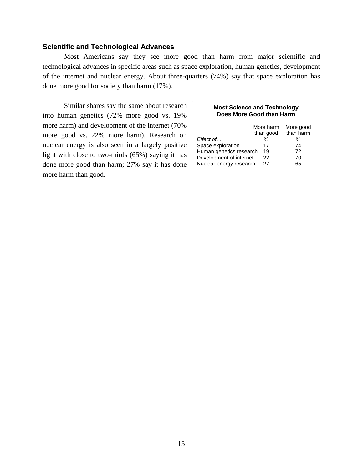### **Scientific and Technological Advances**

 Most Americans say they see more good than harm from major scientific and technological advances in specific areas such as space exploration, human genetics, development of the internet and nuclear energy. About three-quarters (74%) say that space exploration has done more good for society than harm (17%).

 Similar shares say the same about research into human genetics (72% more good vs. 19% more harm) and development of the internet (70% more good vs. 22% more harm). Research on nuclear energy is also seen in a largely positive light with close to two-thirds (65%) saying it has done more good than harm; 27% say it has done more harm than good.

#### **Most Science and Technology Does More Good than Harm**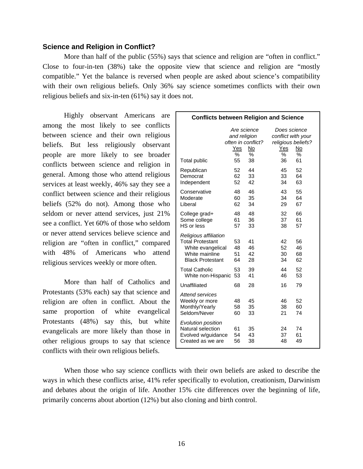#### **Science and Religion in Conflict?**

More than half of the public (55%) says that science and religion are "often in conflict." Close to four-in-ten (38%) take the opposite view that science and religion are "mostly compatible." Yet the balance is reversed when people are asked about science's compatibility with their own religious beliefs. Only 36% say science sometimes conflicts with their own religious beliefs and six-in-ten (61%) say it does not.

Highly observant Americans are among the most likely to see conflicts between science and their own religious beliefs. But less religiously observant people are more likely to see broader conflicts between science and religion in general. Among those who attend religious services at least weekly, 46% say they see a conflict between science and their religious beliefs (52% do not). Among those who seldom or never attend services, just 21% see a conflict. Yet 60% of those who seldom or never attend services believe science and religion are "often in conflict," compared with 48% of Americans who attend religious services weekly or more often.

 More than half of Catholics and Protestants (53% each) say that science and religion are often in conflict. About the same proportion of white evangelical Protestants (48%) say this, but white evangelicals are more likely than those in other religious groups to say that science conflicts with their own religious beliefs.

| <b>Conflicts between Religion and Science</b>                                                                      |                                               |                                     |                                                                            |                      |
|--------------------------------------------------------------------------------------------------------------------|-----------------------------------------------|-------------------------------------|----------------------------------------------------------------------------|----------------------|
| Total public                                                                                                       | Are science<br>and religion<br>Yes<br>%<br>55 | often in conflict?<br>No<br>℅<br>38 | Does science<br>conflict with your<br>religious beliefs?<br>Yes<br>%<br>36 | No<br>℅<br>61        |
| Republican<br>Democrat<br>Independent                                                                              | 52<br>62<br>52                                | 44<br>33<br>42                      | 45<br>33<br>34                                                             | 52<br>64<br>63       |
| Conservative<br>Moderate<br>Liberal                                                                                | 48<br>60<br>62                                | 46<br>35<br>34                      | 43<br>34<br>29                                                             | 55<br>64<br>67       |
| College grad+<br>Some college<br>HS or less                                                                        | 48<br>61<br>57                                | 48<br>36<br>33                      | 32<br>37<br>38                                                             | 66<br>61<br>57       |
| Religious affiliation<br><b>Total Protestant</b><br>White evangelical<br>White mainline<br><b>Black Protestant</b> | 53<br>48<br>51<br>64                          | 41<br>46<br>42<br>28                | 42<br>52<br>30<br>34                                                       | 56<br>46<br>68<br>62 |
| <b>Total Catholic</b><br>White non-Hispanic                                                                        | 53<br>53                                      | 39<br>41                            | 44<br>46                                                                   | 52<br>53             |
| Unaffiliated                                                                                                       | 68                                            | 28                                  | 16                                                                         | 79                   |
| <b>Attend services</b><br>Weekly or more<br>Monthly/Yearly<br>Seldom/Never                                         | 48<br>58<br>60                                | 45<br>35<br>33                      | 46<br>38<br>21                                                             | 52<br>60<br>74       |
| Evolution position<br>Natural selection<br>Evolved w/guidance<br>Created as we are                                 | 61<br>54<br>56                                | 35<br>43<br>38                      | 24<br>37<br>48                                                             | 74<br>61<br>49       |

 When those who say science conflicts with their own beliefs are asked to describe the ways in which these conflicts arise, 41% refer specifically to evolution, creationism, Darwinism and debates about the origin of life. Another 15% cite differences over the beginning of life, primarily concerns about abortion (12%) but also cloning and birth control.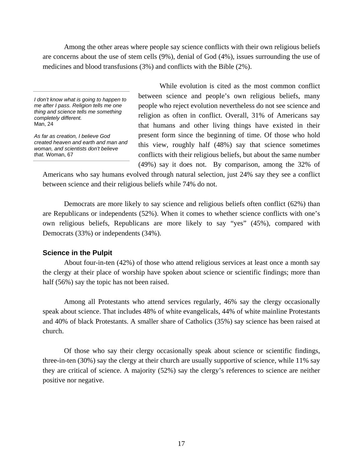Among the other areas where people say science conflicts with their own religious beliefs are concerns about the use of stem cells (9%), denial of God (4%), issues surrounding the use of medicines and blood transfusions (3%) and conflicts with the Bible (2%).

*I don't know what is going to happen to me after I pass. Religion tells me one thing and science tells me something completely different.*  Man, 24

*As far as creation, I believe God created heaven and earth and man and woman, and scientists don't believe that.* Woman, 67

 While evolution is cited as the most common conflict between science and people's own religious beliefs, many people who reject evolution nevertheless do not see science and religion as often in conflict. Overall, 31% of Americans say that humans and other living things have existed in their present form since the beginning of time. Of those who hold this view, roughly half (48%) say that science sometimes conflicts with their religious beliefs, but about the same number (49%) say it does not. By comparison, among the 32% of

Americans who say humans evolved through natural selection, just 24% say they see a conflict between science and their religious beliefs while 74% do not.

 Democrats are more likely to say science and religious beliefs often conflict (62%) than are Republicans or independents (52%). When it comes to whether science conflicts with one's own religious beliefs, Republicans are more likely to say "yes" (45%), compared with Democrats (33%) or independents (34%).

#### **Science in the Pulpit**

 About four-in-ten (42%) of those who attend religious services at least once a month say the clergy at their place of worship have spoken about science or scientific findings; more than half (56%) say the topic has not been raised.

 Among all Protestants who attend services regularly, 46% say the clergy occasionally speak about science. That includes 48% of white evangelicals, 44% of white mainline Protestants and 40% of black Protestants. A smaller share of Catholics (35%) say science has been raised at church.

 Of those who say their clergy occasionally speak about science or scientific findings, three-in-ten (30%) say the clergy at their church are usually supportive of science, while 11% say they are critical of science. A majority (52%) say the clergy's references to science are neither positive nor negative.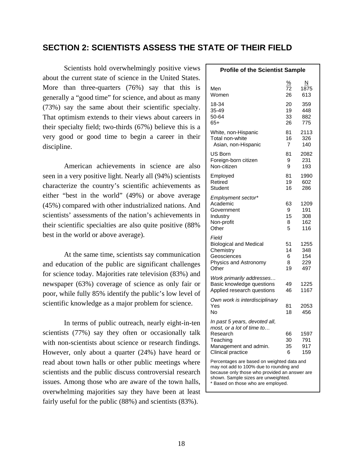## **SECTION 2: SCIENTISTS ASSESS THE STATE OF THEIR FIELD**

Scientists hold overwhelmingly positive views about the current state of science in the United States. More than three-quarters (76%) say that this is generally a "good time" for science, and about as many (73%) say the same about their scientific specialty. That optimism extends to their views about careers in their specialty field; two-thirds (67%) believe this is a very good or good time to begin a career in their discipline.

American achievements in science are also seen in a very positive light. Nearly all (94%) scientists characterize the country's scientific achievements as either "best in the world" (49%) or above average (45%) compared with other industrialized nations. And scientists' assessments of the nation's achievements in their scientific specialties are also quite positive (88% best in the world or above average).

At the same time, scientists say communication and education of the public are significant challenges for science today. Majorities rate television (83%) and newspaper (63%) coverage of science as only fair or poor, while fully 85% identify the public's low level of scientific knowledge as a major problem for science.

In terms of public outreach, nearly eight-in-ten scientists (77%) say they often or occasionally talk with non-scientists about science or research findings. However, only about a quarter (24%) have heard or read about town halls or other public meetings where scientists and the public discuss controversial research issues. Among those who are aware of the town halls, overwhelming majorities say they have been at least fairly useful for the public (88%) and scientists (83%).

| <b>Profile of the Scientist Sample</b>                                                                                                                                                                              |                          |                                  |  |  |
|---------------------------------------------------------------------------------------------------------------------------------------------------------------------------------------------------------------------|--------------------------|----------------------------------|--|--|
| Men<br>Women                                                                                                                                                                                                        | <u>%</u><br>72<br>26     | N<br>1875<br>613                 |  |  |
| 18-34<br>35-49<br>50-64<br>65+                                                                                                                                                                                      | 20<br>19<br>33<br>26     | 359<br>448<br>882<br>775         |  |  |
| White, non-Hispanic<br>Total non-white<br>Asian, non-Hispanic                                                                                                                                                       | 81<br>16<br>7            | 2113<br>326<br>140               |  |  |
| US Born<br>Foreign-born citizen<br>Non-citizen                                                                                                                                                                      | 81<br>9<br>9             | 2082<br>231<br>193               |  |  |
| Employed<br>Retired<br>Student                                                                                                                                                                                      | 81<br>19<br>16           | 1990<br>602<br>286               |  |  |
| Employment sector*<br>Academic<br>Government<br>Industry<br>Non-profit<br>Other                                                                                                                                     | 63<br>9<br>15<br>8<br>5  | 1209<br>191<br>308<br>162<br>116 |  |  |
| Field<br><b>Biological and Medical</b><br>Chemistry<br>Geosciences<br>Physics and Astronomy<br>Other                                                                                                                | 51<br>14<br>6<br>8<br>19 | 1255<br>348<br>154<br>229<br>497 |  |  |
| Work primarily addresses<br>Basic knowledge questions<br>Applied research questions                                                                                                                                 | 49<br>46                 | 1225<br>1167                     |  |  |
| Own work is interdisciplinary<br>Yes<br>No                                                                                                                                                                          | 81<br>18                 | 2053<br>456                      |  |  |
| In past 5 years, devoted all,<br>most, or a lot of time to<br>Research<br>Teaching<br>Management and admin.<br>Clinical practice                                                                                    | 66<br>30<br>35<br>6      | 1597<br>791<br>917<br>159        |  |  |
| Percentages are based on weighted data and<br>may not add to 100% due to rounding and<br>because only those who provided an answer are<br>shown. Sample sizes are unweighted.<br>* Based on those who are employed. |                          |                                  |  |  |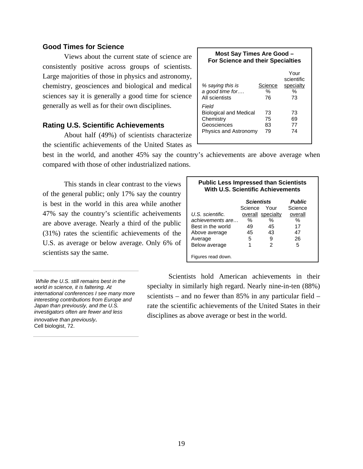### **Good Times for Science**

 Views about the current state of science are consistently positive across groups of scientists. Large majorities of those in physics and astronomy, chemistry, geosciences and biological and medical sciences say it is generally a good time for science generally as well as for their own disciplines.

#### **Rating U.S. Scientific Achievements**

 About half (49%) of scientists characterize the scientific achievements of the United States as

| Most Say Times Are Good -<br>For Science and their Specialties                       |                       |                                            |  |  |
|--------------------------------------------------------------------------------------|-----------------------|--------------------------------------------|--|--|
| % saying this is<br>a good time for<br>All scientists                                | Science<br>$\%$<br>76 | Your<br>scientific<br>specialty<br>%<br>73 |  |  |
| Field<br>Biological and Medical<br>Chemistry<br>Geosciences<br>Physics and Astronomy | 73<br>75<br>83<br>79  | 73<br>69<br>77<br>74                       |  |  |

best in the world, and another 45% say the country's achievements are above average when compared with those of other industrialized nations.

This stands in clear contrast to the views of the general public; only 17% say the country is best in the world in this area while another 47% say the country's scientific acheivements are above average. Nearly a third of the public (31%) rates the scientific achievements of the U.S. as average or below average. Only 6% of scientists say the same.

| <b>Public Less Impressed than Scientists</b><br>With U.S. Scientific Achievements |              |                   |         |  |  |
|-----------------------------------------------------------------------------------|--------------|-------------------|---------|--|--|
| <b>Public</b><br><b>Scientists</b>                                                |              |                   |         |  |  |
|                                                                                   | Science Your |                   | Science |  |  |
| U.S. scientific.                                                                  |              | overall specialty | overall |  |  |
| achievements are                                                                  | ℅            | %                 | ℅       |  |  |
| Best in the world                                                                 | 49           | 45                | 17      |  |  |
| Above average                                                                     | 45           | 43                | 47      |  |  |
| Average                                                                           | 5            | 9                 | 26      |  |  |
| Below average                                                                     | 1            | 2                 | 5       |  |  |
| Figures read down.                                                                |              |                   |         |  |  |

 *While the U.S. still remains best in the world in science, it is faltering. At international conferences I see many more interesting contributions from Europe and Japan than previously, and the U.S. investigators often are fewer and less innovative than previously.* 

Cell biologist, 72.

Scientists hold American achievements in their specialty in similarly high regard. Nearly nine-in-ten (88%) scientists – and no fewer than 85% in any particular field – rate the scientific achievements of the United States in their disciplines as above average or best in the world.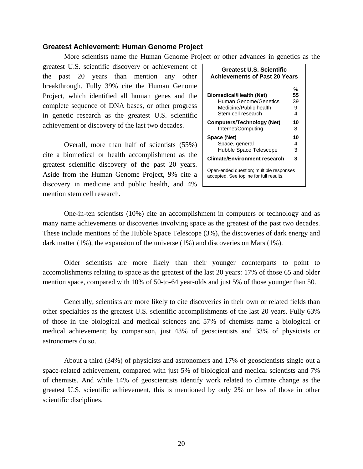#### **Greatest Achievement: Human Genome Project**

More scientists name the Human Genome Project or other advances in genetics as the

greatest U.S. scientific discovery or achievement of the past 20 years than mention any other breakthrough. Fully 39% cite the Human Genome Project, which identified all human genes and the complete sequence of DNA bases, or other progress in genetic research as the greatest U.S. scientific achievement or discovery of the last two decades.

Overall, more than half of scientists (55%) cite a biomedical or health accomplishment as the greatest scientific discovery of the past 20 years. Aside from the Human Genome Project, 9% cite a discovery in medicine and public health, and 4% mention stem cell research.

| <b>Greatest U.S. Scientific</b><br><b>Achievements of Past 20 Years</b>                                 |                         |  |  |
|---------------------------------------------------------------------------------------------------------|-------------------------|--|--|
| <b>Biomedical/Health (Net)</b><br>Human Genome/Genetics<br>Medicine/Public health<br>Stem cell research | %<br>55<br>39<br>9<br>4 |  |  |
| Computers/Technology (Net)<br>Internet/Computing                                                        | 10<br>8                 |  |  |
| Space (Net)<br>Space, general<br>Hubble Space Telescope                                                 | 10<br>4<br>з            |  |  |
| <b>Climate/Environment research</b>                                                                     | 3                       |  |  |
| Open-ended question; multiple responses<br>accepted. See topline for full results.                      |                         |  |  |

One-in-ten scientists (10%) cite an accomplishment in computers or technology and as many name achievements or discoveries involving space as the greatest of the past two decades. These include mentions of the Hubble Space Telescope (3%), the discoveries of dark energy and dark matter (1%), the expansion of the universe (1%) and discoveries on Mars (1%).

Older scientists are more likely than their younger counterparts to point to accomplishments relating to space as the greatest of the last 20 years: 17% of those 65 and older mention space, compared with 10% of 50-to-64 year-olds and just 5% of those younger than 50.

Generally, scientists are more likely to cite discoveries in their own or related fields than other specialties as the greatest U.S. scientific accomplishments of the last 20 years. Fully 63% of those in the biological and medical sciences and 57% of chemists name a biological or medical achievement; by comparison, just 43% of geoscientists and 33% of physicists or astronomers do so.

About a third (34%) of physicists and astronomers and 17% of geoscientists single out a space-related achievement, compared with just 5% of biological and medical scientists and 7% of chemists. And while 14% of geoscientists identify work related to climate change as the greatest U.S. scientific achievement, this is mentioned by only 2% or less of those in other scientific disciplines.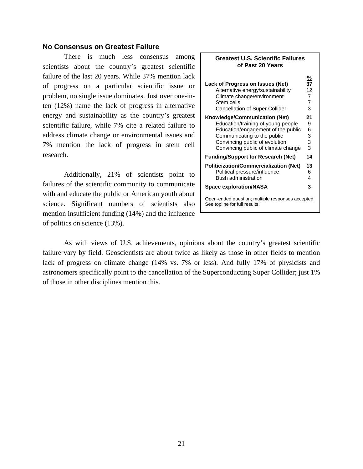### **No Consensus on Greatest Failure**

There is much less consensus among scientists about the country's greatest scientific failure of the last 20 years. While 37% mention lack of progress on a particular scientific issue or problem, no single issue dominates. Just over one-inten (12%) name the lack of progress in alternative energy and sustainability as the country's greatest scientific failure, while 7% cite a related failure to address climate change or environmental issues and 7% mention the lack of progress in stem cell research.

Additionally, 21% of scientists point to failures of the scientific community to communicate with and educate the public or American youth about science. Significant numbers of scientists also mention insufficient funding (14%) and the influence of politics on science (13%).

| <b>Greatest U.S. Scientific Failures</b><br>of Past 20 Years                       |                 |  |  |
|------------------------------------------------------------------------------------|-----------------|--|--|
| Lack of Progress on Issues (Net)                                                   | $\frac{\%}{37}$ |  |  |
| Alternative energy/sustainability                                                  | 12              |  |  |
| Climate change/environment                                                         | $\overline{7}$  |  |  |
| Stem cells                                                                         | $\overline{7}$  |  |  |
| <b>Cancellation of Super Collider</b>                                              | 3               |  |  |
| Knowledge/Communication (Net)                                                      | 21              |  |  |
| Education/training of young people                                                 | 9               |  |  |
| Education/engagement of the public                                                 | 6               |  |  |
| Communicating to the public                                                        | 3               |  |  |
| Convincing public of evolution                                                     | 3               |  |  |
| Convincing public of climate change                                                | 3               |  |  |
| <b>Funding/Support for Research (Net)</b>                                          | 14              |  |  |
| <b>Politicization/Commercialization (Net)</b>                                      | 13              |  |  |
| Political pressure/influence                                                       | 6               |  |  |
| <b>Bush administration</b>                                                         | 4               |  |  |
| <b>Space exploration/NASA</b>                                                      | 3               |  |  |
| Open-ended question; multiple responses accepted.<br>See topline for full results. |                 |  |  |

As with views of U.S. achievements, opinions about the country's greatest scientific failure vary by field. Geoscientists are about twice as likely as those in other fields to mention lack of progress on climate change (14% vs. 7% or less). And fully 17% of physicists and astronomers specifically point to the cancellation of the Superconducting Super Collider; just 1% of those in other disciplines mention this.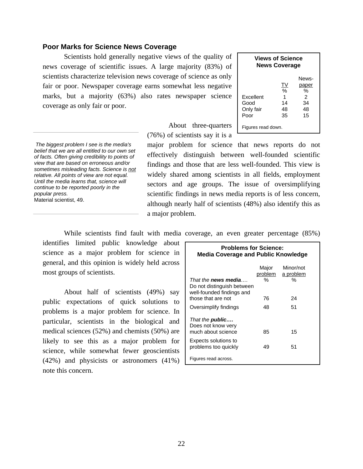#### **Poor Marks for Science News Coverage**

 Scientists hold generally negative views of the quality of news coverage of scientific issues. A large majority (83%) of scientists characterize television news coverage of science as only fair or poor. Newspaper coverage earns somewhat less negative marks, but a majority (63%) also rates newspaper science coverage as only fair or poor.

| <b>Views of Science</b><br><b>News Coverage</b> |           |       |  |  |  |  |
|-------------------------------------------------|-----------|-------|--|--|--|--|
|                                                 |           | News- |  |  |  |  |
|                                                 | <u>TV</u> | paper |  |  |  |  |
|                                                 | $\%$      | %     |  |  |  |  |
| Excellent                                       | 1         | 2     |  |  |  |  |
| 34<br>Good<br>14                                |           |       |  |  |  |  |
| 48<br>Only fair<br>48                           |           |       |  |  |  |  |
| Poor                                            | 35        | 15    |  |  |  |  |
| Figures read down.                              |           |       |  |  |  |  |

 About three-quarters (76%) of scientists say it is a

major problem for science that news reports do not effectively distinguish between well-founded scientific findings and those that are less well-founded. This view is widely shared among scientists in all fields, employment sectors and age groups. The issue of oversimplifying scientific findings in news media reports is of less concern, although nearly half of scientists (48%) also identify this as a major problem.

*The biggest problem I see is the media's belief that we are all entitled to our own set of facts. Often giving credibility to points of view that are based on erroneous and/or sometimes misleading facts. Science is not relative. All points of view are not equal. Until the media learns that, science will continue to be reported poorly in the popular press.*  Material scientist, 49.

While scientists find fault with media coverage, an even greater percentage (85%)

identifies limited public knowledge about science as a major problem for science in general, and this opinion is widely held across most groups of scientists.

About half of scientists (49%) say public expectations of quick solutions to problems is a major problem for science. In particular, scientists in the biological and medical sciences (52%) and chemists (50%) are likely to see this as a major problem for science, while somewhat fewer geoscientists (42%) and physicists or astronomers (41%) note this concern.

| <b>Problems for Science:</b><br><b>Media Coverage and Public Knowledge</b>            |                       |                             |  |  |  |
|---------------------------------------------------------------------------------------|-----------------------|-----------------------------|--|--|--|
| That the <b>news media</b><br>Do not distinguish between<br>well-founded findings and | Major<br>problem<br>% | Minor/not<br>a problem<br>% |  |  |  |
| those that are not                                                                    | 76                    | 24                          |  |  |  |
| Oversimplify findings                                                                 | 48                    | 51                          |  |  |  |
| That the <b>public</b><br>Does not know very<br>much about science                    | 85                    | 15                          |  |  |  |
| Expects solutions to<br>problems too quickly                                          | 49                    | 51                          |  |  |  |
| Figures read across.                                                                  |                       |                             |  |  |  |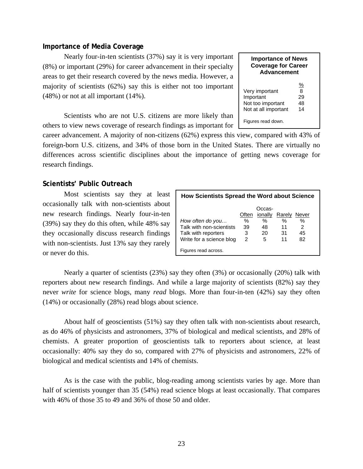#### **Importance of Media Coverage**

 Nearly four-in-ten scientists (37%) say it is very important (8%) or important (29%) for career advancement in their specialty areas to get their research covered by the news media. However, a majority of scientists (62%) say this is either not too important (48%) or not at all important (14%).

 Scientists who are not U.S. citizens are more likely than others to view news coverage of research findings as important for

career advancement. A majority of non-citizens (62%) express this view, compared with 43% of foreign-born U.S. citizens, and 34% of those born in the United States. There are virtually no differences across scientific disciplines about the importance of getting news coverage for research findings.

#### **Scientists' Public Outreach**

 Most scientists say they at least occasionally talk with non-scientists about new research findings. Nearly four-in-ten (39%) say they do this often, while 48% say they occasionally discuss research findings with non-scientists. Just 13% say they rarely or never do this.

| <b>How Scientists Spread the Word about Science</b> |       |         |              |    |
|-----------------------------------------------------|-------|---------|--------------|----|
|                                                     |       | Occas-  |              |    |
|                                                     | Often | ionally | Rarely Never |    |
| How often do you                                    | %     | %       | %            | %  |
| Talk with non-scientists                            | 39    | 48      | 11           | 2  |
| Talk with reporters                                 | 3     | 20      | 31           | 45 |
| Write for a science blog                            | 2     | 5       | 11           | 82 |
| Figures read across.                                |       |         |              |    |

 Nearly a quarter of scientists (23%) say they often (3%) or occasionally (20%) talk with reporters about new research findings. And while a large majority of scientists (82%) say they never *write* for science blogs, many *read* blogs. More than four-in-ten (42%) say they often (14%) or occasionally (28%) read blogs about science.

 About half of geoscientists (51%) say they often talk with non-scientists about research, as do 46% of physicists and astronomers, 37% of biological and medical scientists, and 28% of chemists. A greater proportion of geoscientists talk to reporters about science, at least occasionally: 40% say they do so, compared with 27% of physicists and astronomers, 22% of biological and medical scientists and 14% of chemists.

As is the case with the public, blog-reading among scientists varies by age. More than half of scientists younger than 35 (54%) read science blogs at least occasionally. That compares with 46% of those 35 to 49 and 36% of those 50 and older.

| <b>Importance of News</b><br><b>Coverage for Career</b><br><b>Advancement</b> |                                      |  |  |
|-------------------------------------------------------------------------------|--------------------------------------|--|--|
| Very important<br>Important<br>Not too important<br>Not at all important      | $\frac{9}{6}$<br>8<br>29<br>48<br>14 |  |  |
| Figures read down.                                                            |                                      |  |  |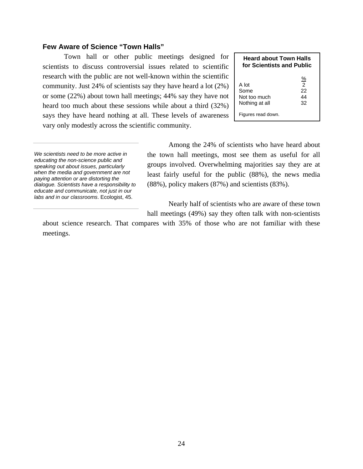### **Few Aware of Science "Town Halls"**

 Town hall or other public meetings designed for scientists to discuss controversial issues related to scientific research with the public are not well-known within the scientific community. Just 24% of scientists say they have heard a lot (2%) or some (22%) about town hall meetings; 44% say they have not heard too much about these sessions while about a third (32%) says they have heard nothing at all. These levels of awareness vary only modestly across the scientific community.

| <b>Heard about Town Halls</b><br>for Scientists and Public |                                             |  |
|------------------------------------------------------------|---------------------------------------------|--|
| A lot<br>Some<br>Not too much<br>Nothing at all            | <u>%</u><br>$\mathcal{P}$<br>22<br>44<br>32 |  |
| Figures read down.                                         |                                             |  |

*We scientists need to be more active in educating the non-science public and speaking out about issues, particularly when the media and government are not paying attention or are distorting the dialogue. Scientists have a responsibility to educate and communicate, not just in our labs and in our classrooms*. Ecologist, 45.

 Among the 24% of scientists who have heard about the town hall meetings, most see them as useful for all groups involved. Overwhelming majorities say they are at least fairly useful for the public (88%), the news media (88%), policy makers (87%) and scientists (83%).

Nearly half of scientists who are aware of these town hall meetings (49%) say they often talk with non-scientists

about science research. That compares with 35% of those who are not familiar with these meetings.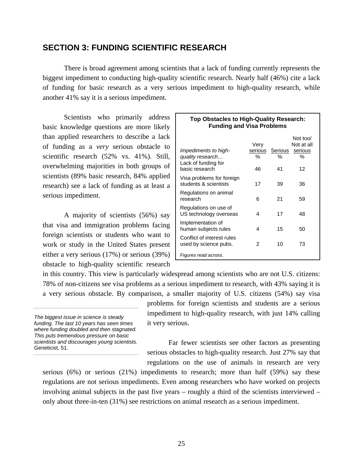## **SECTION 3: FUNDING SCIENTIFIC RESEARCH**

 There is broad agreement among scientists that a lack of funding currently represents the biggest impediment to conducting high-quality scientific research. Nearly half (46%) cite a lack of funding for basic research as a very serious impediment to high-quality research, while another 41% say it is a serious impediment.

 Scientists who primarily address basic knowledge questions are more likely than applied researchers to describe a lack of funding as a *very* serious obstacle to scientific research (52% vs. 41%). Still, overwhelming majorities in both groups of scientists (89% basic research, 84% applied research) see a lack of funding as at least a serious impediment.

 A majority of scientists (56%) say that visa and immigration problems facing foreign scientists or students who want to work or study in the United States present either a very serious (17%) or serious (39%) obstacle to high-quality scientific research

| <b>Funding and Visa Problems</b>                                |                      |              |                                        |  |  |
|-----------------------------------------------------------------|----------------------|--------------|----------------------------------------|--|--|
| Impediments to high-<br>quality research<br>Lack of funding for | Very<br>serious<br>% | Serious<br>℅ | Not too/<br>Not at all<br>serious<br>℅ |  |  |
| basic research                                                  | 46                   | 41           | 12                                     |  |  |
| Visa problems for foreign<br>students & scientists              | 17                   | 39           | 36                                     |  |  |
| Regulations on animal<br>research                               | 6                    | 21           | 59                                     |  |  |
| Regulations on use of<br>US technology overseas                 | 4                    | 17           | 48                                     |  |  |
| Implementation of<br>human subjects rules                       | 4                    | 15           | 50                                     |  |  |
| Conflict of interest rules<br>used by science pubs.             | 2                    | 10           | 73                                     |  |  |
| Figures read across.                                            |                      |              |                                        |  |  |

**Top Obstacles to High-Quality Research:** 

in this country. This view is particularly widespread among scientists who are not U.S. citizens: 78% of non-citizens see visa problems as a serious impediment to research, with 43% saying it is a very serious obstacle. By comparison, a smaller majority of U.S. citizens (54%) say visa

*The biggest issue in science is steady funding. The last 10 years has seen times where funding doubled and then stagnated. This puts tremendous pressure on basic scientists and discourages young scientists.* Geneticist, 51.

problems for foreign scientists and students are a serious impediment to high-quality research, with just 14% calling it very serious.

 Far fewer scientists see other factors as presenting serious obstacles to high-quality research. Just 27% say that regulations on the use of animals in research are very

serious  $(6\%)$  or serious  $(21\%)$  impediments to research; more than half  $(59\%)$  say these regulations are not serious impediments. Even among researchers who have worked on projects involving animal subjects in the past five years – roughly a third of the scientists interviewed – only about three-in-ten (31%) see restrictions on animal research as a serious impediment.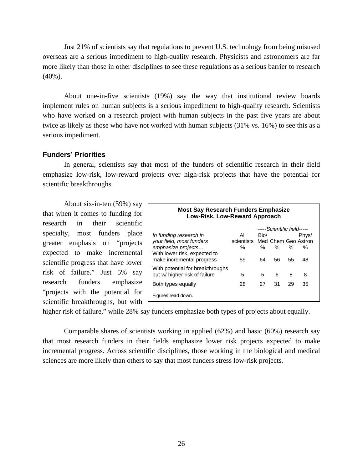Just 21% of scientists say that regulations to prevent U.S. technology from being misused overseas are a serious impediment to high-quality research. Physicists and astronomers are far more likely than those in other disciplines to see these regulations as a serious barrier to research (40%).

About one-in-five scientists (19%) say the way that institutional review boards implement rules on human subjects is a serious impediment to high-quality research. Scientists who have worked on a research project with human subjects in the past five years are about twice as likely as those who have not worked with human subjects (31% vs. 16%) to see this as a serious impediment.

#### **Funders' Priorities**

 In general, scientists say that most of the funders of scientific research in their field emphasize low-risk, low-reward projects over high-risk projects that have the potential for scientific breakthroughs.

About six-in-ten (59%) say  $\Gamma$ that when it comes to funding for research in their scientific specialty, most funders place greater emphasis on "projects expected to make incremental scientific progress that have lower risk of failure." Just 5% say research funders emphasize "projects with the potential for scientific breakthroughs, but with

| <b>Most Say Research Funders Emphasize</b><br>Low-Risk, Low-Reward Approach |            |      |    |      |                     |  |  |
|-----------------------------------------------------------------------------|------------|------|----|------|---------------------|--|--|
| -----Scientific field-----                                                  |            |      |    |      |                     |  |  |
| In funding research in                                                      | All        | Bio/ |    |      | Phys/               |  |  |
| your field, most funders                                                    | scientists |      |    |      | Med Chem Geo Astron |  |  |
| emphasize projects                                                          | ℅          | %    | %  | $\%$ | %                   |  |  |
| With lower risk, expected to<br>make incremental progress                   | 59         | 64   | 56 | 55   | 48                  |  |  |
| With potential for breakthroughs<br>but w/ higher risk of failure           | 5          | 5    | 6  | 8    | 8                   |  |  |
| Both types equally                                                          | 28         | 27   | 31 | 29   | 35                  |  |  |
| Figures read down.                                                          |            |      |    |      |                     |  |  |

higher risk of failure," while 28% say funders emphasize both types of projects about equally.

 Comparable shares of scientists working in applied (62%) and basic (60%) research say that most research funders in their fields emphasize lower risk projects expected to make incremental progress. Across scientific disciplines, those working in the biological and medical sciences are more likely than others to say that most funders stress low-risk projects.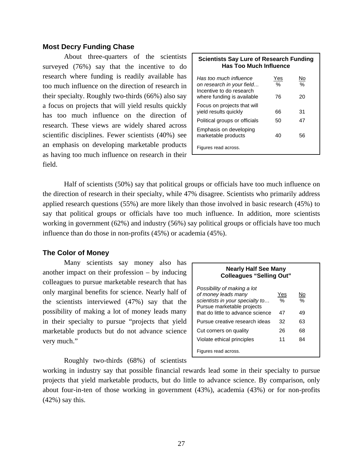#### **Most Decry Funding Chase**

 About three-quarters of the scientists surveyed (76%) say that the incentive to do research where funding is readily available has too much influence on the direction of research in their specialty. Roughly two-thirds (66%) also say a focus on projects that will yield results quickly has too much influence on the direction of research. These views are widely shared across scientific disciplines. Fewer scientists (40%) see an emphasis on developing marketable products as having too much influence on research in their field.

| <b>Scientists Say Lure of Research Funding</b><br><b>Has Too Much Influence</b>                               |                            |                           |  |
|---------------------------------------------------------------------------------------------------------------|----------------------------|---------------------------|--|
| Has too much influence<br>on research in your field<br>Incentive to do research<br>where funding is available | Yes<br>$\frac{0}{2}$<br>76 | No<br>$\frac{0}{0}$<br>20 |  |
| Focus on projects that will<br>vield results quickly                                                          | 66                         | 31                        |  |
| Political groups or officials                                                                                 | 50                         | 47                        |  |
| Emphasis on developing<br>marketable products                                                                 | 40                         | 56                        |  |
| Figures read across.                                                                                          |                            |                           |  |

 Half of scientists (50%) say that political groups or officials have too much influence on the direction of research in their specialty, while 47% disagree. Scientists who primarily address applied research questions (55%) are more likely than those involved in basic research (45%) to say that political groups or officials have too much influence. In addition, more scientists working in government (62%) and industry (56%) say political groups or officials have too much influence than do those in non-profits (45%) or academia (45%).

#### **The Color of Money**

 Many scientists say money also has another impact on their profession – by inducing colleagues to pursue marketable research that has only marginal benefits for science. Nearly half of the scientists interviewed (47%) say that the possibility of making a lot of money leads many in their specialty to pursue "projects that yield marketable products but do not advance science very much."

| <b>Nearly Half See Many</b><br><b>Colleagues "Selling Out"</b>                                                                                           |                            |               |  |  |
|----------------------------------------------------------------------------------------------------------------------------------------------------------|----------------------------|---------------|--|--|
| Possibility of making a lot<br>of money leads many<br>scientists in your specialty to<br>Pursue marketable projects<br>that do little to advance science | Yes<br>$\frac{0}{0}$<br>47 | No<br>%<br>49 |  |  |
| Pursue creative research ideas                                                                                                                           | 32                         | 63            |  |  |
| Cut corners on quality                                                                                                                                   | 26                         | 68            |  |  |
| Violate ethical principles                                                                                                                               | 11                         | 84            |  |  |
| Figures read across.                                                                                                                                     |                            |               |  |  |

Roughly two-thirds (68%) of scientists

working in industry say that possible financial rewards lead some in their specialty to pursue projects that yield marketable products, but do little to advance science. By comparison, only about four-in-ten of those working in government (43%), academia (43%) or for non-profits  $(42\%)$  say this.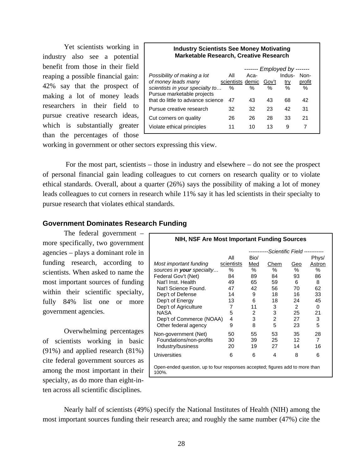Yet scientists working in industry also see a potential benefit from those in their field reaping a possible financial gain: 42% say that the prospect of making a lot of money leads researchers in their field to pursue creative research ideas, which is substantially greater than the percentages of those

#### **Industry Scientists See Money Motivating Marketable Research, Creative Research**

| All | Aca- |                  | Indus-     | Non-                  |
|-----|------|------------------|------------|-----------------------|
|     |      | Gov't            | <u>try</u> | profit                |
| %   | %    | %                | %          | $\%$                  |
|     |      |                  |            |                       |
| 47  | 43   | 43               | 68         | 42                    |
| 32  | 32   | 23               | 42         | 31                    |
| 26  | 26   | 28               | 33         | 21                    |
| 11  | 10   | 13               | 9          |                       |
|     |      | scientists demic |            | ------- Employed by - |

working in government or other sectors expressing this view.

 For the most part, scientists – those in industry and elsewhere – do not see the prospect of personal financial gain leading colleagues to cut corners on research quality or to violate ethical standards. Overall, about a quarter (26%) says the possibility of making a lot of money leads colleagues to cut corners in research while 11% say it has led scientists in their specialty to pursue research that violates ethical standards.

#### **Government Dominates Research Funding**

The federal government – more specifically, two government agencies – plays a dominant role in funding research, according to scientists. When asked to name the most important sources of funding within their scientific specialty, fully 84% list one or more government agencies.

Overwhelming percentages of scientists working in basic (91%) and applied research (81%) cite federal government sources as among the most important in their specialty, as do more than eight-inten across all scientific disciplines.

| NIH, NSF Are Most Important Funding Sources                                           |            |      |                           |               |          |
|---------------------------------------------------------------------------------------|------------|------|---------------------------|---------------|----------|
|                                                                                       |            |      | -Scientific Field ------- |               |          |
|                                                                                       | Αll        | Bio/ |                           |               | Phys/    |
| Most important funding                                                                | scientists | Med  | Chem                      | Geo           | Astron   |
| sources in your specialty                                                             | %          | %    | %                         | ℅             | $\%$     |
| Federal Gov't (Net)                                                                   | 84         | 89   | 84                        | 93            | 86       |
| Nat'l Inst. Health                                                                    | 49         | 65   | 59                        | 6             | 8        |
| Nat'l Science Found.                                                                  | 47         | 42   | 56                        | 70            | 62       |
| Dep't of Defense                                                                      | 14         | 9    | 18                        | 16            | 33       |
| Dep't of Energy                                                                       | 13         | 6    | 18                        | 24            | 45       |
| Dep't of Agriculture                                                                  | 7          | 11   | 3                         | $\mathcal{P}$ | $\Omega$ |
| <b>NASA</b>                                                                           | 5          | 2    | 3                         | 25            | 21       |
| Dep't of Commerce (NOAA)                                                              | 4          | 3    | $\overline{2}$            | 27            | 3        |
| Other federal agency                                                                  | 9          | 8    | 5                         | 23            | 5        |
| Non-government (Net)                                                                  | 50         | 55   | 53                        | 35            | 28       |
| Foundations/non-profits                                                               | 30         | 39   | 25                        | 12            | 7        |
| Industry/business                                                                     | 20         | 19   | 27                        | 14            | 16       |
| Universities                                                                          | 6          | 6    | 4                         | 8             | 6        |
| Open-ended question, up to four responses accepted; figures add to more than<br>100%. |            |      |                           |               |          |

Nearly half of scientists (49%) specify the National Institutes of Health (NIH) among the most important sources funding their research area; and roughly the same number (47%) cite the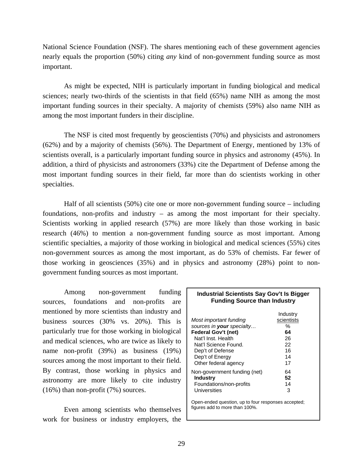National Science Foundation (NSF). The shares mentioning each of these government agencies nearly equals the proportion (50%) citing *any* kind of non-government funding source as most important.

 As might be expected, NIH is particularly important in funding biological and medical sciences; nearly two-thirds of the scientists in that field (65%) name NIH as among the most important funding sources in their specialty. A majority of chemists (59%) also name NIH as among the most important funders in their discipline.

 The NSF is cited most frequently by geoscientists (70%) and physicists and astronomers (62%) and by a majority of chemists (56%). The Department of Energy, mentioned by 13% of scientists overall, is a particularly important funding source in physics and astronomy (45%). In addition, a third of physicists and astronomers (33%) cite the Department of Defense among the most important funding sources in their field, far more than do scientists working in other specialties.

 Half of all scientists (50%) cite one or more non-government funding source – including foundations, non-profits and industry – as among the most important for their specialty. Scientists working in applied research (57%) are more likely than those working in basic research (46%) to mention a non-government funding source as most important. Among scientific specialties, a majority of those working in biological and medical sciences (55%) cites non-government sources as among the most important, as do 53% of chemists. Far fewer of those working in geosciences (35%) and in physics and astronomy (28%) point to nongovernment funding sources as most important.

 Among non-government funding sources, foundations and non-profits are mentioned by more scientists than industry and business sources (30% vs. 20%). This is particularly true for those working in biological and medical sciences, who are twice as likely to name non-profit (39%) as business (19%) sources among the most important to their field. By contrast, those working in physics and astronomy are more likely to cite industry (16%) than non-profit (7%) sources.

 Even among scientists who themselves work for business or industry employers, the

| <b>Industrial Scientists Say Gov't Is Bigger</b> |
|--------------------------------------------------|
| <b>Funding Source than Industry</b>              |

| Most important funding<br>sources in <b>your</b> specialty<br>Federal Gov't (net)<br>Nat'l Inst. Health<br>Nat'l Science Found.<br>Dep't of Defense<br>Dep't of Energy<br>Other federal agency | Industry<br>scientists<br>$\%$<br>64<br>26<br>22<br>16<br>14<br>17 |
|------------------------------------------------------------------------------------------------------------------------------------------------------------------------------------------------|--------------------------------------------------------------------|
| Non-government funding (net)<br>Industry<br>Foundations/non-profits<br>Universities                                                                                                            | 64<br>52<br>14<br>3                                                |
| Open-ended question, up to four responses accepted;<br>figures add to more than 100%.                                                                                                          |                                                                    |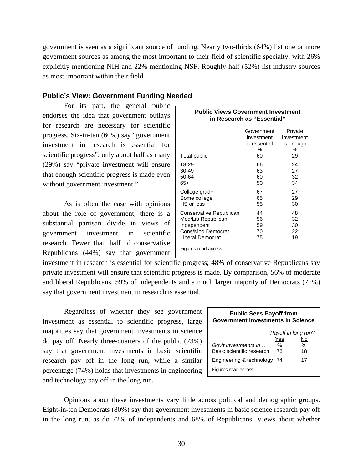government is seen as a significant source of funding. Nearly two-thirds (64%) list one or more government sources as among the most important to their field of scientific specialty, with 26% explicitly mentioning NIH and 22% mentioning NSF. Roughly half (52%) list industry sources as most important within their field.

#### **Public's View: Government Funding Needed**

For its part, the general public endorses the idea that government outlays for research are necessary for scientific progress. Six-in-ten (60%) say "government investment in research is essential for scientific progress"; only about half as many (29%) say "private investment will ensure that enough scientific progress is made even without government investment."

 As is often the case with opinions about the role of government, there is a substantial partisan divide in views of government investment in scientific research. Fewer than half of conservative Republicans (44%) say that government

| <b>Public Views Government Investment</b><br>in Research as "Essential" |                                                        |                                                      |  |  |
|-------------------------------------------------------------------------|--------------------------------------------------------|------------------------------------------------------|--|--|
| Total public                                                            | Government<br>investment<br>is essential<br>$\%$<br>60 | Private<br>investment<br><u>is enough</u><br>%<br>29 |  |  |
| 18-29                                                                   | 66                                                     | 24                                                   |  |  |
| 30-49                                                                   | 63                                                     | 27                                                   |  |  |
| 50-64                                                                   | 60                                                     | 32                                                   |  |  |
| $65+$                                                                   | 50                                                     | 34                                                   |  |  |
| College grad+                                                           | 67                                                     | 27                                                   |  |  |
| Some college                                                            | 65                                                     | 29                                                   |  |  |
| HS or less                                                              | 55                                                     | 30                                                   |  |  |
| Conservative Republican                                                 | 44                                                     | 48                                                   |  |  |
| Mod/Lib Republican                                                      | 56                                                     | 32                                                   |  |  |
| Independent                                                             | 59                                                     | 30                                                   |  |  |
| Cons/Mod Democrat                                                       | 70                                                     | 22                                                   |  |  |
| Liberal Democrat                                                        | 75                                                     | 19                                                   |  |  |
| Figures read across.                                                    |                                                        |                                                      |  |  |

investment in research is essential for scientific progress; 48% of conservative Republicans say private investment will ensure that scientific progress is made. By comparison, 56% of moderate and liberal Republicans, 59% of independents and a much larger majority of Democrats (71%) say that government investment in research is essential.

 Regardless of whether they see government investment as essential to scientific progress, large majorities say that government investments in science do pay off. Nearly three-quarters of the public (73%) say that government investments in basic scientific research pay off in the long run, while a similar percentage (74%) holds that investments in engineering and technology pay off in the long run.

| <b>Public Sees Payoff from</b><br><b>Government Investments in Science</b> |    |                     |  |  |
|----------------------------------------------------------------------------|----|---------------------|--|--|
|                                                                            |    | Payoff in long run? |  |  |
| Yes<br>No                                                                  |    |                     |  |  |
| Gov't investments in                                                       | ℅  | ℅                   |  |  |
| Basic scientific research                                                  | 73 | 18                  |  |  |
| Engineering & technology                                                   | 74 | 17                  |  |  |
| Figures read across.                                                       |    |                     |  |  |

Opinions about these investments vary little across political and demographic groups. Eight-in-ten Democrats (80%) say that government investments in basic science research pay off in the long run, as do 72% of independents and 68% of Republicans. Views about whether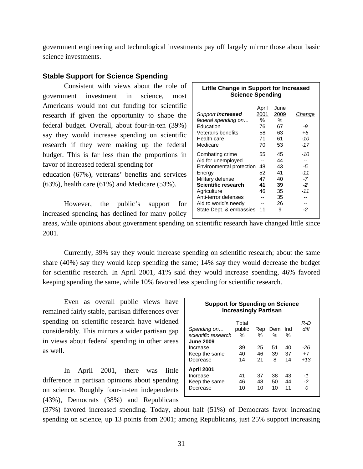government engineering and technological investments pay off largely mirror those about basic science investments.

#### **Stable Support for Science Spending**

 Consistent with views about the role of government investment in science, most Americans would not cut funding for scientific research if given the opportunity to shape the federal budget. Overall, about four-in-ten (39%) say they would increase spending on scientific research if they were making up the federal budget. This is far less than the proportions in favor of increased federal spending for education (67%), veterans' benefits and services (63%), health care (61%) and Medicare (53%).

However, the public's support for increased spending has declined for many policy

| <b>Little Change in Support for Increased</b><br><b>Science Spending</b>                                                                                                                                         |                                            |                                                         |                                               |  |
|------------------------------------------------------------------------------------------------------------------------------------------------------------------------------------------------------------------|--------------------------------------------|---------------------------------------------------------|-----------------------------------------------|--|
| Support increased<br>federal spending on<br>Education<br>Veterans benefits<br>Health care<br>Medicare                                                                                                            | April<br>2001<br>℅<br>76<br>58<br>71<br>70 | June<br>2009<br>%<br>67<br>63<br>61<br>53               | Change<br>-9<br>$+5$<br>$-10$<br>$-17$        |  |
| Combating crime<br>Aid for unemployed<br>Environmental protection<br>Energy<br>Military defense<br>Scientific research<br>Agriculture<br>Anti-terror defenses<br>Aid to world's needy<br>State Dept. & embassies | 55<br>48<br>52<br>47<br>41<br>46<br>11     | 45<br>44<br>43<br>41<br>40<br>39<br>35<br>35<br>26<br>9 | -10<br>-5<br>$-11$<br>-7<br>-2<br>$-11$<br>-2 |  |

areas, while opinions about government spending on scientific research have changed little since 2001.

Currently, 39% say they would increase spending on scientific research; about the same share (40%) say they would keep spending the same; 14% say they would decrease the budget for scientific research. In April 2001, 41% said they would increase spending, 46% favored keeping spending the same, while 10% favored less spending for scientific research.

Even as overall public views have remained fairly stable, partisan differences over spending on scientific research have widened considerably. This mirrors a wider partisan gap in views about federal spending in other areas as well.

In April 2001, there was little difference in partisan opinions about spending on science. Roughly four-in-ten independents (43%), Democrats (38%) and Republicans

| <b>Support for Spending on Science</b><br><b>Increasingly Partisan</b> |                      |                |                |                |                       |
|------------------------------------------------------------------------|----------------------|----------------|----------------|----------------|-----------------------|
| Spending on<br>scientific research<br><b>June 2009</b>                 | Total<br>public<br>℅ | Rep<br>℅       | Dem<br>%       | Ind<br>%       | R-D<br>diff           |
| Increase<br>Keep the same<br>Decrease                                  | 39<br>40<br>14       | 25<br>46<br>21 | 51<br>39<br>8  | 40<br>37<br>14 | -26<br>$+7$<br>$+1.3$ |
| <b>April 2001</b><br>Increase<br>Keep the same<br>Decrease             | 41<br>46<br>10       | 37<br>48<br>10 | 38<br>50<br>10 | 43<br>44<br>11 | -1<br>-2<br>Ω         |

(37%) favored increased spending. Today, about half (51%) of Democrats favor increasing spending on science, up 13 points from 2001; among Republicans, just 25% support increasing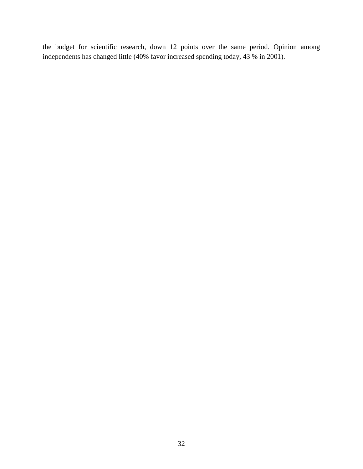the budget for scientific research, down 12 points over the same period. Opinion among independents has changed little (40% favor increased spending today, 43 % in 2001).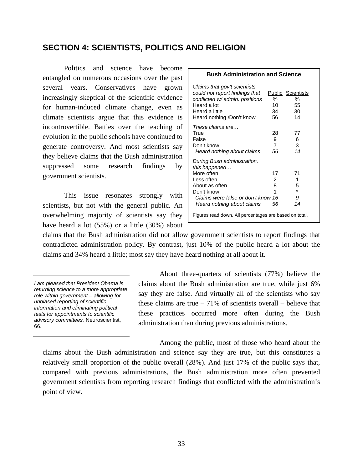## **SECTION 4: SCIENTISTS, POLITICS AND RELIGION**

Politics and science have become entangled on numerous occasions over the past several years. Conservatives have grown increasingly skeptical of the scientific evidence for human-induced climate change, even as climate scientists argue that this evidence is incontrovertible. Battles over the teaching of evolution in the public schools have continued to generate controversy. And most scientists say they believe claims that the Bush administration suppressed some research findings by government scientists.

This issue resonates strongly with scientists, but not with the general public. An overwhelming majority of scientists say they have heard a lot (55%) or a little (30%) about

| <b>Bush Administration and Science</b>                                                                                                                                                                                                       |                                 |                                                 |  |  |  |  |
|----------------------------------------------------------------------------------------------------------------------------------------------------------------------------------------------------------------------------------------------|---------------------------------|-------------------------------------------------|--|--|--|--|
| Claims that gov't scientists<br>could not report findings that<br>conflicted w/ admin. positions<br>Heard a lot<br>Heard a little<br>Heard nothing /Don't know                                                                               | %<br>10<br>34<br>56             | <b>Public Scientists</b><br>%<br>55<br>30<br>14 |  |  |  |  |
| These claims are<br>True<br>False<br>Don't know<br>Heard nothing about claims                                                                                                                                                                | 28<br>9<br>$\overline{7}$<br>56 | 77<br>6<br>3<br>14                              |  |  |  |  |
| During Bush administration,<br>this happened<br>More often<br>17<br>71<br>2<br>Less often<br>1<br>8<br>5<br>About as often<br>$\ast$<br>1<br>Don't know<br>Claims were false or don't know 16<br>9<br>14<br>Heard nothing about claims<br>56 |                                 |                                                 |  |  |  |  |
| Figures read down. All percentages are based on total.                                                                                                                                                                                       |                                 |                                                 |  |  |  |  |

claims that the Bush administration did not allow government scientists to report findings that contradicted administration policy. By contrast, just 10% of the public heard a lot about the claims and 34% heard a little; most say they have heard nothing at all about it.

About three-quarters of scientists (77%) believe the claims about the Bush administration are true, while just 6% say they are false. And virtually all of the scientists who say these claims are true  $-71\%$  of scientists overall – believe that these practices occurred more often during the Bush administration than during previous administrations.

Among the public, most of those who heard about the claims about the Bush administration and science say they are true, but this constitutes a relatively small proportion of the public overall (28%). And just 17% of the public says that, compared with previous administrations, the Bush administration more often prevented government scientists from reporting research findings that conflicted with the administration's point of view.

*I am pleased that President Obama is returning science to a more appropriate role within government – allowing for unbiased reporting of scientific information and eliminating political tests for appointments to scientific advisory committees.* Neuroscientist, 66.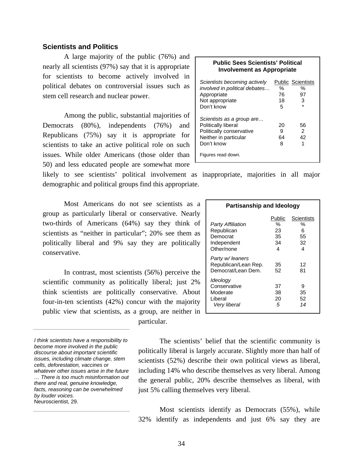### **Scientists and Politics**

 A large majority of the public (76%) and nearly all scientists (97%) say that it is appropriate for scientists to become actively involved in political debates on controversial issues such as stem cell research and nuclear power.

Among the public, substantial majorities of Democrats (80%), independents (76%) and Republicans (75%) say it is appropriate for scientists to take an active political role on such issues. While older Americans (those older than 50) and less educated people are somewhat more

likely to see scientists' political involvement as inappropriate, majorities in all major demographic and political groups find this appropriate.

Most Americans do not see scientists as a group as particularly liberal or conservative. Nearly two-thirds of Americans (64%) say they think of scientists as "neither in particular"; 20% see them as politically liberal and 9% say they are politically conservative.

In contrast, most scientists (56%) perceive the scientific community as politically liberal; just 2% think scientists are politically conservative. About four-in-ten scientists (42%) concur with the majority public view that scientists, as a group, are neither in particular.

| <b>Involvement as Appropriate</b>                                                                                                         |                    |                                                        |  |
|-------------------------------------------------------------------------------------------------------------------------------------------|--------------------|--------------------------------------------------------|--|
| Scientists becoming actively<br>involved in political debates<br>Appropriate<br>Not appropriate<br>Don't know                             | ℅<br>76<br>18<br>5 | <b>Public Scientists</b><br>$\%$<br>97<br>3<br>$\star$ |  |
| Scientists as a group are<br>Politically liberal<br>Politically conservative<br>Neither in particular<br>Don't know<br>Figures read down. | 20<br>9<br>64<br>8 | 56<br>2<br>42<br>1                                     |  |

**Public Sees Scientists' Political** 

| <b>Partisanship and Ideology</b>                                         |                                    |                                       |  |  |
|--------------------------------------------------------------------------|------------------------------------|---------------------------------------|--|--|
| Party Affiliation<br>Republican<br>Democrat<br>Independent<br>Other/none | Public<br>%<br>23<br>35<br>34<br>4 | Scientists<br>%<br>6<br>55<br>32<br>4 |  |  |
| Party w/ leaners<br>Republican/Lean Rep.<br>Democrat/Lean Dem.           | 35<br>52                           | 12<br>81                              |  |  |
| Ideology<br>Conservative<br>Moderate<br>Liberal<br>Very liberal          | 37<br>38<br>20<br>5                | 9<br>35<br>52<br>14                   |  |  |

The scientists' belief that the scientific community is politically liberal is largely accurate. Slightly more than half of scientists (52%) describe their own political views as liberal, including 14% who describe themselves as very liberal. Among the general public, 20% describe themselves as liberal, with just 5% calling themselves very liberal.

Most scientists identify as Democrats (55%), while 32% identify as independents and just 6% say they are

*I think scientists have a responsibility to become more involved in the public discourse about important scientific issues, including climate change, stem cells, deforestation, vaccines or whatever other issues arise in the future … There is too much misinformation out there and real, genuine knowledge, facts, reasoning can be overwhelmed by louder voices.*  Neuroscientist, 29.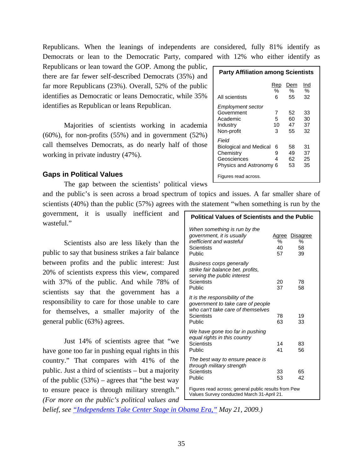Republicans. When the leanings of independents are considered, fully 81% identify as Democrats or lean to the Democratic Party, compared with 12% who either identify as

Republicans or lean toward the GOP. Among the public, there are far fewer self-described Democrats (35%) and far more Republicans (23%). Overall, 52% of the public identifies as Democratic or leans Democratic, while 35% identifies as Republican or leans Republican.

Majorities of scientists working in academia (60%), for non-profits (55%) and in government (52%) call themselves Democrats, as do nearly half of those working in private industry (47%).

# **Gaps in Political Values**

The gap between the scientists' political views

and the public's is seen across a broad spectrum of topics and issues. A far smaller share of scientists (40%) than the public (57%) agrees with the statement "when something is run by the

government, it is usually inefficient and wasteful."

 Scientists also are less likely than the public to say that business strikes a fair balance between profits and the public interest: Just 20% of scientists express this view, compared with 37% of the public. And while 78% of scientists say that the government has a responsibility to care for those unable to care for themselves, a smaller majority of the general public (63%) agrees.

 Just 14% of scientists agree that "we have gone too far in pushing equal rights in this country." That compares with 41% of the public. Just a third of scientists – but a majority of the public  $(53%)$  – agrees that "the best way" to ensure peace is through military strength." *(For more on the public's political values and* 

| <b>Party Affiliation among Scientists</b>                                                     |                    |                      |                      |
|-----------------------------------------------------------------------------------------------|--------------------|----------------------|----------------------|
|                                                                                               | Rep<br>%           | Dem<br>$\%$          | Ind<br>%             |
| All scientists                                                                                | 6                  | 55                   | 32                   |
| Employment sector<br>Government<br>Academic<br>Industry<br>Non-profit                         | 7<br>5.<br>10<br>3 | 52<br>60<br>47<br>55 | 33<br>30<br>37<br>32 |
| Field<br><b>Biological and Medical</b><br>Chemistry<br>Geosciences<br>Physics and Astronomy 6 | 6<br>9<br>4        | 58<br>49<br>62<br>53 | 31<br>37<br>25<br>35 |
| Figures read across.                                                                          |                    |                      |                      |

# **Political Values of Scientists and the Public**  *When something is run by the government, it is usually* **Agree Disagree** *inefficient and wasteful*  $\begin{array}{ccc} 6 & 6 & 6 \\ -8 & 6 & 6 \\ 8 & 40 & 58 \end{array}$ Scientists 10 58<br>Public 10 57 39 Public *Business corps generally strike fair balance bet. profits, serving the public interest* Scientists 20 78 Public 37 58 *It is the responsibility of the government to take care of people who can't take care of themselves* Scientists 78 19 Public 63 33 *We have gone too far in pushing equal rights in this country*  Scientists 14 83 Public 36 *The best way to ensure peace is through military strength*  Scientists 33 65 Public 53 42 Figures read across; general public results from Pew

Values Survey conducted March 31-April 21.

*belief, see ["Independents Take Center Stage in Obama Era,"](http://people-press.org/report/517/political-values-and-core-attitudes) May 21, 2009.)*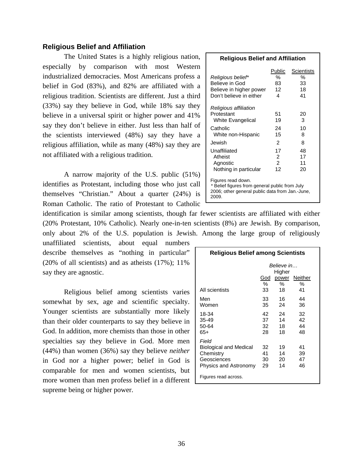# **Religious Belief and Affiliation**

 The United States is a highly religious nation, especially by comparison with most Western industrialized democracies. Most Americans profess a belief in God (83%), and 82% are affiliated with a religious tradition. Scientists are different. Just a third (33%) say they believe in God, while 18% say they believe in a universal spirit or higher power and 41% say they don't believe in either. Just less than half of the scientists interviewed (48%) say they have a religious affiliation, while as many (48%) say they are not affiliated with a religious tradition.

 A narrow majority of the U.S. public (51%) identifies as Protestant, including those who just call themselves "Christian." About a quarter (24%) is Roman Catholic. The ratio of Protestant to Catholic

identification is similar among scientists, though far fewer scientists are affiliated with either (20% Protestant, 10% Catholic). Nearly one-in-ten scientists (8%) are Jewish. By comparison, only about 2% of the U.S. population is Jewish. Among the large group of religiously

unaffiliated scientists, about equal numbers describe themselves as "nothing in particular" (20% of all scientists) and as atheists  $(17\%)$ ;  $11\%$ say they are agnostic.

 Religious belief among scientists varies somewhat by sex, age and scientific specialty. Younger scientists are substantially more likely than their older counterparts to say they believe in God. In addition, more chemists than those in other specialties say they believe in God. More men (44%) than women (36%) say they believe *neither* in God nor a higher power; belief in God is comparable for men and women scientists, but more women than men profess belief in a different supreme being or higher power.

### **Religious Belief and Affiliation**

| Religious belief*<br>Believe in God<br>Believe in higher power<br>Don't believe in either                                        | Public<br>℅<br>83<br>12<br>4   | Scientists<br>℅<br>33<br>18<br>41 |
|----------------------------------------------------------------------------------------------------------------------------------|--------------------------------|-----------------------------------|
| Religious affiliation<br>Protestant<br><b>White Evangelical</b><br>Catholic                                                      | 51<br>19<br>24                 | 20<br>3<br>10                     |
| White non-Hispanic<br>Jewish                                                                                                     | 15<br>2                        | 8<br>8                            |
| Unaffiliated<br>Atheist<br>Agnostic<br>Nothing in particular                                                                     | 17<br>2<br>$\mathcal{P}$<br>12 | 48<br>17<br>11<br>20              |
| Figures read down.<br>* Belief figures from general public from July<br>2006; other general public data from Jan.-June,<br>2009. |                                |                                   |

| <b>Religious Belief among Scientists</b>                                                    |                      |                      |                      |  |
|---------------------------------------------------------------------------------------------|----------------------|----------------------|----------------------|--|
|                                                                                             | Believe in<br>Higher |                      |                      |  |
|                                                                                             | God<br>℅             | power<br>℅           | Neither<br>℅         |  |
| All scientists                                                                              | 33                   | 18                   | 41                   |  |
| Men<br>Women                                                                                | 33<br>35             | 16<br>24             | 44<br>36             |  |
| 18-34<br>35-49<br>50-64<br>65+                                                              | 42<br>37<br>32<br>28 | 24<br>14<br>18<br>18 | 32<br>42<br>44<br>48 |  |
| Field<br><b>Biological and Medical</b><br>Chemistry<br>Geosciences<br>Physics and Astronomy | 32<br>41<br>30<br>29 | 19<br>14<br>20<br>14 | 41<br>39<br>47<br>46 |  |
| Figures read across.                                                                        |                      |                      |                      |  |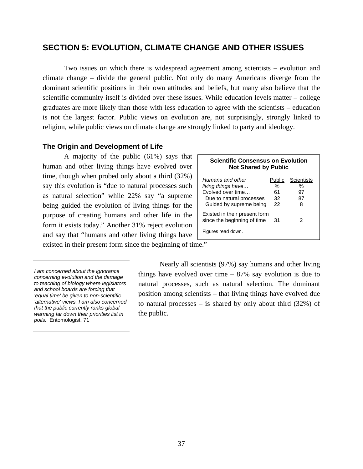# **SECTION 5: EVOLUTION, CLIMATE CHANGE AND OTHER ISSUES**

Two issues on which there is widespread agreement among scientists – evolution and climate change – divide the general public. Not only do many Americans diverge from the dominant scientific positions in their own attitudes and beliefs, but many also believe that the scientific community itself is divided over these issues. While education levels matter – college graduates are more likely than those with less education to agree with the scientists – education is not the largest factor. Public views on evolution are, not surprisingly, strongly linked to religion, while public views on climate change are strongly linked to party and ideology.

# **The Origin and Development of Life**

A majority of the public  $(61\%)$  says that  $\Gamma$ human and other living things have evolved over time, though when probed only about a third (32%) say this evolution is "due to natural processes such as natural selection" while 22% say "a supreme being guided the evolution of living things for the purpose of creating humans and other life in the form it exists today." Another 31% reject evolution and say that "humans and other living things have

| Scientific Consensus on Evolut<br><b>Not Shared by Public</b>                                                      |                               |                                    |  |
|--------------------------------------------------------------------------------------------------------------------|-------------------------------|------------------------------------|--|
| Humans and other<br>living things have<br>Evolved over time<br>Due to natural processes<br>Guided by supreme being | Public<br>℅<br>61<br>32<br>22 | <b>Scientists</b><br>%<br>97<br>87 |  |
| Existed in their present form<br>since the beginning of time<br>Figures read down.                                 | 31                            | 2                                  |  |

**Scientific Consensus on Evolution** 

existed in their present form since the beginning of time."

Nearly all scientists (97%) say humans and other living things have evolved over time  $-87\%$  say evolution is due to natural processes, such as natural selection. The dominant position among scientists – that living things have evolved due to natural processes – is shared by only about third (32%) of the public.

*I am concerned about the ignorance concerning evolution and the damage to teaching of biology where legislators and school boards are forcing that 'equal time' be given to non-scientific 'alternative' views. I am also concerned that the public currently ranks global warming far down their priorities list in polls.* Entomologist, 71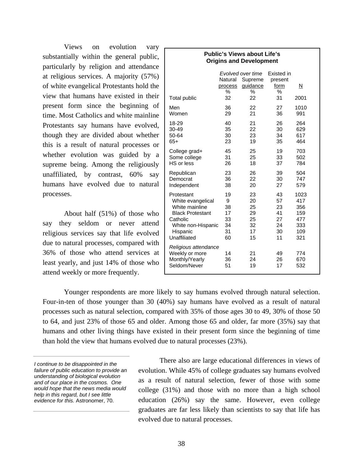Views on evolution vary substantially within the general public, particularly by religion and attendance at religious services. A majority (57%) of white evangelical Protestants hold the view that humans have existed in their present form since the beginning of time. Most Catholics and white mainline Protestants say humans have evolved, though they are divided about whether this is a result of natural processes or whether evolution was guided by a supreme being. Among the religiously unaffiliated, by contrast, 60% say humans have evolved due to natural processes.

About half (51%) of those who say they seldom or never attend religious services say that life evolved due to natural processes, compared with 36% of those who attend services at least yearly, and just 14% of those who attend weekly or more frequently.

# **Origins and Development**   *Evolved over time* Existed in Natural Supreme present process guidance form N % % % Total public 32 22 31 2001 Men 36 22 27 1010 Women 29 21 36 991 18-29 40 21 26 264 30-49 35 22 30 629 50-64 30 23 34 617 65+ 23 19 35 464 College grad+ 45 25 19 703 Some college 31 25 33 502 HS or less 26 18 Republican 23 26 39 504 Democrat 36 22 30 747 Independent Protestant 19 23 43 1023 White evangelical 9 20 57 417 White mainline 38 25 23 356 Black Protestant 17 29 41 159 Catholic 33 25 27 477<br>
White non-Hispanic 34 32 24 333 White non-Hispanic 34 32 24 333 Hispanic 31 17 30 109 Unaffiliated 60 15 11 321 *Religious attendance* Weekly or more  $14$  21 49 774 Monthly/Yearly 36 24 26 670 Seldom/Never 51 19 17 532

**Public's Views about Life's** 

Younger respondents are more likely to say humans evolved through natural selection. Four-in-ten of those younger than 30 (40%) say humans have evolved as a result of natural processes such as natural selection, compared with 35% of those ages 30 to 49, 30% of those 50 to 64, and just 23% of those 65 and older. Among those 65 and older, far more (35%) say that humans and other living things have existed in their present form since the beginning of time than hold the view that humans evolved due to natural processes (23%).

There also are large educational differences in views of evolution. While 45% of college graduates say humans evolved as a result of natural selection, fewer of those with some college (31%) and those with no more than a high school education (26%) say the same. However, even college graduates are far less likely than scientists to say that life has evolved due to natural processes.

*I continue to be disappointed in the failure of public education to provide an understanding of biological evolution and of our place in the cosmos. One would hope that the news media would help in this regard, but I see little evidence for this.* Astronomer, 70.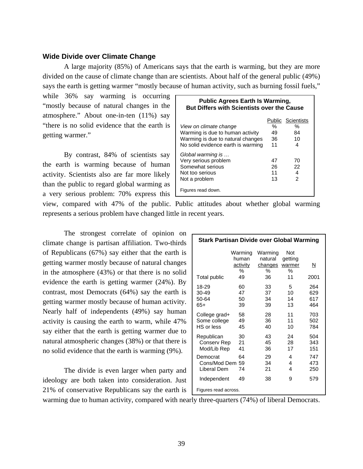# **Wide Divide over Climate Change**

A large majority (85%) of Americans says that the earth is warming, but they are more divided on the cause of climate change than are scientists. About half of the general public (49%) says the earth is getting warmer "mostly because of human activity, such as burning fossil fuels,"

while 36% say warming is occurring "mostly because of natural changes in the atmosphere." About one-in-ten (11%) say "there is no solid evidence that the earth is getting warmer."

By contrast, 84% of scientists say the earth is warming because of human activity. Scientists also are far more likely than the public to regard global warming as a very serious problem: 70% express this

| <b>Public Agrees Earth Is Warming,</b><br><b>But Differs with Scientists over the Cause</b> |    |                          |  |
|---------------------------------------------------------------------------------------------|----|--------------------------|--|
|                                                                                             |    | <b>Public Scientists</b> |  |
| View on climate change                                                                      | ℅  | %                        |  |
| Warming is due to human activity                                                            | 49 | 84                       |  |
| Warming is due to natural changes                                                           | 36 | 10                       |  |
| No solid evidence earth is warming                                                          | 11 | 4                        |  |
| Global warming is                                                                           |    |                          |  |
| Very serious problem                                                                        | 47 | 70                       |  |
| Somewhat serious                                                                            | 26 | 22                       |  |
| Not too serious                                                                             | 11 | 4                        |  |
| Not a problem                                                                               | 13 | $\mathfrak{p}$           |  |
| Figures read down.                                                                          |    |                          |  |

view, compared with 47% of the public. Public attitudes about whether global warming represents a serious problem have changed little in recent years.

The strongest correlate of opinion on climate change is partisan affiliation. Two-thirds of Republicans (67%) say either that the earth is getting warmer mostly because of natural changes in the atmosphere (43%) or that there is no solid evidence the earth is getting warmer (24%). By contrast, most Democrats (64%) say the earth is getting warmer mostly because of human activity. Nearly half of independents (49%) say human activity is causing the earth to warm, while 47% say either that the earth is getting warmer due to natural atmospheric changes (38%) or that there is no solid evidence that the earth is warming (9%).

The divide is even larger when party and ideology are both taken into consideration. Just 21% of conservative Republicans say the earth is

| <b>Stark Partisan Divide over Global Warming</b> |                                                |                                          |                                            |                          |
|--------------------------------------------------|------------------------------------------------|------------------------------------------|--------------------------------------------|--------------------------|
| Total public                                     | Warming<br>human<br><u>activity</u><br>%<br>49 | Warming<br>natural<br>changes<br>℅<br>36 | <b>Not</b><br>getting<br>warmer<br>%<br>11 | N<br>2001                |
| 18-29<br>30-49<br>50-64<br>$65+$                 | 60<br>47<br>50<br>39                           | 33<br>37<br>34<br>39                     | 5<br>10<br>14<br>13                        | 264<br>629<br>617<br>464 |
| College grad+<br>Some college<br>HS or less      | 58<br>49<br>45                                 | 28<br>36<br>40                           | 11<br>11<br>10                             | 703<br>502<br>784        |
| Republican<br>Conserv Rep<br>Mod/Lib Rep         | 30<br>21<br>41                                 | 43<br>45<br>36                           | 24<br>28<br>17                             | 504<br>343<br>151        |
| Democrat<br>Cons/Mod Dem 59<br>Liberal Dem       | 64<br>74                                       | 29<br>34<br>21                           | 4<br>4<br>4                                | 747<br>473<br>250        |
| Independent<br>Figures read across.              | 49                                             | 38                                       | 9                                          | 579                      |

warming due to human activity, compared with nearly three-quarters (74%) of liberal Democrats.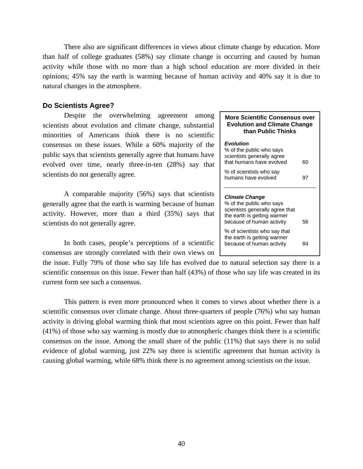There also are significant differences in views about climate change by education. More than half of college graduates (58%) say climate change is occurring and caused by human activity while those with no more than a high school education are more divided in their opinions; 45% say the earth is warming because of human activity and 40% say it is due to natural changes in the atmosphere.

# **Do Scientists Agree?**

Despite the overwhelming agreement among scientists about evolution and climate change, substantial minorities of Americans think there is no scientific consensus on these issues. While a 60% majority of the public says that scientists generally agree that humans have evolved over time, nearly three-in-ten (28%) say that scientists do not generally agree.

A comparable majority (56%) says that scientists generally agree that the earth is warming because of human activity. However, more than a third (35%) says that scientists do not generally agree.

In both cases, people's perceptions of a scientific consensus are strongly correlated with their own views on

the issue. Fully 79% of those who say life has evolved due to natural selection say there is a scientific consensus on this issue. Fewer than half (43%) of those who say life was created in its current form see such a consensus.

 This pattern is even more pronounced when it comes to views about whether there is a scientific consensus over climate change. About three-quarters of people (76%) who say human activity is driving global warming think that most scientists agree on this point. Fewer than half (41%) of those who say warming is mostly due to atmospheric changes think there is a scientific consensus on the issue. Among the small share of the public (11%) that says there is no solid evidence of global warming, just 22% say there is scientific agreement that human activity is causing global warming, while 68% think there is no agreement among scientists on the issue.

### **More Scientific Consensus over Evolution and Climate Change than Public Thinks**

# *Evolution*  % of the public who says scientists generally agree that humans have evolved 60 % of scientists who say humans have evolved 97 *Climate Change*  % of the public who says scientists generally agree that the earth is getting warmer because of human activity 56 % of scientists who say that the earth is getting warmer because of human activity 84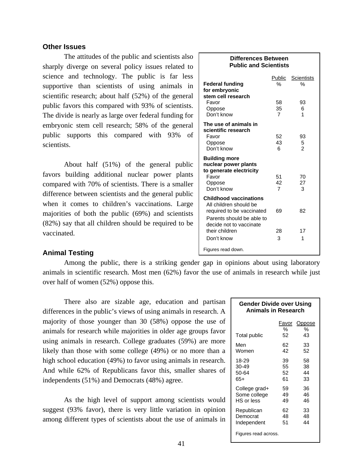# **Other Issues**

The attitudes of the public and scientists also sharply diverge on several policy issues related to science and technology. The public is far less supportive than scientists of using animals in scientific research; about half (52%) of the general public favors this compared with 93% of scientists. The divide is nearly as large over federal funding for embryonic stem cell research; 58% of the general public supports this compared with 93% of scientists.

 About half (51%) of the general public favors building additional nuclear power plants compared with 70% of scientists. There is a smaller difference between scientists and the general public when it comes to children's vaccinations. Large majorities of both the public (69%) and scientists (82%) say that all children should be required to be vaccinated.

# **Animal Testing**

Among the public, there is a striking gender gap in opinions about using laboratory animals in scientific research. Most men (62%) favor the use of animals in research while just over half of women (52%) oppose this.

There also are sizable age, education and partisan differences in the public's views of using animals in research. A majority of those younger than 30 (58%) oppose the use of animals for research while majorities in older age groups favor using animals in research. College graduates (59%) are more likely than those with some college (49%) or no more than a high school education (49%) to favor using animals in research. And while 62% of Republicans favor this, smaller shares of independents (51%) and Democrats (48%) agree.

As the high level of support among scientists would suggest (93% favor), there is very little variation in opinion among different types of scientists about the use of animals in

| Differences Between<br><b>Public and Scientists</b>                                                                                                                          |                            |                           |  |
|------------------------------------------------------------------------------------------------------------------------------------------------------------------------------|----------------------------|---------------------------|--|
| <b>Federal funding</b><br>for embryonic<br>stem cell research                                                                                                                | Public<br>%                | <b>Scientists</b><br>$\%$ |  |
| Favor<br>Oppose<br>Don't know                                                                                                                                                | 58<br>35<br>$\overline{7}$ | 93<br>6<br>1              |  |
| The use of animals in<br>scientific research<br>Favor<br>Oppose<br>Don't know                                                                                                | 52<br>43<br>6              | 93<br>5<br>$\overline{2}$ |  |
| <b>Building more</b><br>nuclear power plants<br>to generate electricity<br>Favor<br>Oppose<br>Don't know                                                                     | 51<br>42<br>$\overline{7}$ | 70<br>27<br>3             |  |
| <b>Childhood vaccinations</b><br>All children should be<br>required to be vaccinated<br>Parents should be able to<br>decide not to vaccinate<br>their children<br>Don't know | 69<br>28<br>3              | 82<br>17<br>1             |  |
| Figures read down.                                                                                                                                                           |                            |                           |  |

#### **Gender Divide over Using Animals in Research**

|               | Favor | Oppose |
|---------------|-------|--------|
|               | %     | %      |
| Total public  | 52    | 43     |
| Men           | 62    | 33     |
| Women         | 42    | 52     |
| 18-29         | 39    | 58     |
| 30-49         | 55    | 38     |
| 50-64         | 52    | 44     |
| 65+           | 61    | 33     |
| College grad+ | 59    | 36     |
| Some college  | 49    | 46     |
| HS or less    | 49    | 46     |
| Republican    | 62    | 33     |
| Democrat      | 48    | 48     |
| Independent   | 51    | 44     |
|               |       |        |

Figures read across.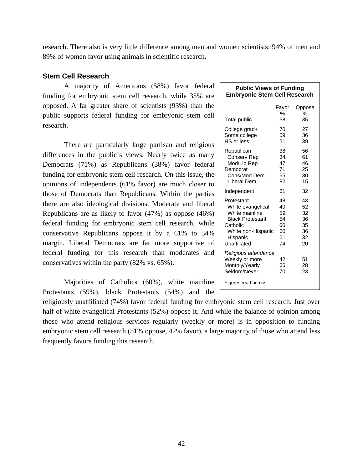research. There also is very little difference among men and women scientists: 94% of men and 89% of women favor using animals in scientific research.

# **Stem Cell Research**

A majority of Americans (58%) favor federal funding for embryonic stem cell research, while 35% are opposed. A far greater share of scientists (93%) than the public supports federal funding for embryonic stem cell research.

There are particularly large partisan and religious differences in the public's views. Nearly twice as many Democrats (71%) as Republicans (38%) favor federal funding for embryonic stem cell research. On this issue, the opinions of independents (61% favor) are much closer to those of Democrats than Republicans. Within the parties there are also ideological divisions. Moderate and liberal Republicans are as likely to favor (47%) as oppose (46%) federal funding for embryonic stem cell research, while conservative Republicans oppose it by a 61% to 34% margin. Liberal Democrats are far more supportive of federal funding for this research than moderates and conservatives within the party (82% vs. 65%).

Majorities of Catholics (60%), white mainline Protestants (59%), black Protestants (54%) and the

religiously unaffiliated (74%) favor federal funding for embryonic stem cell research. Just over half of white evangelical Protestants (52%) oppose it. And while the balance of opinion among those who attend religious services regularly (weekly or more) is in opposition to funding embryonic stem cell research (51% oppose, 42% favor), a large majority of those who attend less frequently favors funding this research.

| <b>Public Views of Funding</b>      |  |
|-------------------------------------|--|
| <b>Embryonic Stem Cell Research</b> |  |

|                                                                                                                                            | Favor<br>%                                   | Oppose<br>%                                  |
|--------------------------------------------------------------------------------------------------------------------------------------------|----------------------------------------------|----------------------------------------------|
| Total public                                                                                                                               | 58                                           | 35                                           |
| College grad+<br>Some college<br>HS or less                                                                                                | 70<br>59<br>51                               | 27<br>36<br>39                               |
| Republican<br>Conserv Rep<br>Mod/Lib Rep<br>Democrat<br>Cons/Mod Dem<br>Liberal Dem                                                        | 38<br>34<br>47<br>71<br>65<br>82             | 56<br>61<br>46<br>25<br>30<br>15             |
| Independent                                                                                                                                | 61                                           | 32                                           |
| Protestant<br>White evangelical<br>White mainline<br><b>Black Protestant</b><br>Catholic<br>White non-Hispanic<br>Hispanic<br>Unaffiliated | 48<br>40<br>59<br>54<br>60<br>60<br>61<br>74 | 43<br>52<br>32<br>36<br>35<br>36<br>32<br>20 |
| Religious attendance<br>Weekly or more<br>Monthly/Yearly<br>Seldom/Never<br>Figures read across.                                           | 42<br>66<br>70                               | 51<br>28<br>23                               |
|                                                                                                                                            |                                              |                                              |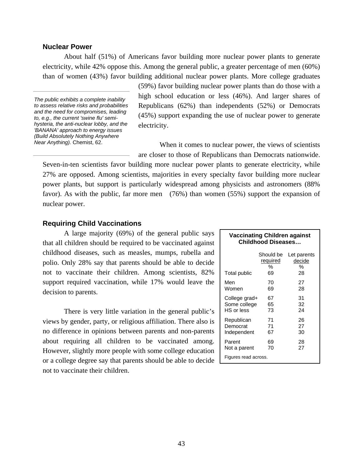# **Nuclear Power**

About half (51%) of Americans favor building more nuclear power plants to generate electricity, while 42% oppose this. Among the general public, a greater percentage of men (60%) than of women (43%) favor building additional nuclear power plants. More college graduates

*The public exhibits a complete inability to assess relative risks and probabilities and the need for compromises, leading to, e.g., the current 'swine flu' semihysteria, the anti-nuclear lobby, and the 'BANANA' approach to energy issues (Build Absolutely Nothing Anywhere Near Anything).* Chemist, 62.

(59%) favor building nuclear power plants than do those with a high school education or less (46%). And larger shares of Republicans (62%) than independents (52%) or Democrats (45%) support expanding the use of nuclear power to generate electricity.

When it comes to nuclear power, the views of scientists are closer to those of Republicans than Democrats nationwide.

Seven-in-ten scientists favor building more nuclear power plants to generate electricity, while 27% are opposed. Among scientists, majorities in every specialty favor building more nuclear power plants, but support is particularly widespread among physicists and astronomers (88% favor). As with the public, far more men (76%) than women (55%) support the expansion of nuclear power.

# **Requiring Child Vaccinations**

 A large majority (69%) of the general public says that all children should be required to be vaccinated against childhood diseases, such as measles, mumps, rubella and polio. Only 28% say that parents should be able to decide not to vaccinate their children. Among scientists, 82% support required vaccination, while 17% would leave the decision to parents.

There is very little variation in the general public's views by gender, party, or religious affiliation. There also is no difference in opinions between parents and non-parents about requiring all children to be vaccinated among. However, slightly more people with some college education or a college degree say that parents should be able to decide not to vaccinate their children.

|                      | <b>Childhood Diseases</b>        |                                  |  |  |
|----------------------|----------------------------------|----------------------------------|--|--|
| Total public         | Should be<br>required<br>%<br>69 | Let parents<br>decide<br>%<br>28 |  |  |
| Men                  | 70                               | 27                               |  |  |
| Women                | 69                               | 28                               |  |  |
| College grad+        | 67                               | 31                               |  |  |
| Some college         | 65                               | 32                               |  |  |
| HS or less           | 73                               | 24                               |  |  |
| Republican           | 71                               | 26                               |  |  |
| Democrat             | 71                               | 27                               |  |  |
| Independent          | 67                               | 30                               |  |  |
| Parent               | 69                               | 28                               |  |  |
| Not a parent         | 70                               | 27                               |  |  |
| Figures read across. |                                  |                                  |  |  |

**Vaccinating Children against**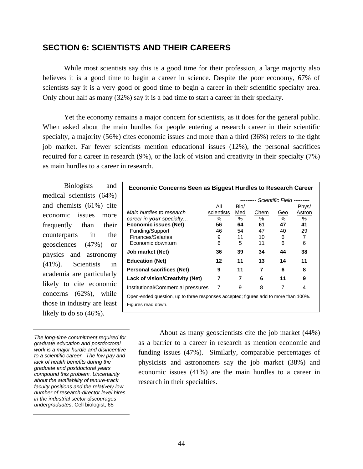# **SECTION 6: SCIENTISTS AND THEIR CAREERS**

 While most scientists say this is a good time for their profession, a large majority also believes it is a good time to begin a career in science. Despite the poor economy, 67% of scientists say it is a very good or good time to begin a career in their scientific specialty area. Only about half as many (32%) say it is a bad time to start a career in their specialty.

 Yet the economy remains a major concern for scientists, as it does for the general public. When asked about the main hurdles for people entering a research career in their scientific specialty, a majority (56%) cites economic issues and more than a third (36%) refers to the tight job market. Far fewer scientists mention educational issues (12%), the personal sacrifices required for a career in research (9%), or the lack of vision and creativity in their specialty (7%) as main hurdles to a career in research.

Biologists and medical scientists (64%) and chemists (61%) cite economic issues more frequently than their counterparts in the geosciences (47%) or physics and astronomy (41%). Scientists in academia are particularly likely to cite economic concerns (62%), while those in industry are least likely to do so (46%).

*The long-time commitment required for graduate education and postdoctoral work is a major hurdle and disincentive to a scientific career. The low pay and lack of health benefits during the graduate and postdoctoral years compound this problem. Uncertainty about the availability of tenure-track faculty positions and the relatively low number of research-director level hires in the industrial sector discourages undergraduates*. Cell biologist, 65

| <b>Economic Concerns Seen as Biggest Hurdles to Research Career</b>                 |            |      |      |                            |        |
|-------------------------------------------------------------------------------------|------------|------|------|----------------------------|--------|
|                                                                                     |            |      |      | Scientific Field --------- |        |
|                                                                                     | All        | Bio/ |      |                            | Phys/  |
| Main hurdles to research                                                            | scientists | Med  | Chem | Geo                        | Astron |
| career in <b>your</b> specialty                                                     | %          | ℅    | ℅    | $\%$                       | $\%$   |
| Economic issues (Net)                                                               | 56         | 64   | 61   | 47                         | 41     |
| Funding/Support                                                                     | 46         | 54   | 47   | 40                         | 29     |
| <b>Finances/Salaries</b>                                                            | 9          | 11   | 10   | 6                          | 7      |
| Economic downturn                                                                   | 6          | 5    | 11   | 6                          | 6      |
| Job market (Net)                                                                    | 36         | 39   | 34   | 44                         | 38     |
| <b>Education (Net)</b>                                                              | 12         | 11   | 13   | 14                         | 11     |
| <b>Personal sacrifices (Net)</b>                                                    | 9          | 11   | 7    | 6                          | 8      |
| <b>Lack of vision/Creativity (Net)</b>                                              | 7          | 7    | 6    | 11                         | 9      |
| Institutional/Commercial pressures                                                  | 7          | 9    | 8    | 7                          | 4      |
| Open-ended question, up to three responses accepted; figures add to more than 100%. |            |      |      |                            |        |
| Figures read down.                                                                  |            |      |      |                            |        |

 About as many geoscientists cite the job market (44%) as a barrier to a career in research as mention economic and funding issues (47%). Similarly, comparable percentages of physicists and astronomers say the job market (38%) and economic issues (41%) are the main hurdles to a career in research in their specialties.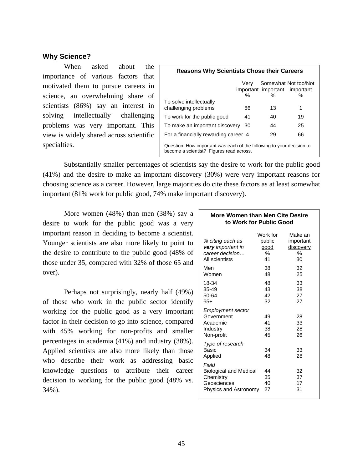# **Why Science?**

 When asked about the importance of various factors that motivated them to pursue careers in science, an overwhelming share of scientists (86%) say an interest in solving intellectually challenging problems was very important. This view is widely shared across scientific specialties.

| <b>Reasons Why Scientists Chose their Careers</b>                                                                 |           |                          |                                        |  |  |  |
|-------------------------------------------------------------------------------------------------------------------|-----------|--------------------------|----------------------------------------|--|--|--|
|                                                                                                                   | Verv<br>% | important important<br>℅ | Somewhat Not too/Not<br>important<br>℅ |  |  |  |
| To solve intellectually<br>challenging problems                                                                   | 86        | 13                       | 1                                      |  |  |  |
| To work for the public good                                                                                       | 41        | 40                       | 19                                     |  |  |  |
| To make an important discovery                                                                                    | -30       | 44                       | 25                                     |  |  |  |
| For a financially rewarding career 4                                                                              |           | 29                       | 66                                     |  |  |  |
| Question: How important was each of the following to your decision to<br>become a scientist? Figures read across. |           |                          |                                        |  |  |  |

 Substantially smaller percentages of scientists say the desire to work for the public good (41%) and the desire to make an important discovery (30%) were very important reasons for choosing science as a career. However, large majorities do cite these factors as at least somewhat important (81% work for public good, 74% make important discovery).

More women (48%) than men (38%) say a desire to work for the public good was a very important reason in deciding to become a scientist. Younger scientists are also more likely to point to the desire to contribute to the public good (48% of those under 35, compared with 32% of those 65 and over).

Perhaps not surprisingly, nearly half (49%) of those who work in the public sector identify working for the public good as a very important factor in their decision to go into science, compared with 45% working for non-profits and smaller percentages in academia (41%) and industry (38%). Applied scientists are also more likely than those who describe their work as addressing basic knowledge questions to attribute their career decision to working for the public good (48% vs. 34%).

## **More Women than Men Cite Desire to Work for Public Good**

| % citing each as<br>very important in<br>career decision<br>All scientists                  | Work for<br>public<br>good<br>℅<br>41 | Make an<br>important<br>discovery<br>℅<br>30 |
|---------------------------------------------------------------------------------------------|---------------------------------------|----------------------------------------------|
| Men<br>Women                                                                                | 38<br>48                              | 32<br>25                                     |
| 18-34<br>35-49<br>50-64<br>65+                                                              | 48<br>43<br>42<br>32                  | 33<br>38<br>27<br>27                         |
| <b>Employment sector</b><br>Government<br>Academic<br>Industry<br>Non-profit                | 49<br>41<br>38<br>45                  | 28<br>33<br>28<br>26                         |
| Type of research<br>Basic<br>Applied                                                        | 34<br>48                              | 33<br>28                                     |
| Field<br><b>Biological and Medical</b><br>Chemistry<br>Geosciences<br>Physics and Astronomy | 44<br>35<br>40<br>27                  | 32<br>37<br>17<br>31                         |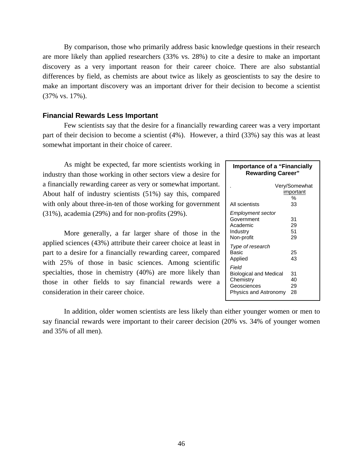By comparison, those who primarily address basic knowledge questions in their research are more likely than applied researchers (33% vs. 28%) to cite a desire to make an important discovery as a very important reason for their career choice. There are also substantial differences by field, as chemists are about twice as likely as geoscientists to say the desire to make an important discovery was an important driver for their decision to become a scientist (37% vs. 17%).

# **Financial Rewards Less Important**

Few scientists say that the desire for a financially rewarding career was a very important part of their decision to become a scientist (4%). However, a third (33%) say this was at least somewhat important in their choice of career.

 As might be expected, far more scientists working in industry than those working in other sectors view a desire for a financially rewarding career as very or somewhat important. About half of industry scientists (51%) say this, compared with only about three-in-ten of those working for government (31%), academia (29%) and for non-profits (29%).

More generally, a far larger share of those in the applied sciences (43%) attribute their career choice at least in part to a desire for a financially rewarding career, compared with 25% of those in basic sciences. Among scientific specialties, those in chemistry (40%) are more likely than those in other fields to say financial rewards were a consideration in their career choice.

In addition, older women scientists are less likely than either younger women or men to say financial rewards were important to their career decision (20% vs. 34% of younger women and 35% of all men).

# **Importance of a "Financially Rewarding Career"**

| All scientists                                                                              | Very/Somewhat<br><i>important</i><br>%<br>33 |
|---------------------------------------------------------------------------------------------|----------------------------------------------|
| Employment sector<br>Government<br>Academic<br>Industry<br>Non-profit                       | 31<br>29<br>51<br>29                         |
| Type of research<br>Basic<br>Applied                                                        | 25<br>43                                     |
| Field<br><b>Biological and Medical</b><br>Chemistry<br>Geosciences<br>Physics and Astronomy | 31<br>40<br>29<br>28                         |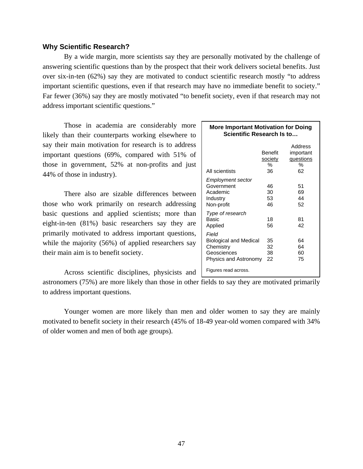# **Why Scientific Research?**

 By a wide margin, more scientists say they are personally motivated by the challenge of answering scientific questions than by the prospect that their work delivers societal benefits. Just over six-in-ten (62%) say they are motivated to conduct scientific research mostly "to address important scientific questions, even if that research may have no immediate benefit to society." Far fewer (36%) say they are mostly motivated "to benefit society, even if that research may not address important scientific questions."

 Those in academia are considerably more likely than their counterparts working elsewhere to say their main motivation for research is to address important questions (69%, compared with 51% of those in government, 52% at non-profits and just 44% of those in industry).

There also are sizable differences between those who work primarily on research addressing basic questions and applied scientists; more than eight-in-ten (81%) basic researchers say they are primarily motivated to address important questions, while the majority (56%) of applied researchers say their main aim is to benefit society.

Across scientific disciplines, physicists and

astronomers (75%) are more likely than those in other fields to say they are motivated primarily to address important questions.

Younger women are more likely than men and older women to say they are mainly motivated to benefit society in their research (45% of 18-49 year-old women compared with 34% of older women and men of both age groups).

| <b>More Important Motivation for Doing</b><br>Scientific Research Is to                     |                               |                                              |  |  |  |
|---------------------------------------------------------------------------------------------|-------------------------------|----------------------------------------------|--|--|--|
| All scientists                                                                              | Benefit<br>society<br>℅<br>36 | Address<br>important<br>questions<br>℅<br>62 |  |  |  |
| Employment sector<br>Government<br>Academic<br>Industry<br>Non-profit                       | 46<br>30<br>53<br>46          | 51<br>69<br>44<br>52                         |  |  |  |
| Type of research<br><b>Basic</b><br>Applied                                                 | 18<br>56                      | 81<br>42                                     |  |  |  |
| Field<br><b>Biological and Medical</b><br>Chemistry<br>Geosciences<br>Physics and Astronomy | 35<br>32<br>38<br>22          | 64<br>64<br>60<br>75                         |  |  |  |
| Figures read across.                                                                        |                               |                                              |  |  |  |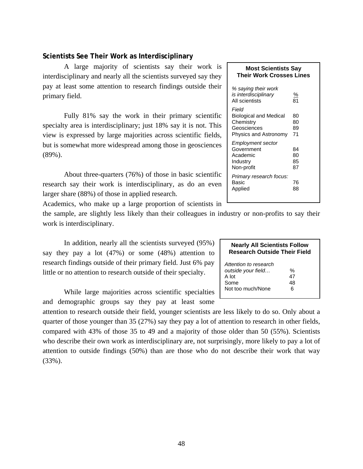# **Scientists See Their Work as Interdisciplinary**

 A large majority of scientists say their work is interdisciplinary and nearly all the scientists surveyed say they pay at least some attention to research findings outside their primary field.

 Fully 81% say the work in their primary scientific specialty area is interdisciplinary; just 18% say it is not. This view is expressed by large majorities across scientific fields, but is somewhat more widespread among those in geosciences (89%).

About three-quarters (76%) of those in basic scientific research say their work is interdisciplinary, as do an even larger share (88%) of those in applied research.

Academics, who make up a large proportion of scientists in

the sample, are slightly less likely than their colleagues in industry or non-profits to say their work is interdisciplinary.

 In addition, nearly all the scientists surveyed (95%) say they pay a lot (47%) or some (48%) attention to research findings outside of their primary field. Just 6% pay little or no attention to research outside of their specialty.

 While large majorities across scientific specialties and demographic groups say they pay at least some

attention to research outside their field, younger scientists are less likely to do so. Only about a quarter of those younger than 35 (27%) say they pay a lot of attention to research in other fields, compared with 43% of those 35 to 49 and a majority of those older than 50 (55%). Scientists who describe their own work as interdisciplinary are, not surprisingly, more likely to pay a lot of attention to outside findings (50%) than are those who do not describe their work that way (33%).

# **Most Scientists Say Their Work Crosses Lines**

| % saying their work<br>is interdisciplinary<br>All scientists                               | $\frac{9}{6}$<br>81  |
|---------------------------------------------------------------------------------------------|----------------------|
| Field<br><b>Biological and Medical</b><br>Chemistry<br>Geosciences<br>Physics and Astronomy | 80<br>80<br>89<br>71 |
| Employment sector<br>Government<br>Academic<br>Industry<br>Non-profit                       | 84<br>80<br>85<br>87 |
| Primary research focus:<br>Basic<br>Applied                                                 | 76<br>88             |

# **Nearly All Scientists Follow Research Outside Their Field**

| Attention to research |    |
|-----------------------|----|
| outside your field    | %  |
| A lot                 | 47 |
| Some                  | 48 |
| Not too much/None     | 6  |
|                       |    |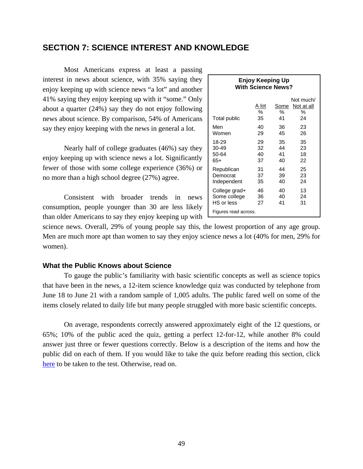# **SECTION 7: SCIENCE INTEREST AND KNOWLEDGE**

 Most Americans express at least a passing interest in news about science, with 35% saying they enjoy keeping up with science news "a lot" and another 41% saying they enjoy keeping up with it "some." Only about a quarter (24%) say they do not enjoy following news about science. By comparison, 54% of Americans say they enjoy keeping with the news in general a lot.

 Nearly half of college graduates (46%) say they enjoy keeping up with science news a lot. Significantly fewer of those with some college experience (36%) or no more than a high school degree (27%) agree.

 Consistent with broader trends in news consumption, people younger than 30 are less likely than older Americans to say they enjoy keeping up with

| Enjoy Keeping Up<br><b>With Science News?</b> |                  |                 |                                    |
|-----------------------------------------------|------------------|-----------------|------------------------------------|
| Total public                                  | A_lot<br>%<br>35 | Some<br>℅<br>41 | Not much/<br>Not at all<br>℅<br>24 |
| Men                                           | 40               | 36              | 23                                 |
| Women                                         | 29               | 45              | 26                                 |
| 18-29                                         | 29               | 35              | 35                                 |
| 30-49                                         | 32               | 44              | 23                                 |
| 50-64                                         | 40               | 41              | 18                                 |
| 65+                                           | 37               | 40              | 22                                 |
| Republican                                    | 31               | 44              | 25                                 |
| Democrat                                      | 37               | 39              | 23                                 |
| Independent                                   | 35               | 40              | 24                                 |
| College grad+                                 | 46               | 40              | 13                                 |
| Some college                                  | 36               | 40              | 24                                 |
| HS or less                                    | 27               | 41              | 31                                 |
| Figures read across.                          |                  |                 |                                    |

science news. Overall, 29% of young people say this, the lowest proportion of any age group. Men are much more apt than women to say they enjoy science news a lot (40% for men, 29% for women).

# **What the Public Knows about Science**

To gauge the public's familiarity with basic scientific concepts as well as science topics that have been in the news, a 12-item science knowledge quiz was conducted by telephone from June 18 to June 21 with a random sample of 1,005 adults. The public fared well on some of the items closely related to daily life but many people struggled with more basic scientific concepts.

On average, respondents correctly answered approximately eight of the 12 questions, or 65%; 10% of the public aced the quiz, getting a perfect 12-for-12, while another 8% could answer just three or fewer questions correctly. Below is a description of the items and how the public did on each of them. If you would like to take the quiz before reading this section, click [here](http://pewresearch.org/sciencequiz/) to be taken to the test. Otherwise, read on.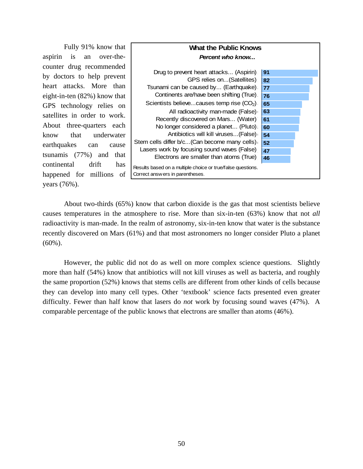Fully 91% know that aspirin is an over-thecounter drug recommended by doctors to help prevent heart attacks. More than eight-in-ten (82%) know that GPS technology relies on satellites in order to work. About three-quarters each know that underwater earthquakes can cause tsunamis (77%) and that continental drift has happened for millions of years (76%).



About two-thirds (65%) know that carbon dioxide is the gas that most scientists believe causes temperatures in the atmosphere to rise. More than six-in-ten (63%) know that not *all* radioactivity is man-made. In the realm of astronomy, six-in-ten know that water is the substance recently discovered on Mars (61%) and that most astronomers no longer consider Pluto a planet (60%).

However, the public did not do as well on more complex science questions. Slightly more than half (54%) know that antibiotics will not kill viruses as well as bacteria, and roughly the same proportion (52%) knows that stems cells are different from other kinds of cells because they can develop into many cell types. Other 'textbook' science facts presented even greater difficulty. Fewer than half know that lasers do *not* work by focusing sound waves (47%). A comparable percentage of the public knows that electrons are smaller than atoms (46%).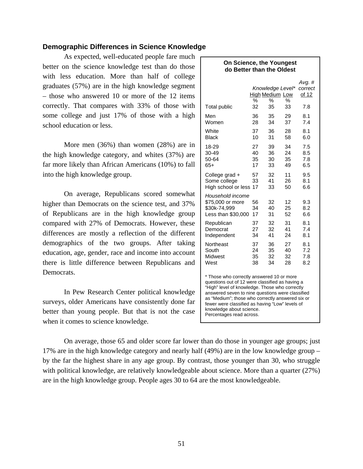# **Demographic Differences in Science Knowledge**

As expected, well-educated people fare much better on the science knowledge test than do those with less education. More than half of college graduates (57%) are in the high knowledge segment – those who answered 10 or more of the 12 items correctly. That compares with 33% of those with some college and just 17% of those with a high school education or less.

 More men (36%) than women (28%) are in the high knowledge category, and whites (37%) are far more likely than African Americans (10%) to fall into the high knowledge group.

On average, Republicans scored somewhat higher than Democrats on the science test, and 37% of Republicans are in the high knowledge group compared with 27% of Democrats. However, these differences are mostly a reflection of the different demographics of the two groups. After taking education, age, gender, race and income into account there is little difference between Republicans and Democrats.

In Pew Research Center political knowledge surveys, older Americans have consistently done far better than young people. But that is not the case when it comes to science knowledge.

# **On Science, the Youngest do Better than the Oldest**   *Avg. # Knowledge Level\* correct*  High Medium Low of 12 % % % Total public 32 35 33 7.8 Men 36 35 29 8.1 Women 28 34 37 7.4 White 37 36 28 8.1 Black 10 31 58 6.0 18-29 27 39 34 7.5 30-49 40 36 24 8.5 50-64 35 30 35 7.8 65+ 17 33 49 6.5

| College grad +<br>Some college<br>High school or less 17                   | 57<br>33       | 32<br>41<br>33 | 11<br>26<br>50 | 9.5<br>8.1<br>6.6 |
|----------------------------------------------------------------------------|----------------|----------------|----------------|-------------------|
| Household income<br>\$75,000 or more<br>\$30k-74,999<br>Less than \$30,000 | 56<br>34<br>17 | 32<br>40<br>31 | 12<br>25<br>52 | 9.3<br>8.2<br>6.6 |
| Republican                                                                 | 37             | 32             | 31             | 8.1               |
| Democrat                                                                   | 27             | 32             | 41             | 7.4               |
| Independent                                                                | 34             | 41             | 24             | 8.1               |
| Northeast                                                                  | 37             | 36             | 27             | 8.1               |
| South                                                                      | 24             | 35             | 40             | 7.2               |
| Midwest                                                                    | 35             | 32             | 32             | 7.8               |
| West                                                                       | 38             | 34             | 28             | 8.2               |

\* Those who correctly answered 10 or more questions out of 12 were classified as having a "High" level of knowledge. Those who correctly answered seven to nine questions were classified as "Medium"; those who correctly answered six or fewer were classified as having "Low" levels of knowledge about science. Percentages read across.

On average, those 65 and older score far lower than do those in younger age groups; just 17% are in the high knowledge category and nearly half (49%) are in the low knowledge group – by the far the highest share in any age group. By contrast, those younger than 30, who struggle with political knowledge, are relatively knowledgeable about science. More than a quarter (27%) are in the high knowledge group. People ages 30 to 64 are the most knowledgeable.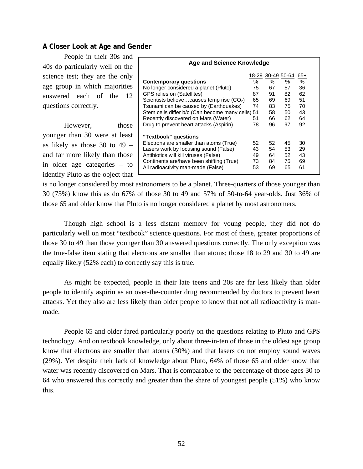# **A Closer Look at Age and Gender**

 People in their 30s and 40s do particularly well on the science test; they are the only age group in which majorities answered each of the 12 questions correctly.

However, those younger than 30 were at least as likely as those  $30$  to  $49$ and far more likely than those in older age categories – to identify Pluto as the object that

| <b>Age and Science Knowledge</b>                 |     |     |                   |      |
|--------------------------------------------------|-----|-----|-------------------|------|
|                                                  |     |     | 18-29 30-49 50-64 | 65+  |
| <b>Contemporary questions</b>                    | ℅   | ℅   | ℅                 | $\%$ |
| No longer considered a planet (Pluto)            | 75  | 67  | 57                | 36   |
| <b>GPS relies on (Satellites)</b>                | 87  | 91  | 82                | 62   |
| Scientists believecauses temp rise $(CO2)$       | 65  | 69  | 69.               | 51   |
| Tsunami can be caused by (Earthquakes)           | 74  | 83  | 75                | 70   |
| Stem cells differ b/c (Can become many cells) 51 |     | 58  | 50                | 43   |
| Recently discovered on Mars (Water)              | 51  | 66  | 62                | 64   |
| Drug to prevent heart attacks (Aspirin)          | 78  | 96  | 97                | 92   |
| "Textbook" questions                             |     |     |                   |      |
| Electrons are smaller than atoms (True)          | 52  | 52. | 45                | 30   |
| Lasers work by focusing sound (False)            | 43  | 54  | 53                | 29   |
| Antibiotics will kill viruses (False)            | 49. | 64  | 52                | 43   |
| Continents are/have been shifting (True)         | 73  | 84  | 75                | 69   |
| All radioactivity man-made (False)               | 53  | 69  | 65                | 61   |

is no longer considered by most astronomers to be a planet. Three-quarters of those younger than 30 (75%) know this as do 67% of those 30 to 49 and 57% of 50-to-64 year-olds. Just 36% of those 65 and older know that Pluto is no longer considered a planet by most astronomers.

 Though high school is a less distant memory for young people, they did not do particularly well on most "textbook" science questions. For most of these, greater proportions of those 30 to 49 than those younger than 30 answered questions correctly. The only exception was the true-false item stating that electrons are smaller than atoms; those 18 to 29 and 30 to 49 are equally likely (52% each) to correctly say this is true.

 As might be expected, people in their late teens and 20s are far less likely than older people to identify aspirin as an over-the-counter drug recommended by doctors to prevent heart attacks. Yet they also are less likely than older people to know that not all radioactivity is manmade.

 People 65 and older fared particularly poorly on the questions relating to Pluto and GPS technology. And on textbook knowledge, only about three-in-ten of those in the oldest age group know that electrons are smaller than atoms (30%) and that lasers do not employ sound waves (29%). Yet despite their lack of knowledge about Pluto, 64% of those 65 and older know that water was recently discovered on Mars. That is comparable to the percentage of those ages 30 to 64 who answered this correctly and greater than the share of youngest people (51%) who know this.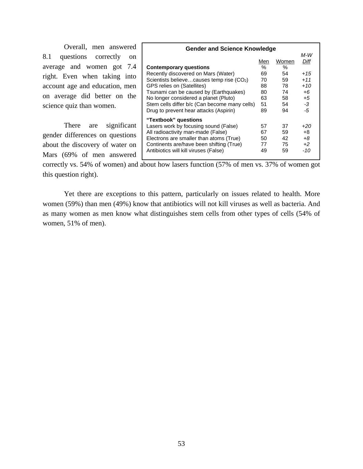|                          |  |  | Overall, men answered          |
|--------------------------|--|--|--------------------------------|
|                          |  |  | 8.1 questions correctly on     |
|                          |  |  | average and women got 7.4      |
|                          |  |  | right. Even when taking into   |
|                          |  |  | account age and education, men |
|                          |  |  | on average did better on the   |
| science quiz than women. |  |  |                                |

There are significant gender differences on questions about the discovery of water on Mars (69% of men answered

| <b>Gender and Science Knowledge</b>           |     |       |       |  |  |
|-----------------------------------------------|-----|-------|-------|--|--|
|                                               |     |       | M-W   |  |  |
|                                               | Men | Women | Diff  |  |  |
| <b>Contemporary questions</b>                 | ℅   | $\%$  |       |  |  |
| Recently discovered on Mars (Water)           | 69  | 54    | $+15$ |  |  |
| Scientists believecauses temp rise $(CO2)$    | 70  | 59    | $+11$ |  |  |
| <b>GPS relies on (Satellites)</b>             | 88  | 78    | $+10$ |  |  |
| Tsunami can be caused by (Earthquakes)        | 80  | 74    | $+6$  |  |  |
| No longer considered a planet (Pluto)         | 63  | 58    | $+5$  |  |  |
| Stem cells differ b/c (Can become many cells) | 51  | 54    | $-3$  |  |  |
| Drug to prevent hear attacks (Aspirin)        | 89  | 94    | -5    |  |  |
| "Textbook" questions                          |     |       |       |  |  |
| Lasers work by focusing sound (False)         | 57  | 37    | +20   |  |  |
| All radioactivity man-made (False)            | 67  | 59    | +8    |  |  |
| Electrons are smaller than atoms (True)       | 50  | 42    | $+8$  |  |  |
| Continents are/have been shifting (True)      | 77  | 75    | $+2$  |  |  |
| Antibiotics will kill viruses (False)         | 49  | 59    | $-10$ |  |  |

correctly vs. 54% of women) and about how lasers function (57% of men vs. 37% of women got this question right).

Yet there are exceptions to this pattern, particularly on issues related to health. More women (59%) than men (49%) know that antibiotics will not kill viruses as well as bacteria. And as many women as men know what distinguishes stem cells from other types of cells (54% of women, 51% of men).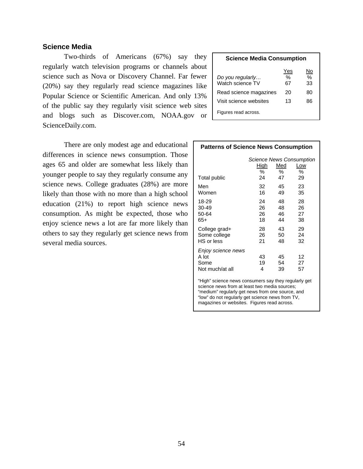# **Science Media**

 Two-thirds of Americans (67%) say they regularly watch television programs or channels about science such as Nova or Discovery Channel. Far fewer (20%) say they regularly read science magazines like Popular Science or Scientific American. And only 13% of the public say they regularly visit science web sites and blogs such as Discover.com, NOAA.gov or ScienceDaily.com.

 There are only modest age and educational differences in science news consumption. Those ages 65 and older are somewhat less likely than younger people to say they regularly consume any science news. College graduates (28%) are more likely than those with no more than a high school education (21%) to report high science news consumption. As might be expected, those who enjoy science news a lot are far more likely than others to say they regularly get science news from several media sources.

# **Science Media Consumption**  Yes No *Do you regularly…* % % Watch science TV 67 33 Read science magazines 20 80

Visit science websites 13 86

Figures read across.

## **Patterns of Science News Consumption**

| Total public                                           | High<br>℅<br>24 | Med<br>℅<br>47 | <b>Science News Consumption</b><br>Low<br>℅<br>29 |
|--------------------------------------------------------|-----------------|----------------|---------------------------------------------------|
| Men                                                    | 32              | 45             | 23                                                |
| Women                                                  | 16              | 49             | 35                                                |
| 18-29                                                  | 24              | 48             | 28                                                |
| 30-49                                                  | 26              | 48             | 26                                                |
| 50-64                                                  | 26              | 46             | 27                                                |
| 65+                                                    | 18              | 44             | 38                                                |
| College grad+                                          | 28              | 43             | 29                                                |
| Some college                                           | 26              | 50             | 24                                                |
| HS or less                                             | 21              | 48             | 32                                                |
| Enjoy science news<br>A lot<br>Some<br>Not much/at all | 43<br>19<br>4   | 45<br>54<br>39 | 12<br>27<br>57                                    |
| "High" science news consumers say they regularly get   |                 |                |                                                   |

science news from at least two media sources; "medium" regularly get news from one source, and "low" do not regularly get science news from TV, magazines or websites. Figures read across.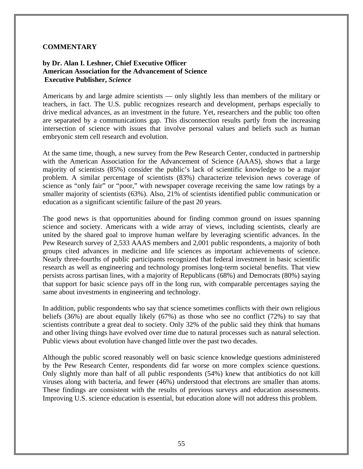# **COMMENTARY**

# **by Dr. Alan I. Leshner, Chief Executive Officer American Association for the Advancement of Science Executive Publisher,** *Science*

Americans by and large admire scientists — only slightly less than members of the military or teachers, in fact. The U.S. public recognizes research and development, perhaps especially to drive medical advances, as an investment in the future. Yet, researchers and the public too often are separated by a communications gap. This disconnection results partly from the increasing intersection of science with issues that involve personal values and beliefs such as human embryonic stem cell research and evolution.

At the same time, though, a new survey from the Pew Research Center, conducted in partnership with the American Association for the Advancement of Science (AAAS), shows that a large majority of scientists (85%) consider the public's lack of scientific knowledge to be a major problem. A similar percentage of scientists (83%) characterize television news coverage of science as "only fair" or "poor," with newspaper coverage receiving the same low ratings by a smaller majority of scientists (63%). Also, 21% of scientists identified public communication or education as a significant scientific failure of the past 20 years.

The good news is that opportunities abound for finding common ground on issues spanning science and society. Americans with a wide array of views, including scientists, clearly are united by the shared goal to improve human welfare by leveraging scientific advances. In the Pew Research survey of 2,533 AAAS members and 2,001 public respondents, a majority of both groups cited advances in medicine and life sciences as important achievements of science. Nearly three-fourths of public participants recognized that federal investment in basic scientific research as well as engineering and technology promises long-term societal benefits. That view persists across partisan lines, with a majority of Republicans (68%) and Democrats (80%) saying that support for basic science pays off in the long run, with comparable percentages saying the same about investments in engineering and technology.

In addition, public respondents who say that science sometimes conflicts with their own religious beliefs (36%) are about equally likely (67%) as those who see no conflict (72%) to say that scientists contribute a great deal to society. Only 32% of the public said they think that humans and other living things have evolved over time due to natural processes such as natural selection. Public views about evolution have changed little over the past two decades.

Although the public scored reasonably well on basic science knowledge questions administered by the Pew Research Center, respondents did far worse on more complex science questions. Only slightly more than half of all public respondents (54%) knew that antibiotics do not kill viruses along with bacteria, and fewer (46%) understood that electrons are smaller than atoms. These findings are consistent with the results of previous surveys and education assessments. Improving U.S. science education is essential, but education alone will not address this problem.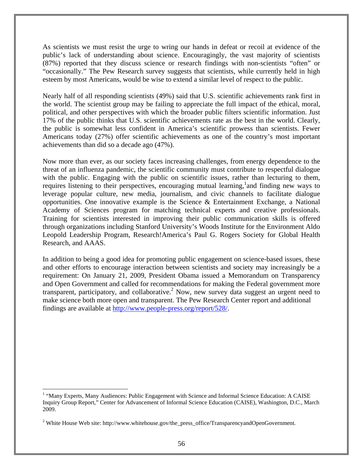As scientists we must resist the urge to wring our hands in defeat or recoil at evidence of the public's lack of understanding about science. Encouragingly, the vast majority of scientists (87%) reported that they discuss science or research findings with non-scientists "often" or "occasionally." The Pew Research survey suggests that scientists, while currently held in high esteem by most Americans, would be wise to extend a similar level of respect to the public.

Nearly half of all responding scientists (49%) said that U.S. scientific achievements rank first in the world. The scientist group may be failing to appreciate the full impact of the ethical, moral, political, and other perspectives with which the broader public filters scientific information. Just 17% of the public thinks that U.S. scientific achievements rate as the best in the world. Clearly, the public is somewhat less confident in America's scientific prowess than scientists. Fewer Americans today (27%) offer scientific achievements as one of the country's most important achievements than did so a decade ago (47%).

Now more than ever, as our society faces increasing challenges, from energy dependence to the threat of an influenza pandemic, the scientific community must contribute to respectful dialogue with the public. Engaging with the public on scientific issues, rather than lecturing to them, requires listening to their perspectives, encouraging mutual learning, and finding new ways to leverage popular culture, new media, journalism, and civic channels to facilitate dialogue opportunities. One innovative example is the Science & Entertainment Exchange, a National Academy of Sciences program for matching technical experts and creative professionals. Training for scientists interested in improving their public communication skills is offered through organizations including Stanford University's Woods Institute for the Environment Aldo Leopold Leadership Program, Research!America's Paul G. Rogers Society for Global Health Research, and AAAS.

In addition to being a good idea for promoting public engagement on science-based issues, these and other efforts to encourage interaction between scientists and society may increasingly be a requirement: On January 21, 2009, President Obama issued a Memorandum on Transparency and Open Government and called for recommendations for making the Federal government more transparent, participatory, and collaborative.<sup>2</sup> Now, new survey data suggest an urgent need to make science both more open and transparent. The Pew Research Center report and additional findings are available at http://www.people-press.org/report/528/.

 $\overline{a}$ 

<sup>&</sup>lt;sup>1</sup> "Many Experts, Many Audiences: Public Engagement with Science and Informal Science Education: A CAISE Inquiry Group Report," Center for Advancement of Informal Science Education (CAISE), Washington, D.C., March 2009.

<sup>&</sup>lt;sup>2</sup> White House Web site: http://www.whitehouse.gov/the\_press\_office/TransparencyandOpenGovernment.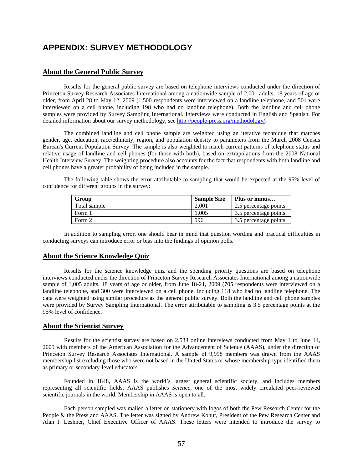# **APPENDIX: SURVEY METHODOLOGY**

## **About the General Public Survey**

Results for the general public survey are based on telephone interviews conducted under the direction of Princeton Survey Research Associates International among a nationwide sample of 2,001 adults, 18 years of age or older, from April 28 to May 12, 2009 (1,500 respondents were interviewed on a landline telephone, and 501 were interviewed on a cell phone, including 198 who had no landline telephone). Both the landline and cell phone samples were provided by Survey Sampling International. Interviews were conducted in English and Spanish. For detailed information about our survey methodology, see http://people-press.org/methodology/.

The combined landline and cell phone sample are weighted using an iterative technique that matches gender, age, education, race/ethnicity, region, and population density to parameters from the March 2008 Census Bureau's Current Population Survey. The sample is also weighted to match current patterns of telephone status and relative usage of landline and cell phones (for those with both), based on extrapolations from the 2008 National Health Interview Survey. The weighting procedure also accounts for the fact that respondents with both landline and cell phones have a greater probability of being included in the sample.

The following table shows the error attributable to sampling that would be expected at the 95% level of confidence for different groups in the survey:

| Group        | <b>Sample Size</b> | Plus or minus         |
|--------------|--------------------|-----------------------|
| Total sample | 2.001              | 2.5 percentage points |
| Form 1       | .005               | 3.5 percentage points |
| Form 2       | 996                | 3.5 percentage points |

In addition to sampling error, one should bear in mind that question wording and practical difficulties in conducting surveys can introduce error or bias into the findings of opinion polls.

### **About the Science Knowledge Quiz**

 Results for the science knowledge quiz and the spending priority questions are based on telephone interviews conducted under the direction of Princeton Survey Research Associates International among a nationwide sample of 1,005 adults, 18 years of age or older, from June 18-21, 2009 (705 respondents were interviewed on a landline telephone, and 300 were interviewed on a cell phone, including 118 who had no landline telephone. The data were weighted using similar procedure as the general public survey. Both the landline and cell phone samples were provided by Survey Sampling International. The error attributable to sampling is 3.5 percentage points at the 95% level of confidence.

### **About the Scientist Survey**

 Results for the scientist survey are based on 2,533 online interviews conducted from May 1 to June 14, 2009 with members of the American Association for the Advancement of Science (AAAS), under the direction of Princeton Survey Research Associates International. A sample of 9,998 members was drawn from the AAAS membership list excluding those who were not based in the United States or whose membership type identified them as primary or secondary-level educators.

Founded in 1848, AAAS is the world's largest general scientific society, and includes members representing all scientific fields. AAAS publishes *Science*, one of the most widely circulated peer-reviewed scientific journals in the world. Membership in AAAS is open to all.

 Each person sampled was mailed a letter on stationery with logos of both the Pew Research Center for the People & the Press and AAAS. The letter was signed by Andrew Kohut, President of the Pew Research Center and Alan I. Leshner, Chief Executive Officer of AAAS. These letters were intended to introduce the survey to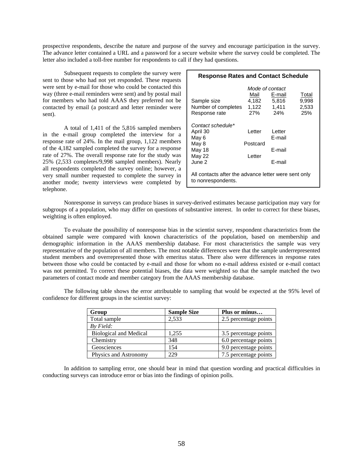prospective respondents, describe the nature and purpose of the survey and encourage participation in the survey. The advance letter contained a URL and a password for a secure website where the survey could be completed. The letter also included a toll-free number for respondents to call if they had questions.

 Subsequent requests to complete the survey were sent to those who had not yet responded. These requests were sent by e-mail for those who could be contacted this way (three e-mail reminders were sent) and by postal mail for members who had told AAAS they preferred not be contacted by email (a postcard and letter reminder were sent).

 A total of 1,411 of the 5,816 sampled members in the e-mail group completed the interview for a response rate of 24%. In the mail group, 1,122 members of the 4,182 sampled completed the survey for a response rate of 27%. The overall response rate for the study was 25% (2,533 completes/9,998 sampled members). Nearly all respondents completed the survey online; however, a very small number requested to complete the survey in another mode; twenty interviews were completed by telephone.

| <b>Response Rates and Contact Schedule</b>                                     |                                                 |                                      |                         |  |  |  |
|--------------------------------------------------------------------------------|-------------------------------------------------|--------------------------------------|-------------------------|--|--|--|
| Sample size<br>Number of completes                                             | Mode of contact<br>Mail<br>4,182 5,816<br>1,122 | E-mail<br>1,411                      | Total<br>9,998<br>2,533 |  |  |  |
| Response rate                                                                  | 27%                                             | 24%                                  | 25%                     |  |  |  |
| Contact schedule*<br>April 30<br>May 6<br>May 8<br>May 18<br>May 22<br>June 2. | Letter<br>Postcard<br>Letter                    | Letter<br>E-mail<br>F-mail<br>F-mail |                         |  |  |  |
| All contacts after the advance letter were sent only<br>to nonrespondents.     |                                                 |                                      |                         |  |  |  |

 Nonresponse in surveys can produce biases in survey-derived estimates because participation may vary for subgroups of a population, who may differ on questions of substantive interest. In order to correct for these biases, weighting is often employed.

 To evaluate the possibility of nonresponse bias in the scientist survey, respondent characteristics from the obtained sample were compared with known characteristics of the population, based on membership and demographic information in the AAAS membership database. For most characteristics the sample was very representative of the population of all members. The most notable differences were that the sample underrepresented student members and overrepresented those with emeritus status. There also were differences in response rates between those who could be contacted by e-mail and those for whom no e-mail address existed or e-mail contact was not permitted. To correct these potential biases, the data were weighted so that the sample matched the two parameters of contact mode and member category from the AAAS membership database.

The following table shows the error attributable to sampling that would be expected at the 95% level of confidence for different groups in the scientist survey:

| Group                         | <b>Sample Size</b> | Plus or minus         |
|-------------------------------|--------------------|-----------------------|
| Total sample                  | 2,533              | 2.5 percentage points |
| $Bv$ Field:                   |                    |                       |
| <b>Biological and Medical</b> | 1.255              | 3.5 percentage points |
| Chemistry                     | 348                | 6.0 percentage points |
| Geosciences                   | 154                | 9.0 percentage points |
| Physics and Astronomy         | 229                | 7.5 percentage points |

In addition to sampling error, one should bear in mind that question wording and practical difficulties in conducting surveys can introduce error or bias into the findings of opinion polls.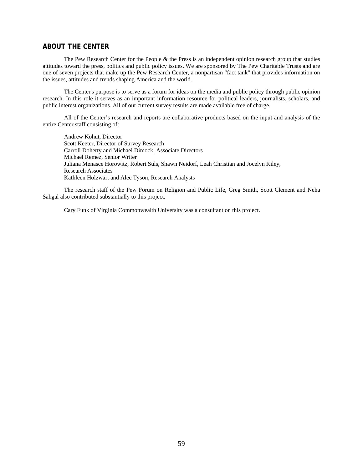# **ABOUT THE CENTER**

 The Pew Research Center for the People & the Press is an independent opinion research group that studies attitudes toward the press, politics and public policy issues. We are sponsored by The Pew Charitable Trusts and are one of seven projects that make up the Pew Research Center, a nonpartisan "fact tank" that provides information on the issues, attitudes and trends shaping America and the world.

 The Center's purpose is to serve as a forum for ideas on the media and public policy through public opinion research. In this role it serves as an important information resource for political leaders, journalists, scholars, and public interest organizations. All of our current survey results are made available free of charge.

 All of the Center's research and reports are collaborative products based on the input and analysis of the entire Center staff consisting of:

 Andrew Kohut, Director Scott Keeter, Director of Survey Research Carroll Doherty and Michael Dimock, Associate Directors Michael Remez, Senior Writer Juliana Menasce Horowitz, Robert Suls, Shawn Neidorf, Leah Christian and Jocelyn Kiley, Research Associates Kathleen Holzwart and Alec Tyson, Research Analysts

 The research staff of the Pew Forum on Religion and Public Life, Greg Smith, Scott Clement and Neha Sahgal also contributed substantially to this project.

Cary Funk of Virginia Commonwealth University was a consultant on this project.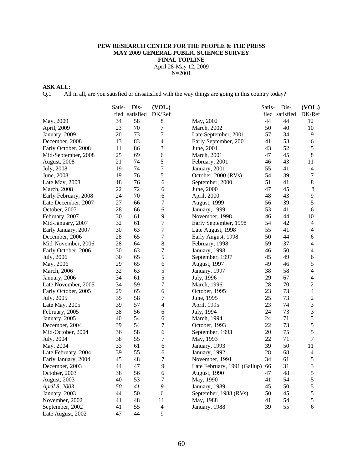# **PEW RESEARCH CENTER FOR THE PEOPLE & THE PRESS MAY 2009 GENERAL PUBLIC SCIENCE SURVEY FINAL TOPLINE**  April 28-May 12, 2009

N=2001

# **ASK ALL:**

Q.1 All in all, are you satisfied or dissatisfied with the way things are going in this country today?

|                      | Satis- | Dis-      | (VOL.)           |                              | Satis- | Dis-      | (VOL.)         |
|----------------------|--------|-----------|------------------|------------------------------|--------|-----------|----------------|
|                      | fied   | satisfied | DK/Ref           |                              | fied   | satisfied | DK/Ref         |
| May, 2009            | 34     | 58        | 8                | May, 2002                    | 44     | 44        | 12             |
| April, 2009          | 23     | 70        | 7                | March, 2002                  | 50     | 40        | 10             |
| January, 2009        | 20     | 73        | $\boldsymbol{7}$ | Late September, 2001         | 57     | 34        | 9              |
| December, 2008       | 13     | 83        | 4                | Early September, 2001        | 41     | 53        | 6              |
| Early October, 2008  | 11     | 86        | 3                | June, 2001                   | 43     | 52        | 5              |
| Mid-September, 2008  | 25     | 69        | 6                | March, 2001                  | 47     | 45        | 8              |
| August, 2008         | 21     | 74        | 5                | February, 2001               | 46     | 43        | 11             |
| July, 2008           | 19     | 74        | $\boldsymbol{7}$ | January, 2001                | 55     | 41        | 4              |
| June, 2008           | 19     | 76        | 5                | October, 2000 (RVs)          | 54     | 39        | 7              |
| Late May, 2008       | 18     | 76        | 6                | September, 2000              | 51     | 41        | $\,8\,$        |
| March, 2008          | 22     | 72        | 6                | June, 2000                   | 47     | 45        | $\,8\,$        |
| Early February, 2008 | 24     | 70        | 6                | April, 2000                  | 48     | 43        | $\mathbf{9}$   |
| Late December, 2007  | 27     | 66        | $\overline{7}$   | <b>August</b> , 1999         | 56     | 39        | 5              |
| October, 2007        | 28     | 66        | 6                | January, 1999                | 53     | 41        | 6              |
| February, 2007       | 30     | 61        | 9                | November, 1998               | 46     | 44        | 10             |
| Mid-January, 2007    | 32     | 61        | 7                | Early September, 1998        | 54     | 42        | 4              |
| Early January, 2007  | 30     | 63        | 7                | Late August, 1998            | 55     | 41        | 4              |
| December, 2006       | 28     | 65        | 7                | Early August, 1998           | 50     | 44        | 6              |
| Mid-November, 2006   | 28     | 64        | 8                | February, 1998               | 59     | 37        | 4              |
| Early October, 2006  | 30     | 63        | 7                | January, 1998                | 46     | 50        | 4              |
| July, 2006           | 30     | 65        | 5                | September, 1997              | 45     | 49        | 6              |
| May, 2006            | 29     | 65        | 6                | <b>August</b> , 1997         | 49     | 46        | 5              |
| March, 2006          | 32     | 63        | 5                | January, 1997                | 38     | 58        | 4              |
| January, 2006        | 34     | 61        | 5                | July, 1996                   | 29     | 67        | 4              |
| Late November, 2005  | 34     | 59        | $\overline{7}$   | March, 1996                  | 28     | 70        | $\overline{c}$ |
| Early October, 2005  | 29     | 65        | 6                | October, 1995                | 23     | 73        | $\overline{4}$ |
| July, 2005           | 35     | 58        | $\overline{7}$   | June, 1995                   | 25     | 73        | $\sqrt{2}$     |
| Late May, 2005       | 39     | 57        | 4                | April, 1995                  | 23     | 74        | 3              |
| February, 2005       | 38     | 56        | 6                | July, 1994                   | 24     | 73        | 3              |
| January, 2005        | 40     | 54        | 6                | March, 1994                  | 24     | 71        | 5              |
| December, 2004       | 39     | 54        | 7                | October, 1993                | 22     | 73        | 5              |
| Mid-October, 2004    | 36     | 58        | 6                | September, 1993              | 20     | 75        | 5              |
| July, 2004           | 38     | 55        | $\overline{7}$   | May, 1993                    | 22     | 71        | 7              |
| May, 2004            | 33     | 61        | 6                | January, 1993                | 39     | 50        | 11             |
| Late February, 2004  | 39     | 55        | 6                | January, 1992                | 28     | 68        | $\overline{4}$ |
| Early January, 2004  | 45     | 48        | $\overline{7}$   | November, 1991               | 34     | 61        | $\sqrt{5}$     |
| December, 2003       | 44     | 47        | 9                | Late February, 1991 (Gallup) | 66     | 31        | 3              |
| October, 2003        | 38     | 56        | 6                | August, 1990                 | 47     | 48        | $\sqrt{5}$     |
| August, 2003         | 40     | 53        | $\overline{7}$   | May, 1990                    | 41     | 54        | $\sqrt{5}$     |
| April 8, 2003        | 50     | 41        | $\boldsymbol{9}$ | January, 1989                | 45     | 50        | 5              |
| January, 2003        | 44     | 50        | $\sqrt{6}$       | September, 1988 (RVs)        | 50     | 45        | $\sqrt{5}$     |
| November, 2002       | 41     | 48        | 11               | May, 1988                    | 41     | 54        | $\sqrt{5}$     |
| September, 2002      | 41     | 55        | $\overline{4}$   | January, 1988                | 39     | 55        | $\sqrt{6}$     |
| Late August, 2002    | 47     | 44        | 9                |                              |        |           |                |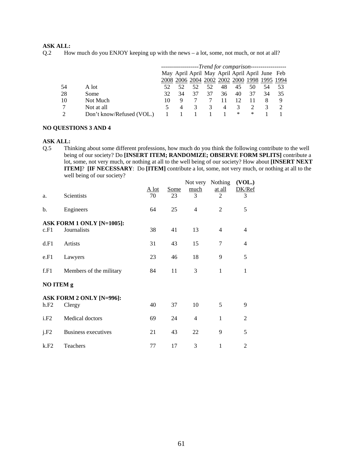# **ASK ALL:**

Q.2 How much do you ENJOY keeping up with the news – a lot, some, not much, or not at all?

|                |                           | -------------------Trend for comparison------------------ |    |                                                |    |    |    |    |    |    |
|----------------|---------------------------|-----------------------------------------------------------|----|------------------------------------------------|----|----|----|----|----|----|
|                |                           |                                                           |    | May April April May April April April June Feb |    |    |    |    |    |    |
|                |                           |                                                           |    | 2008 2006 2004 2002 2002 2000 1998 1995 1994   |    |    |    |    |    |    |
| 54             | A lot                     |                                                           |    |                                                | 52 | 48 | 45 | 50 | 54 | 53 |
| 28             | Some                      | 32                                                        | 34 | 37                                             | 37 | 36 | 40 | 37 | 34 | 35 |
| 10             | Not Much                  | 10                                                        | 9  |                                                |    |    |    |    |    | 9  |
| 7              | Not at all                | 5.                                                        | 4  | 3                                              |    | 4  | 3  |    |    |    |
| $\mathfrak{D}$ | Don't know/Refused (VOL.) |                                                           |    |                                                |    |    | ∗  | ∗  |    |    |

### **NO QUESTIONS 3 AND 4**

#### **ASK ALL:**

Q.5 Thinking about some different professions, how much do you think the following contribute to the well being of our society? Do **[INSERT ITEM; RANDOMIZE; OBSERVE FORM SPLITS]** contribute a lot, some, not very much, or nothing at all to the well being of our society? How about **[INSERT NEXT ITEM]**? **[IF NECESSARY**: Do **[ITEM]** contribute a lot, some, not very much, or nothing at all to the well being of our society?

| a.        | Scientists                               | A lot<br>70 | <b>Some</b><br>23 | much<br>3      | Not very Nothing<br>at all<br>$\overline{2}$ | (VOL.)<br>DK/Ref<br>3 |
|-----------|------------------------------------------|-------------|-------------------|----------------|----------------------------------------------|-----------------------|
| b.        | Engineers                                | 64          | 25                | $\overline{4}$ | $\overline{2}$                               | 5                     |
| c.F1      | ASK FORM 1 ONLY [N=1005]:<br>Journalists | 38          | 41                | 13             | $\overline{4}$                               | $\overline{4}$        |
| d.F1      | <b>Artists</b>                           | 31          | 43                | 15             | 7                                            | $\overline{4}$        |
| e.F1      | Lawyers                                  | 23          | 46                | 18             | 9                                            | 5                     |
| f.F1      | Members of the military                  | 84          | 11                | 3              | $\mathbf{1}$                                 | 1                     |
| NO ITEM g |                                          |             |                   |                |                                              |                       |
| h.F2      | ASK FORM 2 ONLY [N=996]:<br>Clergy       | 40          | 37                | 10             | 5                                            | 9                     |
| i.F2      | Medical doctors                          | 69          | 24                | $\overline{4}$ | $\mathbf{1}$                                 | 2                     |
| j.F2      | <b>Business executives</b>               | 21          | 43                | 22             | 9                                            | 5                     |
| k.F2      | Teachers                                 | 77          | 17                | 3              | 1                                            | 2                     |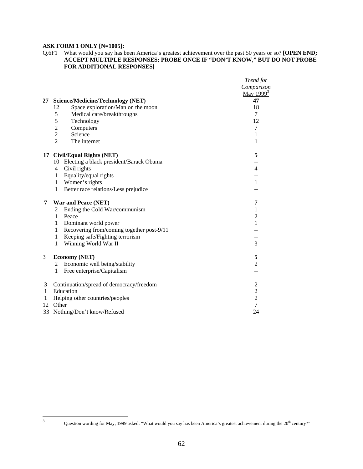# **ASK FORM 1 ONLY [N=1005]:**

#### Q.6F1 What would you say has been America's greatest achievement over the past 50 years or so? **[OPEN END; ACCEPT MULTIPLE RESPONSES; PROBE ONCE IF "DON'T KNOW," BUT DO NOT PROBE FOR ADDITIONAL RESPONSES]**

|    |                                                      | Trend for        |
|----|------------------------------------------------------|------------------|
|    |                                                      | Comparison       |
|    |                                                      | May $1999^3$     |
| 27 | <b>Science/Medicine/Technology (NET)</b>             | 47               |
|    | Space exploration/Man on the moon<br>12              | 18               |
|    | 5<br>Medical care/breakthroughs                      | 7                |
|    | 5<br>Technology                                      | 12               |
|    | $\overline{c}$<br>Computers                          | 7                |
|    | $\overline{c}$<br>Science                            | 1                |
|    | $\overline{2}$<br>The internet                       | 1                |
| 17 | <b>Civil/Equal Rights (NET)</b>                      | 5                |
|    | Electing a black president/Barack Obama<br>10        | --               |
|    | $\overline{4}$<br>Civil rights                       | 4                |
|    | Equality/equal rights<br>$\mathbf{1}$                |                  |
|    | Women's rights<br>1                                  | 1                |
|    | $\mathbf{1}$<br>Better race relations/Less prejudice |                  |
| 7  | <b>War and Peace (NET)</b>                           | 7                |
|    | Ending the Cold War/communism<br>2                   | 1                |
|    | Peace<br>$\mathbf{1}$                                | $\overline{2}$   |
|    | Dominant world power<br>$\mathbf{1}$                 | 1                |
|    | Recovering from/coming together post-9/11<br>1       |                  |
|    | Keeping safe/Fighting terrorism<br>$\mathbf{1}$      |                  |
|    | Winning World War II<br>1                            | 3                |
| 3  | <b>Economy (NET)</b>                                 | 5                |
|    | Economic well being/stability<br>2                   | $\overline{2}$   |
|    | Free enterprise/Capitalism<br>$\mathbf{1}$           |                  |
| 3  | Continuation/spread of democracy/freedom             | $\boldsymbol{2}$ |
| 1  | Education                                            | $\overline{2}$   |
| 1  | Helping other countries/peoples                      | $\overline{c}$   |
| 12 | Other                                                | $\overline{7}$   |
| 33 | Nothing/Don't know/Refused                           | 24               |

 $\frac{1}{3}$ 

Question wording for May, 1999 asked: "What would you say has been America's greatest achievement during the 20<sup>th</sup> century?"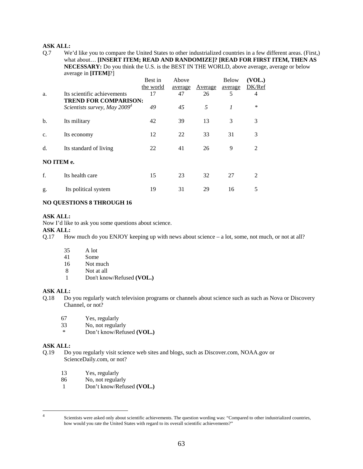## **ASK ALL:**

Q.7 We'd like you to compare the United States to other industrialized countries in a few different areas. (First,) what about… **[INSERT ITEM; READ AND RANDOMIZE]? [READ FOR FIRST ITEM, THEN AS NECESSARY:** Do you think the U.S. is the BEST IN THE WORLD, above average, average or below average in **[ITEM]**?]

|            |                                                                | Best in         | Above         |               | <b>Below</b> | (VOL.)<br>DK/Ref |
|------------|----------------------------------------------------------------|-----------------|---------------|---------------|--------------|------------------|
| a.         | Its scientific achievements                                    | the world<br>17 | average<br>47 | Average<br>26 | average<br>5 | 4                |
|            | <b>TREND FOR COMPARISON:</b><br>Scientists survey, May $20094$ | 49              | 45            | 5             | 1            | $\ast$           |
| b.         | Its military                                                   | 42              | 39            | 13            | 3            | 3                |
| c.         | Its economy                                                    | 12              | 22            | 33            | 31           | 3                |
| d.         | Its standard of living                                         | 22              | 41            | 26            | 9            | 2                |
| NO ITEM e. |                                                                |                 |               |               |              |                  |
| f.         | Its health care                                                | 15              | 23            | 32            | 27           | $\mathfrak{D}$   |
| g.         | Its political system                                           | 19              | 31            | 29            | 16           | 5                |

### **NO QUESTIONS 8 THROUGH 16**

### **ASK ALL:**

Now I'd like to ask you some questions about science.

- **ASK ALL:**
- Q.17 How much do you ENJOY keeping up with news about science a lot, some, not much, or not at all?
	- 35 A lot
	- 41 Some
	- 16 Not much
	- 8 Not at all
	- 1 Don't know/Refused **(VOL.)**

## **ASK ALL:**

- Q.18 Do you regularly watch television programs or channels about science such as such as Nova or Discovery Channel, or not?
	- 67 Yes, regularly
	- 33 No, not regularly
	- \* Don't know/Refused **(VOL.)**

### **ASK ALL:**

- Q.19 Do you regularly visit science web sites and blogs, such as Discover.com, NOAA.gov or ScienceDaily.com, or not?
	- 13 Yes, regularly
	- 86 No, not regularly
	- 1 Don't know/Refused **(VOL.)**

 $\frac{1}{4}$ 

Scientists were asked only about scientific achievements. The question wording was: "Compared to other industrialized countries, how would you rate the United States with regard to its overall scientific achievements?"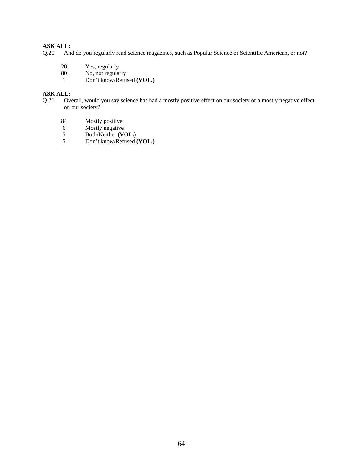# **ASK ALL:**

- Q.20 And do you regularly read science magazines, such as Popular Science or Scientific American, or not?
	- 20 Yes, regularly
	- 80 No, not regularly
	- 1 Don't know/Refused **(VOL.)**

# **ASK ALL:**

- Q.21 Overall, would you say science has had a mostly positive effect on our society or a mostly negative effect on our society?
	- 84 Mostly positive<br>6 Mostly negative
	- Mostly negative
	- 5 Both/Neither **(VOL.)**<br>5 Don't know/Refused (
	- 5 Don't know/Refused **(VOL.)**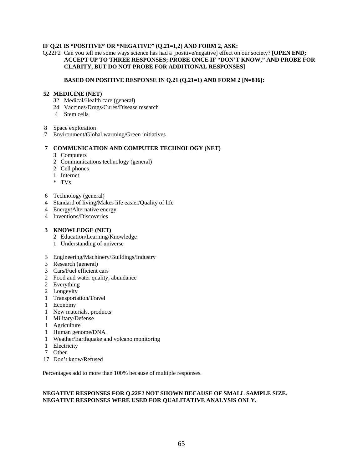### **IF Q.21 IS "POSITIVE" OR "NEGATIVE" (Q.21=1,2) AND FORM 2, ASK:**

#### Q.22F2 Can you tell me some ways science has had a [positive/negative] effect on our society? **[OPEN END; ACCEPT UP TO THREE RESPONSES; PROBE ONCE IF "DON'T KNOW," AND PROBE FOR CLARITY, BUT DO NOT PROBE FOR ADDITIONAL RESPONSES]**

#### **BASED ON POSITIVE RESPONSE IN Q.21 (Q.21=1) AND FORM 2 [N=836]:**

#### **52 MEDICINE (NET)**

- 32 Medical/Health care (general)
- 24 Vaccines/Drugs/Cures/Disease research
- 4 Stem cells
- 8 Space exploration
- 7 Environment/Global warming/Green initiatives

#### **7 COMMUNICATION AND COMPUTER TECHNOLOGY (NET)**

- 3 Computers
- 2 Communications technology (general)
- 2 Cell phones
- 1 Internet
- \* TVs
- 6 Technology (general)
- 4 Standard of living/Makes life easier/Quality of life
- 4 Energy/Alternative energy
- 4 Inventions/Discoveries

#### **3 KNOWLEDGE (NET)**

- 2 Education/Learning/Knowledge
- 1 Understanding of universe
- 3 Engineering/Machinery/Buildings/Industry
- 3 Research (general)
- 3 Cars/Fuel efficient cars
- 2 Food and water quality, abundance
- 2 Everything
- 2 Longevity
- 1 Transportation/Travel
- 1 Economy
- 1 New materials, products
- 1 Military/Defense
- 1 Agriculture
- 1 Human genome/DNA
- 1 Weather/Earthquake and volcano monitoring
- 1 Electricity
- 7 Other
- 17 Don't know/Refused

Percentages add to more than 100% because of multiple responses.

# **NEGATIVE RESPONSES FOR Q.22F2 NOT SHOWN BECAUSE OF SMALL SAMPLE SIZE. NEGATIVE RESPONSES WERE USED FOR QUALITATIVE ANALYSIS ONLY.**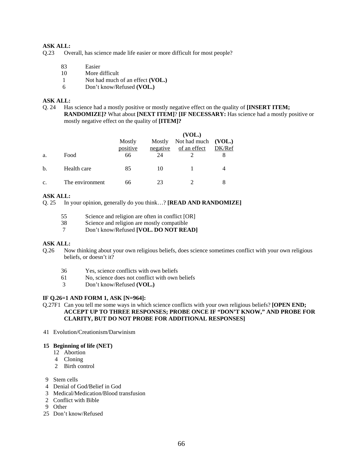## **ASK ALL:**

- Q.23 Overall, has science made life easier or more difficult for most people?
	- 83 Easier
	- 10 More difficult
	- 1 Not had much of an effect **(VOL.)**
	- 6 Don't know/Refused **(VOL.)**

### **ASK ALL:**

Q. 24 Has science had a mostly positive or mostly negative effect on the quality of **[INSERT ITEM; RANDOMIZE]?** What about **[NEXT ITEM]**? **[IF NECESSARY:** Has science had a mostly positive or mostly negative effect on the quality of **[ITEM]?**

|    |                 |                    |                    | (VOL.)                       |                  |
|----|-----------------|--------------------|--------------------|------------------------------|------------------|
|    |                 | Mostly<br>positive | Mostly<br>negative | Not had much<br>of an effect | (VOL.)<br>DK/Ref |
| a. | Food            | 66                 | 24                 |                              | 8                |
| b. | Health care     | 85                 | 10                 |                              |                  |
| c. | The environment | 66                 | 23                 |                              |                  |

## **ASK ALL:**

Q. 25 In your opinion, generally do you think…? **[READ AND RANDOMIZE]**

- 55 Science and religion are often in conflict [OR]
- 38 Science and religion are mostly compatible
- 7 Don't know/Refused **[VOL. DO NOT READ]**

#### **ASK ALL:**

- Q.26 Now thinking about your own religious beliefs, does science sometimes conflict with your own religious beliefs, or doesn't it?
	- 36 Yes, science conflicts with own beliefs
	- 61 No, science does not conflict with own beliefs
	- 3 Don't know/Refused **(VOL.)**

#### **IF Q.26=1 AND FORM 1, ASK [N=964]:**

- Q.27F1 Can you tell me some ways in which science conflicts with your own religious beliefs? **[OPEN END; ACCEPT UP TO THREE RESPONSES; PROBE ONCE IF "DON'T KNOW," AND PROBE FOR CLARITY, BUT DO NOT PROBE FOR ADDITIONAL RESPONSES]**
- 41 Evolution/Creationism/Darwinism

### **15 Beginning of life (NET)**

- 12 Abortion
- 4 Cloning
- 2 Birth control
- 9 Stem cells
- 4 Denial of God/Belief in God
- 3 Medical/Medication/Blood transfusion
- 2 Conflict with Bible
- 9 Other
- 25 Don't know/Refused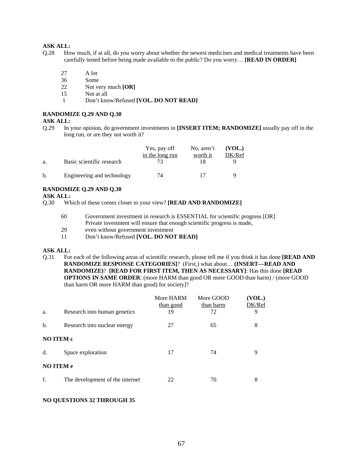# **ASK ALL:**

- Q.28 How much, if at all, do you worry about whether the newest medicines and medical treatments have been carefully tested before being made available to the public? Do you worry… **[READ IN ORDER]** 
	- 27 A lot
	- 36 Some
	- 22 Not very much **[OR]**
	- 15 Not at all
	- 1 Don't know/Refused **[VOL. DO NOT READ]**

#### **RANDOMIZE Q.29 AND Q.30**

### **ASK ALL:**

Q.29 In your opinion, do government investments in **[INSERT ITEM; RANDOMIZE]** usually pay off in the long run, or are they not worth it?

|    |                            | Yes, pay off<br>in the long run | No, aren't<br>worth it | (VOL.)<br>DK/Ref |
|----|----------------------------|---------------------------------|------------------------|------------------|
| a. | Basic scientific research  |                                 |                        |                  |
| b. | Engineering and technology | 74                              |                        |                  |

### **RANDOMIZE Q.29 AND Q.30**

**ASK ALL:** 

- Q.30 Which of these comes closer to your view? **[READ AND RANDOMIZE]** 
	- 60 Government investment in research is ESSENTIAL for scientific progress [OR] Private investment will ensure that enough scientific progress is made,
	- 29 even without government investment
	- 11 Don't know/Refused **[VOL. DO NOT READ]**

#### **ASK ALL:**

Q.31 For each of the following areas of scientific research, please tell me if you think it has done **[READ AND RANDOMIZE RESPONSE CATEGORIES]**? (First,) what about… **(INSERT—READ AND RANDOMIZE)**? **[READ FOR FIRST ITEM, THEN AS NECESSARY]**: Has this done **[READ OPTIONS IN SAME ORDER**: (more HARM than good OR more GOOD than harm) / (more GOOD than harm OR more HARM than good) for society]?

|                  |                                 | More HARM<br>than good | More GOOD<br>than harm | (VOL.)<br>DK/Ref |  |  |
|------------------|---------------------------------|------------------------|------------------------|------------------|--|--|
| a.               | Research into human genetics    | 19                     | 72                     | 9                |  |  |
| b.               | Research into nuclear energy    | 27                     | 65                     | 8                |  |  |
| NO ITEM c        |                                 |                        |                        |                  |  |  |
| d.               | Space exploration               | 17                     | 74                     | 9                |  |  |
| <b>NO ITEM e</b> |                                 |                        |                        |                  |  |  |
| f.               | The development of the internet | 22                     | 70                     | 8                |  |  |

#### **NO QUESTIONS 32 THROUGH 35**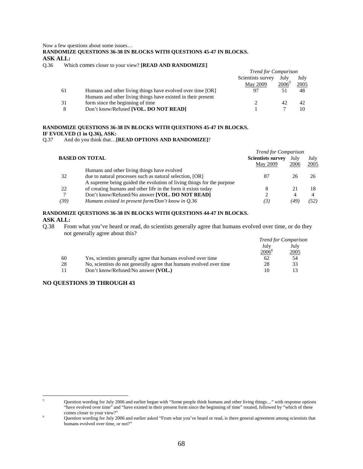Now a few questions about some issues…

**RANDOMIZE QUESTIONS 36-38 IN BLOCKS WITH QUESTIONS 45-47 IN BLOCKS. ASK ALL:** 

Q.36 Which comes closer to your view? **[READ AND RANDOMIZE]**

|    |                                                              | <b>Trend for Comparison</b> |          |      |
|----|--------------------------------------------------------------|-----------------------------|----------|------|
|    |                                                              | Scientists survey           | July     | July |
|    |                                                              | May 2009                    | $2006^3$ | 2005 |
| 61 | Humans and other living things have evolved over time [OR]   |                             |          | 48   |
|    | Humans and other living things have existed in their present |                             |          |      |
| 31 | form since the beginning of time                             |                             | 42       | 42   |
| 8  | Don't know/Refused [VOL. DO NOT READ]                        |                             |          |      |

# **RANDOMIZE QUESTIONS 36-38 IN BLOCKS WITH QUESTIONS 45-47 IN BLOCKS. IF EVOLVED (1 in Q.36), ASK:** 0.37 And do you think that...

And do you think that...**[READ OPTIONS AND RANDOMIZE**]?

|      |                                                                       | <b>Trend for Comparison</b>                 |              |              |
|------|-----------------------------------------------------------------------|---------------------------------------------|--------------|--------------|
|      | <b>BASED ON TOTAL</b>                                                 | <b>Scientists survey</b><br><b>May 2009</b> | July<br>2006 | July<br>2005 |
|      | Humans and other living things have evolved                           |                                             |              |              |
| 32   | due to natural processes such as natural selection, [OR]              | 87                                          | 26           |              |
|      | A supreme being guided the evolution of living things for the purpose |                                             |              |              |
| 22   | of creating humans and other life in the form it exists today         | 8                                           | 21           | 18           |
|      | Don't know/Refused/No answer [VOL. DO NOT READ]                       |                                             | 4            |              |
| (39) | Humans existed in present form/Don't know in Q.36                     | (3)                                         | 49.          | '52 I        |
|      |                                                                       |                                             |              |              |

### **RANDOMIZE QUESTIONS 36-38 IN BLOCKS WITH QUESTIONS 44-47 IN BLOCKS. ASK ALL:**

Q.38 From what you've heard or read, do scientists generally agree that humans evolved over time, or do they not generally agree about this?

|    |                                                                     |                | <b>Trend for Comparison</b> |
|----|---------------------------------------------------------------------|----------------|-----------------------------|
|    |                                                                     | July           | July                        |
|    |                                                                     | $2006^{\circ}$ | 2005                        |
| 60 | Yes, scientists generally agree that humans evolved over time       | 62             | 54                          |
| 28 | No, scientists do not generally agree that humans evolved over time | 28             | 33                          |
|    | Don't know/Refused/No answer (VOL.)                                 | 10             |                             |

# **NO QUESTIONS 39 THROUGH 43**

 $\overline{a}$ 5 Question wording for July 2006 and earlier began with "Some people think humans and other living things…" with response options "have evolved over time" and "have existed in their present form since the beginning of time" rotated, followed by "which of these comes closer to your view?" 6

Question wording for July 2006 and earlier asked "From what you've heard or read, is there general agreement among scientists that humans evolved over time, or not?"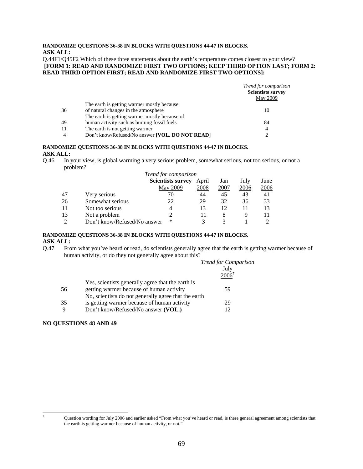### **RANDOMIZE QUESTIONS 36-38 IN BLOCKS WITH QUESTIONS 44-47 IN BLOCKS. ASK ALL:**

Q.44F1/Q45F2 Which of these three statements about the earth's temperature comes closest to your view?  **[FORM 1: READ AND RANDOMIZE FIRST TWO OPTIONS; KEEP THIRD OPTION LAST; FORM 2: READ THIRD OPTION FIRST; READ AND RANDOMIZE FIRST TWO OPTIONS]:** 

|    |                                                 | Trend for comparison<br><b>Scientists survey</b><br><b>May 2009</b> |
|----|-------------------------------------------------|---------------------------------------------------------------------|
|    | The earth is getting warmer mostly because      |                                                                     |
| 36 | of natural changes in the atmosphere            | 10                                                                  |
|    | The earth is getting warmer mostly because of   |                                                                     |
| 49 | human activity such as burning fossil fuels     | 84                                                                  |
| 11 | The earth is not getting warmer                 | 4                                                                   |
| 4  | Don't know/Refused/No answer [VOL. DO NOT READ] |                                                                     |

#### **RANDOMIZE QUESTIONS 36-38 IN BLOCKS WITH QUESTIONS 44-47 IN BLOCKS. ASK ALL:**

Q.46 In your view, is global warming a very serious problem, somewhat serious, not too serious, or not a problem?

|    |                              | Trend for comparison     |       |      |      |      |
|----|------------------------------|--------------------------|-------|------|------|------|
|    |                              | <b>Scientists survey</b> | April | Jan  | July | June |
|    |                              | <b>May 2009</b>          | 2008  | 2007 | 2006 | 2006 |
| 47 | Very serious                 | 70                       | 44    | 45   | 43   | 41   |
| 26 | Somewhat serious             | 22                       | 29    | 32   | 36   | 33   |
| 11 | Not too serious              | 4                        | 13    | 12   | 11   | 13   |
| 13 | Not a problem                |                          |       | 8    | 9    | 11   |
| ∍  | Don't know/Refused/No answer | ∗                        |       |      |      |      |

# **RANDOMIZE QUESTIONS 36-38 IN BLOCKS WITH QUESTIONS 44-47 IN BLOCKS. ASK ALL:**

Q.47 From what you've heard or read, do scientists generally agree that the earth is getting warmer because of human activity, or do they not generally agree about this?

|    |                                                      | <b>Trend for Comparison</b> |
|----|------------------------------------------------------|-----------------------------|
|    |                                                      | July                        |
|    |                                                      | $2006^7$                    |
|    | Yes, scientists generally agree that the earth is    |                             |
| 56 | getting warmer because of human activity             | 59                          |
|    | No, scientists do not generally agree that the earth |                             |
| 35 | is getting warmer because of human activity          | 29                          |
| 9  | Don't know/Refused/No answer (VOL.)                  |                             |
|    |                                                      |                             |

### **NO QUESTIONS 48 AND 49**

<sup>-&</sup>lt;br>7

Question wording for July 2006 and earlier asked "From what you've heard or read, is there general agreement among scientists that the earth is getting warmer because of human activity, or not."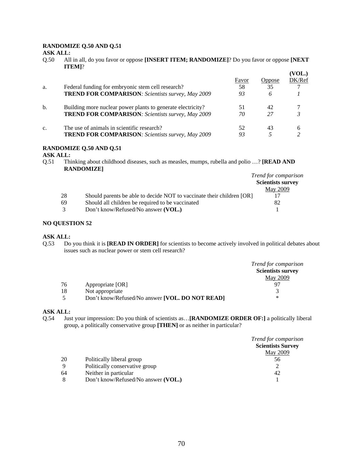# **RANDOMIZE Q.50 AND Q.51**

**ASK ALL:** 

Q.50 All in all, do you favor or oppose **[INSERT ITEM; RANDOMIZE]**? Do you favor or oppose **[NEXT ITEM]**?

|    |                                                             |       |        | (VOL.) |
|----|-------------------------------------------------------------|-------|--------|--------|
|    |                                                             | Favor | Oppose | DK/Ref |
| a. | Federal funding for embryonic stem cell research?           | 58    | 35     |        |
|    | <b>TREND FOR COMPARISON:</b> Scientists survey, May 2009    | 93    | 6      |        |
| b. | Building more nuclear power plants to generate electricity? | 51    | 42     |        |
|    | <b>TREND FOR COMPARISON:</b> Scientists survey, May 2009    | 70    | 27     |        |
| c. | The use of animals in scientific research?                  | 52    | 43     |        |
|    | <b>TREND FOR COMPARISON:</b> Scientists survey, May 2009    | 93    |        |        |

#### **RANDOMIZE Q.50 AND Q.51**

### **ASK ALL:**

Q.51 Thinking about childhood diseases, such as measles, mumps, rubella and polio …? **[READ AND RANDOMIZE]**

|    |                                                                       | <i>Trend for comparison</i> |
|----|-----------------------------------------------------------------------|-----------------------------|
|    |                                                                       | <b>Scientists survey</b>    |
|    |                                                                       | <b>May 2009</b>             |
| 28 | Should parents be able to decide NOT to vaccinate their children [OR] |                             |
|    | Should all children be required to be vaccinated<br>69                | 82                          |
|    | Don't know/Refused/No answer (VOL.)<br>$\mathcal{R}$                  |                             |

### **NO QUESTION 52**

#### **ASK ALL:**

Q.53 Do you think it is **[READ IN ORDER]** for scientists to become actively involved in political debates about issues such as nuclear power or stem cell research?

|    |                                                 | Trend for comparison     |
|----|-------------------------------------------------|--------------------------|
|    |                                                 | <b>Scientists survey</b> |
|    |                                                 | <b>May 2009</b>          |
| 76 | Appropriate [OR]                                |                          |
| 18 | Not appropriate                                 |                          |
|    | Don't know/Refused/No answer [VOL. DO NOT READ] | ∗                        |

#### **ASK ALL:**

Q.54 Just your impression: Do you think of scientists as…**[RANDOMIZE ORDER OF:]** a politically liberal group, a politically conservative group **[THEN]** or as neither in particular?

|    |                                     | <i>Trend for comparison</i> |
|----|-------------------------------------|-----------------------------|
|    |                                     | <b>Scientists Survey</b>    |
|    |                                     | <b>May 2009</b>             |
| 20 | Politically liberal group           | 56                          |
| 9  | Politically conservative group      |                             |
| 64 | Neither in particular               | 42                          |
| 8  | Don't know/Refused/No answer (VOL.) |                             |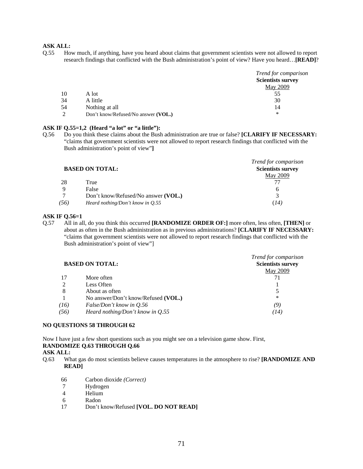Q.55 How much, if anything, have you heard about claims that government scientists were not allowed to report research findings that conflicted with the Bush administration's point of view? Have you heard…**[READ]**?

|          |                                     | Trend for comparison     |
|----------|-------------------------------------|--------------------------|
|          |                                     | <b>Scientists survey</b> |
|          |                                     | May 2009                 |
| 10       | A lot                               | 55                       |
| 34       | A little                            | 30                       |
| 54       | Nothing at all                      | 14                       |
| $\gamma$ | Don't know/Refused/No answer (VOL.) | ∗                        |

#### **ASK IF Q.55=1,2 (Heard "a lot" or "a little"):**

Q.56 Do you think these claims about the Bush administration are true or false? **[CLARIFY IF NECESSARY:**  "claims that government scientists were not allowed to report research findings that conflicted with the Bush administration's point of view"**]** 

|             |                                     | Trend for comparison     |
|-------------|-------------------------------------|--------------------------|
|             | <b>BASED ON TOTAL:</b>              | <b>Scientists survey</b> |
|             |                                     | <b>May 2009</b>          |
| 28          | True                                |                          |
| $\mathbf Q$ | False                               | h                        |
| $\tau$      | Don't know/Refused/No answer (VOL.) |                          |
| (56)        | Heard nothing/Don't know in $Q.55$  | (14)                     |

#### **ASK IF Q.56=1**

Q.57 All in all, do you think this occurred **[RANDOMIZE ORDER OF:]** more often, less often, **[THEN]** or about as often in the Bush administration as in previous administrations? **[CLARIFY IF NECESSARY:** "claims that government scientists were not allowed to report research findings that conflicted with the Bush administration's point of view"]

|      |                                     | Trend for comparison     |
|------|-------------------------------------|--------------------------|
|      | <b>BASED ON TOTAL:</b>              | <b>Scientists survey</b> |
|      |                                     | <b>May 2009</b>          |
| 17   | More often                          |                          |
| 2    | Less Often                          |                          |
| 8    | About as often                      |                          |
|      | No answer/Don't know/Refused (VOL.) | $\ast$                   |
| (16) | False/Don't know in 0.56            | (9)                      |
| (56) | Heard nothing/Don't know in Q.55    | (14)                     |

#### **NO QUESTIONS 58 THROUGH 62**

Now I have just a few short questions such as you might see on a television game show. First, **RANDOMIZE Q.63 THROUGH Q.66 ASK ALL:** 

- Q.63 What gas do most scientists believe causes temperatures in the atmosphere to rise? **[RANDOMIZE AND READ]** 
	- 66 Carbon dioxide *(Correct)*
	- 7 Hydrogen
	- 4 Helium
	- 6 Radon
	- 17 Don't know/Refused **[VOL. DO NOT READ]**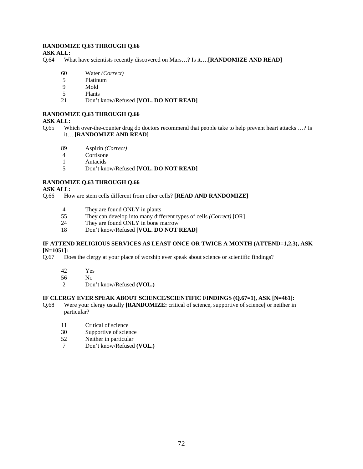#### **RANDOMIZE Q.63 THROUGH Q.66**

#### **ASK ALL:**

Q.64 What have scientists recently discovered on Mars…? Is it….**[RANDOMIZE AND READ]** 

- 60 Water *(Correct)*
- 5 Platinum<br>9 Mold
- 9 Mold
- 5 Plants
- 21 Don't know/Refused **[VOL. DO NOT READ]**

#### **RANDOMIZE Q.63 THROUGH Q.66**

#### **ASK ALL:**

- Q.65 Which over-the-counter drug do doctors recommend that people take to help prevent heart attacks …? Is it… **[RANDOMIZE AND READ]**
	- 89 Aspirin *(Correct)*
	- 4 Cortisone
	- 1 Antacids
	- 5 Don't know/Refused **[VOL. DO NOT READ]**

# **RANDOMIZE Q.63 THROUGH Q.66**

**ASK ALL:** 

Q.66 How are stem cells different from other cells? **[READ AND RANDOMIZE]**

- 4 They are found ONLY in plants
- 55 They can develop into many different types of cells *(Correct)* [OR]
- 24 They are found ONLY in bone marrow
- 18 Don't know/Refused **[VOL. DO NOT READ]**

#### **IF ATTEND RELIGIOUS SERVICES AS LEAST ONCE OR TWICE A MONTH (ATTEND=1,2,3), ASK [N=1051]:**

- Q.67 Does the clergy at your place of worship ever speak about science or scientific findings?
	- 42 Yes
	- 56 No
	- 2 Don't know/Refused **(VOL.)**

#### **IF CLERGY EVER SPEAK ABOUT SCIENCE/SCIENTIFIC FINDINGS (Q.67=1), ASK [N=461]:**

- Q.68 Were your clergy usually **[RANDOMIZE:** critical of science, supportive of science**]** or neither in particular?
	- 11 Critical of science
	- 30 Supportive of science
	- 52 Neither in particular
	- 7 Don't know/Refused **(VOL.)**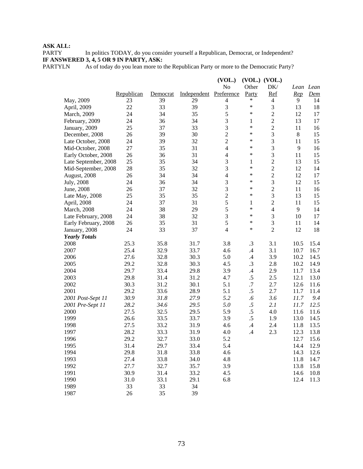PARTY In politics TODAY, do you consider yourself a Republican, Democrat, or Independent? **IF ANSWERED 3, 4, 5 OR 9 IN PARTY, ASK:**

PARTYLN As of today do you lean more to the Republican Party or more to the Democratic Party?

|                      |            |          |             | (VOL.)         |               | $(VOL.)$ $(VOL.)$ |                |        |
|----------------------|------------|----------|-------------|----------------|---------------|-------------------|----------------|--------|
|                      |            |          |             | No             | Other         | DK/               | Lean Lean      |        |
|                      | Republican | Democrat | Independent | Preference     | Party         | Ref               | <u>Rep</u>     | $D$ em |
| May, 2009            | 23         | 39       | 29          | $\overline{4}$ | $\ast$        | $\overline{4}$    | 9              | 14     |
| April, 2009          | 22         | 33       | 39          | $\mathfrak 3$  | $\ast$        | 3                 | 13             | 18     |
| March, 2009          | 24         | 34       | 35          | 5              | $\ast$        | $\overline{c}$    | 12             | 17     |
| February, 2009       | 24         | 36       | 34          | 3              | 1             | $\overline{c}$    | 13             | 17     |
| January, 2009        | 25         | 37       | 33          | $\mathfrak{Z}$ | $\ast$        | $\sqrt{2}$        | 11             | 16     |
| December, 2008       | 26         | 39       | 30          | $\overline{2}$ | $\ast$        | 3                 | $\,8\,$        | 15     |
| Late October, 2008   | 24         | 39       | 32          | $\overline{2}$ | $\ast$        | 3                 | 11             | 15     |
| Mid-October, 2008    | 27         | 35       | 31          | $\overline{4}$ | $\ast$        | 3                 | 9              | 16     |
| Early October, 2008  | 26         | 36       | 31          | $\overline{4}$ | $\ast$        | 3                 | 11             | 15     |
| Late September, 2008 | 25         | 35       | 34          | 3              | 1             | $\overline{c}$    | 13             | 15     |
| Mid-September, 2008  | 28         | 35       | 32          | $\mathfrak{Z}$ | $\ast$        | $\boldsymbol{2}$  | 12             | 14     |
| August, 2008         | 26         | 34       | 34          | $\overline{4}$ | $\ast$        | $\overline{c}$    | 12             | 17     |
| <b>July</b> , 2008   | 24         | 36       | 34          | 3              | ∗             | 3                 | 12             | 15     |
| June, 2008           | 26         | 37       | 32          | 3              | ∗             | $\overline{c}$    | 11             | 16     |
| Late May, 2008       | 25         | 35       | 35          | $\overline{2}$ | $\ast$        | 3                 | 13             | 15     |
| April, 2008          | 24         | 37       | 31          | 5              | 1             | $\overline{c}$    | 11             | 15     |
| March, 2008          | 24         | 38       | 29          | 5              | $\ast$        | $\overline{4}$    | $\overline{9}$ | 14     |
| Late February, 2008  | 24         | 38       | 32          | 3              | $\ast$        | 3                 | 10             | 17     |
| Early February, 2008 | 26         | 35       | 31          | 5              | $\ast$        | 3                 | 11             | 14     |
| January, 2008        | 24         | 33       | 37          | $\overline{4}$ | $\ast$        | $\overline{2}$    | 12             | 18     |
| <b>Yearly Totals</b> |            |          |             |                |               |                   |                |        |
| 2008                 | 25.3       | 35.8     | 31.7        | 3.8            | $\cdot$ 3     | 3.1               | 10.5           | 15.4   |
| 2007                 | 25.4       | 32.9     | 33.7        | 4.6            | $\mathcal{A}$ | 3.1               | 10.7           | 16.7   |
| 2006                 | 27.6       | 32.8     | 30.3        | 5.0            | $\mathcal{A}$ | 3.9               | 10.2           | 14.5   |
| 2005                 | 29.2       | 32.8     | 30.3        | 4.5            | .3            | 2.8               | 10.2           | 14.9   |
| 2004                 | 29.7       | 33.4     | 29.8        | 3.9            | $\cdot$       | 2.9               | 11.7           | 13.4   |
| 2003                 | 29.8       | 31.4     | 31.2        | 4.7            | $.5\,$        | 2.5               | 12.1           | 13.0   |
| 2002                 | 30.3       | 31.2     | 30.1        | 5.1            | $.7\,$        | 2.7               | 12.6           | 11.6   |
| 2001                 | 29.2       | 33.6     | 28.9        | 5.1            | $.5\,$        | 2.7               | 11.7           | 11.4   |
| 2001 Post-Sept 11    | 30.9       | 31.8     | 27.9        | 5.2            | .6            | 3.6               | 11.7           | 9.4    |
| 2001 Pre-Sept 11     | 28.2       | 34.6     | 29.5        | 5.0            | .5            | 2.1               | 11.7           | 12.5   |
| 2000                 | 27.5       | 32.5     | 29.5        | 5.9            | .5            | 4.0               | 11.6           | 11.6   |
| 1999                 | 26.6       | 33.5     | 33.7        | 3.9            | $.5\,$        | 1.9               | 13.0           | 14.5   |
| 1998                 | 27.5       | 33.2     | 31.9        | 4.6            | $\cdot$ 4     | 2.4               | 11.8           | 13.5   |
| 1997                 | 28.2       | 33.3     | 31.9        | 4.0            | $\mathcal{A}$ | 2.3               | 12.3           | 13.8   |
| 1996                 | 29.2       | 32.7     | 33.0        | 5.2            |               |                   | 12.7           | 15.6   |
| 1995                 | 31.4       | 29.7     | 33.4        | 5.4            |               |                   | 14.4           | 12.9   |
| 1994                 | 29.8       | 31.8     | 33.8        | 4.6            |               |                   | 14.3           | 12.6   |
| 1993                 | 27.4       | 33.8     | 34.0        | 4.8            |               |                   | 11.8           | 14.7   |
| 1992                 | 27.7       | 32.7     | 35.7        | 3.9            |               |                   | 13.8           | 15.8   |
| 1991                 | 30.9       | 31.4     | 33.2        | 4.5            |               |                   | 14.6           | 10.8   |
| 1990                 | 31.0       | 33.1     | 29.1        | 6.8            |               |                   | 12.4           | 11.3   |
| 1989                 | 33         | 33       | 34          |                |               |                   |                |        |
| 1987                 | 26         | 35       | 39          |                |               |                   |                |        |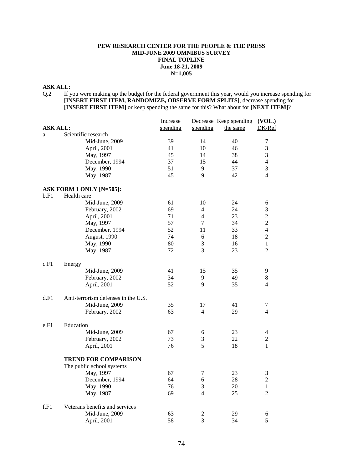### **PEW RESEARCH CENTER FOR THE PEOPLE & THE PRESS MID-JUNE 2009 OMNIBUS SURVEY FINAL TOPLINE June 18-21, 2009 N=1,005**

# **ASK ALL:**

Q.2 If you were making up the budget for the federal government this year, would you increase spending for **[INSERT FIRST ITEM, RANDOMIZE, OBSERVE FORM SPLITS]**, decrease spending for **[INSERT FIRST ITEM]** or keep spending the same for this? What about for **[NEXT ITEM]**?

|                 |                                     | Increase |                          | Decrease Keep spending | (VOL.)         |
|-----------------|-------------------------------------|----------|--------------------------|------------------------|----------------|
| <b>ASK ALL:</b> |                                     | spending | spending                 | the same               | DK/Ref         |
| a.              | Scientific research                 |          |                          |                        |                |
|                 | Mid-June, 2009                      | 39       | 14                       | 40                     | 7              |
|                 | April, 2001                         | 41       | 10                       | 46                     | 3              |
|                 | May, 1997                           | 45       | 14                       | 38                     | $\mathfrak{Z}$ |
|                 | December, 1994                      | 37       | 15                       | 44                     | $\overline{4}$ |
|                 | May, 1990                           | 51       | 9                        | 37                     | 3              |
|                 | May, 1987                           | 45       | 9                        | 42                     | $\overline{4}$ |
|                 | ASK FORM 1 ONLY [N=505]:            |          |                          |                        |                |
| b.F1            | Health care                         |          |                          |                        |                |
|                 | Mid-June, 2009                      | 61       | 10                       | 24                     | 6              |
|                 | February, 2002                      | 69       | 4                        | 24                     | $\mathfrak{Z}$ |
|                 | April, 2001                         | 71       | $\overline{4}$           | 23                     | $\overline{2}$ |
|                 | May, 1997                           | 57       | $\overline{7}$           | 34                     | $\overline{2}$ |
|                 | December, 1994                      | 52       | 11                       | 33                     | $\overline{4}$ |
|                 | August, 1990                        | 74       | 6                        | 18                     | $\overline{2}$ |
|                 | May, 1990                           | 80       | 3                        | 16                     | $\mathbf{1}$   |
|                 | May, 1987                           | 72       | 3                        | 23                     | 2              |
| c.F1            | Energy                              |          |                          |                        |                |
|                 | Mid-June, 2009                      | 41       | 15                       | 35                     | 9              |
|                 | February, 2002                      | 34       | 9                        | 49                     | 8              |
|                 | April, 2001                         | 52       | 9                        | 35                     | 4              |
| d.F1            | Anti-terrorism defenses in the U.S. |          |                          |                        |                |
|                 | Mid-June, 2009                      | 35       | 17                       | 41                     | 7              |
|                 | February, 2002                      | 63       | $\overline{4}$           | 29                     | 4              |
| e.F1            | Education                           |          |                          |                        |                |
|                 | Mid-June, 2009                      | 67       | 6                        | 23                     | $\overline{4}$ |
|                 | February, 2002                      | 73       | 3                        | 22                     | $\sqrt{2}$     |
|                 | April, 2001                         | 76       | 5                        | 18                     | $\mathbf{1}$   |
|                 | <b>TREND FOR COMPARISON</b>         |          |                          |                        |                |
|                 | The public school systems           |          |                          |                        |                |
|                 | May, 1997                           | 67       | 7                        | 23                     | 3              |
|                 | December, 1994                      | 64       | 6                        | 28                     | $\overline{2}$ |
|                 | May, 1990                           | 76       | $\mathfrak{Z}$           | 20                     | $\mathbf{1}$   |
|                 | May, 1987                           | 69       | $\overline{\mathcal{L}}$ | 25                     | $\overline{2}$ |
| f.F1            | Veterans benefits and services      |          |                          |                        |                |
|                 | Mid-June, 2009                      | 63       | $\mathfrak 2$            | 29                     | 6              |
|                 | April, 2001                         | 58       | 3                        | 34                     | 5              |
|                 |                                     |          |                          |                        |                |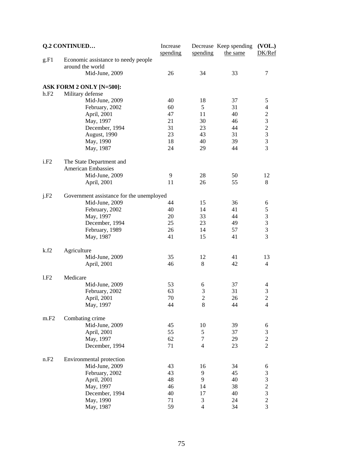|      | <b>Q.2 CONTINUED</b>                     | Increase<br>spending | spending       | Decrease Keep spending<br>the same | (VOL.)<br>DK/Ref |
|------|------------------------------------------|----------------------|----------------|------------------------------------|------------------|
| g.F1 | Economic assistance to needy people      |                      |                |                                    |                  |
|      | around the world                         |                      |                |                                    |                  |
|      | Mid-June, 2009                           | 26                   | 34             | 33                                 | 7                |
|      | ASK FORM 2 ONLY [N=500]:                 |                      |                |                                    |                  |
| h.F2 | Military defense                         |                      |                |                                    |                  |
|      | Mid-June, 2009                           | 40                   | 18             | 37                                 | 5                |
|      | February, 2002                           | 60                   | 5              | 31                                 | $\overline{4}$   |
|      | April, 2001                              | 47                   | 11             | 40                                 | $\sqrt{2}$       |
|      | May, 1997                                | 21                   | 30             | 46                                 | 3                |
|      | December, 1994                           | 31                   | 23             | 44                                 | $\overline{c}$   |
|      | August, 1990                             | 23                   | 43             | 31                                 | 3                |
|      |                                          | 18                   | 40             | 39                                 |                  |
|      | May, 1990                                |                      |                |                                    | 3<br>3           |
|      | May, 1987                                | 24                   | 29             | 44                                 |                  |
| i.F2 | The State Department and                 |                      |                |                                    |                  |
|      | <b>American Embassies</b>                |                      |                |                                    |                  |
|      | Mid-June, 2009                           | 9                    | 28             | 50                                 | 12               |
|      | April, 2001                              | 11                   | 26             | 55                                 | 8                |
| j.F2 | Government assistance for the unemployed |                      |                |                                    |                  |
|      | Mid-June, 2009                           | 44                   | 15             | 36                                 | 6                |
|      | February, 2002                           | 40                   | 14             | 41                                 | $\mathfrak s$    |
|      | May, 1997                                | 20                   | 33             | 44                                 | $\mathfrak 3$    |
|      | December, 1994                           | 25                   | 23             | 49                                 | $\mathfrak{Z}$   |
|      | February, 1989                           | 26                   | 14             | 57                                 | 3                |
|      | May, 1987                                | 41                   | 15             | 41                                 | 3                |
| k.f2 | Agriculture                              |                      |                |                                    |                  |
|      | Mid-June, 2009                           | 35                   | 12             | 41                                 | 13               |
|      | April, 2001                              | 46                   | 8              | 42                                 | $\overline{4}$   |
| 1.F2 | Medicare                                 |                      |                |                                    |                  |
|      | Mid-June, 2009                           | 53                   | 6              | 37                                 | 4                |
|      | February, 2002                           | 63                   | $\mathfrak 3$  | 31                                 | $\mathfrak 3$    |
|      | April, 2001                              | 70                   | $\overline{2}$ | 26                                 | $\sqrt{2}$       |
|      | May, 1997                                | 44                   | 8              | 44                                 | $\overline{4}$   |
|      |                                          |                      |                |                                    |                  |
| m.F2 | Combating crime                          |                      |                |                                    |                  |
|      | Mid-June, 2009                           | 45                   | 10             | 39                                 | 6                |
|      | April, 2001                              | 55                   | 5              | 37                                 | $\mathfrak{Z}$   |
|      | May, 1997                                | 62                   | 7              | 29                                 | $\sqrt{2}$       |
|      | December, 1994                           | 71                   | $\overline{4}$ | 23                                 | $\overline{2}$   |
| n.F2 | Environmental protection                 |                      |                |                                    |                  |
|      | Mid-June, 2009                           | 43                   | 16             | 34                                 | 6                |
|      | February, 2002                           | 43                   | 9              | 45                                 | $\mathfrak{Z}$   |
|      | April, 2001                              | 48                   | 9              | 40                                 | $\mathfrak{Z}$   |
|      | May, 1997                                | 46                   | 14             | 38                                 | $\overline{c}$   |
|      | December, 1994                           | 40                   | 17             | 40                                 | 3                |
|      | May, 1990                                | 71                   | 3              | 24                                 | $\overline{c}$   |
|      | May, 1987                                | 59                   | $\overline{4}$ | 34                                 | 3                |
|      |                                          |                      |                |                                    |                  |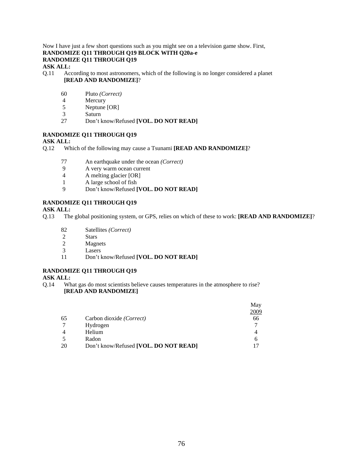#### Now I have just a few short questions such as you might see on a television game show. First, **RANDOMIZE Q11 THROUGH Q19 BLOCK WITH Q20a-e RANDOMIZE Q11 THROUGH Q19 ASK ALL:**

- Q.11 According to most astronomers, which of the following is no longer considered a planet **[READ AND RANDOMIZE]**?
	- 60 Pluto *(Correct)*
	- 4 Mercury<br>5 Neptune
	- Neptune [OR]
	- 3 Saturn<br>27 Don't l
	- 27 Don't know/Refused **[VOL. DO NOT READ]**

# **RANDOMIZE Q11 THROUGH Q19**

# **ASK ALL:**

- Q.12 Which of the following may cause a Tsunami **[READ AND RANDOMIZE]**?
	- 77 An earthquake under the ocean *(Correct)*
	- 9 A very warm ocean current
	- 4 A melting glacier [OR]
	- 1 A large school of fish<br>9 Don't know/Refused [
	- 9 Don't know/Refused **[VOL. DO NOT READ]**

# **RANDOMIZE Q11 THROUGH Q19**

# **ASK ALL:**

- Q.13 The global positioning system, or GPS, relies on which of these to work: **[READ AND RANDOMIZE]**?
	- 82 Satellites *(Correct)*
	-
	- 2 Stars<br>2 Magn **Magnets**
	- 3 Lasers
	- 11 Don't know/Refused **[VOL. DO NOT READ]**

# **RANDOMIZE Q11 THROUGH Q19**

#### **ASK ALL:**

Q.14 What gas do most scientists believe causes temperatures in the atmosphere to rise? **[READ AND RANDOMIZE]**

|    |                                       | May          |
|----|---------------------------------------|--------------|
|    |                                       | 2009         |
| 65 | Carbon dioxide (Correct)              | 66           |
|    | Hydrogen                              | 7            |
| 4  | Helium                                | 4            |
|    | Radon                                 | <sub>0</sub> |
| 20 | Don't know/Refused [VOL. DO NOT READ] |              |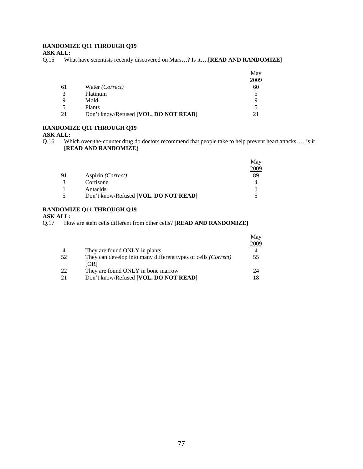# **RANDOMIZE Q11 THROUGH Q19**

**ASK ALL:**

Q.15 What have scientists recently discovered on Mars…? Is it….**[READ AND RANDOMIZE]**

|              |                                       | May  |
|--------------|---------------------------------------|------|
|              |                                       | 2009 |
| 61           | Water (Correct)                       | 60   |
| $\mathbf{R}$ | Platinum                              |      |
| 9            | Mold                                  | q    |
|              | Plants                                |      |
| 21           | Don't know/Refused [VOL. DO NOT READ] |      |

# **RANDOMIZE Q11 THROUGH Q19**

#### **ASK ALL:**

Q.16 Which over-the-counter drug do doctors recommend that people take to help prevent heart attacks … is it **[READ AND RANDOMIZE]** 

|                      |                                       | May  |
|----------------------|---------------------------------------|------|
|                      |                                       | 2009 |
| 91                   | Aspirin ( <i>Correct</i> )            | 89   |
| $\mathcal{R}$        | Cortisone                             |      |
|                      | Antacids                              |      |
| $\ddot{\phantom{1}}$ | Don't know/Refused [VOL. DO NOT READ] |      |

# **RANDOMIZE Q11 THROUGH Q19**

#### **ASK ALL:**

Q.17 How are stem cells different from other cells? **[READ AND RANDOMIZE]** 

|                |                                                               | May  |
|----------------|---------------------------------------------------------------|------|
|                |                                                               | 2009 |
| $\overline{4}$ | They are found ONLY in plants                                 |      |
| 52             | They can develop into many different types of cells (Correct) | 55   |
|                | [OR]                                                          |      |
| 22             | They are found ONLY in bone marrow                            | 24   |
| 21             | Don't know/Refused [VOL. DO NOT READ]                         |      |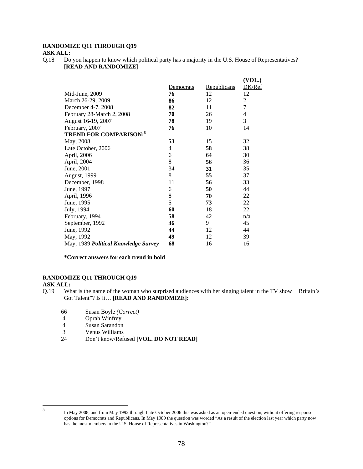# **RANDOMIZE Q11 THROUGH Q19**

#### **ASK ALL:**

Q.18 Do you happen to know which political party has a majority in the U.S. House of Representatives? **[READ AND RANDOMIZE]**

|                                      |           |             | (VOL.) |
|--------------------------------------|-----------|-------------|--------|
|                                      | Democrats | Republicans | DK/Ref |
| Mid-June, 2009                       | 76        | 12          | 12     |
| March 26-29, 2009                    | 86        | 12          | 2      |
| December 4-7, 2008                   | 82        | 11          | 7      |
| February 28-March 2, 2008            | 70        | 26          | 4      |
| August 16-19, 2007                   | 78        | 19          | 3      |
| February, 2007                       | 76        | 10          | 14     |
| <b>TREND FOR COMPARISON:</b> 8       |           |             |        |
| May, 2008                            | 53        | 15          | 32     |
| Late October, 2006                   | 4         | 58          | 38     |
| April, 2006                          | 6         | 64          | 30     |
| April, 2004                          | $8\,$     | 56          | 36     |
| June, 2001                           | 34        | 31          | 35     |
| August, 1999                         | 8         | 55          | 37     |
| December, 1998                       | 11        | 56          | 33     |
| June, 1997                           | 6         | 50          | 44     |
| April, 1996                          | 8         | 70          | 22     |
| June, 1995                           | 5         | 73          | 22     |
| July, 1994                           | 60        | 18          | 22     |
| February, 1994                       | 58        | 42          | n/a    |
| September, 1992                      | 46        | 9           | 45     |
| June, 1992                           | 44        | 12          | 44     |
| May, 1992                            | 49        | 12          | 39     |
| May, 1989 Political Knowledge Survey | 68        | 16          | 16     |

**\*Correct answers for each trend in bold**

# **RANDOMIZE Q11 THROUGH Q19**

#### **ASK ALL:**

- Q.19 What is the name of the woman who surprised audiences with her singing talent in the TV show Britain's Got Talent"? Is it… **[READ AND RANDOMIZE]:**
	- 66 Susan Boyle *(Correct)*
	- 4 Oprah Winfrey
	- 4 Susan Sarandon
	- 3 Venus Williams
	- 24 Don't know/Refused **[VOL. DO NOT READ]**

 8

In May 2008, and from May 1992 through Late October 2006 this was asked as an open-ended question, without offering response options for Democrats and Republicans. In May 1989 the question was worded "As a result of the election last year which party now has the most members in the U.S. House of Representatives in Washington?"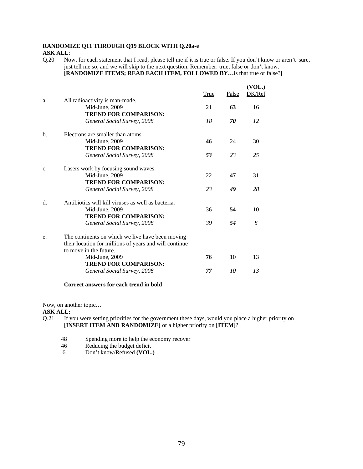# **RANDOMIZE Q11 THROUGH Q19 BLOCK WITH Q.20a-e ASK ALL**:

Q.20 Now, for each statement that I read, please tell me if it is true or false. If you don't know or aren't sure, just tell me so, and we will skip to the next question. Remember: true, false or don't know. **[RANDOMIZE ITEMS; READ EACH ITEM, FOLLOWED BY…**is that true or false?**]**

|                |                                                                                  | True | False | (VOL.)<br>DK/Ref |
|----------------|----------------------------------------------------------------------------------|------|-------|------------------|
| a.             | All radioactivity is man-made.                                                   |      |       |                  |
|                | Mid-June, 2009                                                                   | 21   | 63    | 16               |
|                | <b>TREND FOR COMPARISON:</b>                                                     |      |       |                  |
|                | General Social Survey, 2008                                                      | 18   | 70    | 12               |
| $\mathbf{b}$ . | Electrons are smaller than atoms                                                 |      |       |                  |
|                | Mid-June, 2009                                                                   | 46   | 24    | 30               |
|                | <b>TREND FOR COMPARISON:</b>                                                     |      |       |                  |
|                | General Social Survey, 2008                                                      | 53   | 23    | 25               |
| c.             | Lasers work by focusing sound waves.                                             |      |       |                  |
|                | Mid-June, 2009                                                                   | 22   | 47    | 31               |
|                | <b>TREND FOR COMPARISON:</b>                                                     |      |       |                  |
|                | General Social Survey, 2008                                                      | 23   | 49    | 28               |
| $d_{\cdot}$    | Antibiotics will kill viruses as well as bacteria.                               |      |       |                  |
|                | Mid-June, 2009                                                                   | 36   | 54    | 10               |
|                | <b>TREND FOR COMPARISON:</b>                                                     |      |       |                  |
|                | General Social Survey, 2008                                                      | 39   | 54    | 8                |
| e.             | The continents on which we live have been moving                                 |      |       |                  |
|                | their location for millions of years and will continue<br>to move in the future. |      |       |                  |
|                | Mid-June, 2009                                                                   | 76   | 10    | 13               |
|                | <b>TREND FOR COMPARISON:</b>                                                     |      |       |                  |
|                | General Social Survey, 2008                                                      | 77   | 10    | 13               |
|                |                                                                                  |      |       |                  |

#### **Correct answers for each trend in bold**

Now, on another topic…

**ASK ALL:** 

- Q.21 If you were setting priorities for the government these days, would you place a higher priority on **[INSERT ITEM AND RANDOMIZE]** or a higher priority on **[ITEM]**?
	- 48 Spending more to help the economy recover
	- 46 Reducing the budget deficit<br>6 Don't know/Refused (VOL.
	- Don't know/Refused **(VOL.)**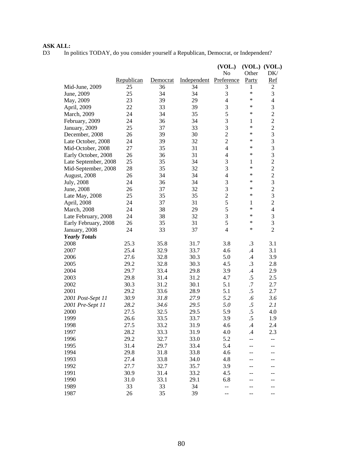# **ASK ALL:**<br>D3 In p

In politics TODAY, do you consider yourself a Republican, Democrat, or Independent?

|                      |            |          |             | (VOL.)         |                 | $(VOL.)$ $(VOL.)$        |
|----------------------|------------|----------|-------------|----------------|-----------------|--------------------------|
|                      |            |          |             | No             | Other           | DK/                      |
|                      | Republican | Democrat | Independent | Preference     | Party           | Ref                      |
| Mid-June, 2009       | 25         | 36       | 34          | 3              | 1               | 2                        |
| June, 2009           | 25         | 34       | 34          | 3              | ∗               | 3                        |
| May, 2009            | 23         | 39       | 29          | $\overline{4}$ | ∗               | $\overline{\mathcal{L}}$ |
| April, 2009          | 22         | 33       | 39          | $\mathfrak{Z}$ | ∗               | 3                        |
| March, 2009          | 24         | 34       | 35          | 5              | ∗               | $\overline{c}$           |
| February, 2009       | 24         | 36       | 34          | $\mathfrak{Z}$ | 1               | $\overline{c}$           |
| January, 2009        | 25         | 37       | 33          | 3              | $\ast$          | $\overline{c}$           |
| December, 2008       | 26         | 39       | 30          | $\overline{2}$ | ∗               | 3                        |
| Late October, 2008   | 24         | 39       | 32          | $\overline{c}$ | ∗               | 3                        |
| Mid-October, 2008    | 27         | 35       | 31          | $\overline{4}$ | $\ast$          | 3                        |
| Early October, 2008  | 26         | 36       | 31          | $\overline{4}$ | $\ast$          | 3                        |
| Late September, 2008 | 25         | 35       | 34          | $\mathfrak{Z}$ | $\mathbf{1}$    | $\overline{c}$           |
| Mid-September, 2008  | 28         | 35       | 32          | $\mathfrak{Z}$ | ∗               | $\overline{c}$           |
| August, 2008         | 26         | 34       | 34          | $\overline{4}$ | ∗               | $\overline{c}$           |
| July, 2008           | 24         | 36       | 34          | $\mathfrak{Z}$ | ∗               | 3                        |
| June, 2008           | 26         | 37       | 32          | $\mathfrak{Z}$ | ∗               | $\overline{c}$           |
| Late May, 2008       | 25         | 35       | 35          | $\sqrt{2}$     | ∗               | 3                        |
| April, 2008          | 24         | 37       | 31          | 5              | 1               | $\overline{c}$           |
| March, 2008          | 24         | 38       | 29          | 5              | $\ast$          | $\overline{\mathcal{L}}$ |
| Late February, 2008  | 24         | 38       | 32          | $\overline{3}$ | ∗               | 3                        |
| Early February, 2008 | 26         | 35       | 31          | 5              | ∗               | $\overline{3}$           |
| January, 2008        | 24         | 33       | 37          | $\overline{4}$ | ∗               | $\overline{2}$           |
| <b>Yearly Totals</b> |            |          |             |                |                 |                          |
| 2008                 | 25.3       | 35.8     | 31.7        | 3.8            | $\cdot$ 3       | 3.1                      |
| 2007                 | 25.4       | 32.9     | 33.7        | 4.6            | $.4\phantom{0}$ | 3.1                      |
| 2006                 | 27.6       | 32.8     | 30.3        | 5.0            | .4              | 3.9                      |
| 2005                 | 29.2       | 32.8     | 30.3        | 4.5            | $\cdot$ 3       | 2.8                      |
| 2004                 | 29.7       | 33.4     | 29.8        | 3.9            | $\cdot$ 4       | 2.9                      |
| 2003                 | 29.8       | 31.4     | 31.2        | 4.7            | $.5\,$          | 2.5                      |
| 2002                 | 30.3       | 31.2     | 30.1        | 5.1            | .7              | 2.7                      |
| 2001                 | 29.2       | 33.6     | 28.9        | 5.1            | $.5\,$          | 2.7                      |
| 2001 Post-Sept 11    | 30.9       | 31.8     | 27.9        | 5.2            | $.6\,$          | 3.6                      |
| 2001 Pre-Sept 11     | 28.2       | 34.6     | 29.5        | 5.0            | .5              | 2.1                      |
| 2000                 | 27.5       | 32.5     | 29.5        | 5.9            | $.5\,$          | 4.0                      |
| 1999                 | 26.6       | 33.5     | 33.7        | 3.9            | .5              | 1.9                      |
| 1998                 | 27.5       | 33.2     | 31.9        | 4.6            | .4              | 2.4                      |
| 1997                 | 28.2       | 33.3     | 31.9        | 4.0            | $\cdot$ 4       | 2.3                      |
| 1996                 | 29.2       | 32.7     | 33.0        | 5.2            |                 | --                       |
| 1995                 | 31.4       | 29.7     | 33.4        | 5.4            |                 |                          |
| 1994                 | 29.8       | 31.8     | 33.8        | 4.6            |                 |                          |
| 1993                 | 27.4       | 33.8     | 34.0        | 4.8            |                 | --                       |
| 1992                 | 27.7       | 32.7     | 35.7        | 3.9            |                 |                          |
| 1991                 | 30.9       | 31.4     | 33.2        | 4.5            |                 |                          |
| 1990                 | 31.0       | 33.1     | 29.1        | 6.8            |                 |                          |
| 1989                 | 33         | 33       | 34          | --             |                 |                          |
| 1987                 | 26         | 35       | 39          | --             |                 | --                       |
|                      |            |          |             |                |                 |                          |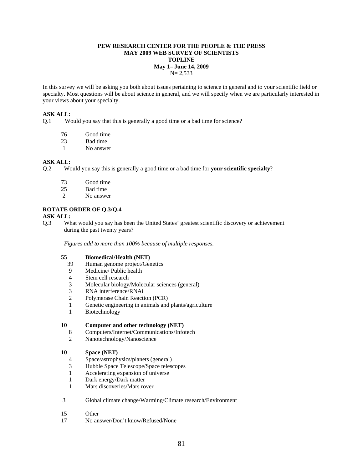#### **PEW RESEARCH CENTER FOR THE PEOPLE & THE PRESS MAY 2009 WEB SURVEY OF SCIENTISTS TOPLINE May 1– June 14, 2009**   $N = 2,533$

In this survey we will be asking you both about issues pertaining to science in general and to your scientific field or specialty. Most questions will be about science in general, and we will specify when we are particularly interested in your views about your specialty.

#### **ASK ALL:**

Q.1 Would you say that this is generally a good time or a bad time for science?

- 76 Good time
- 23 Bad time
- 1 No answer

#### **ASK ALL:**

- Q.2 Would you say this is generally a good time or a bad time for **your scientific specialty**?
	- 73 Good time
	- 25 Bad time
	- 2 No answer

#### **ROTATE ORDER OF Q.3/Q.4**

#### **ASK ALL:**

Q.3 What would you say has been the United States' greatest scientific discovery or achievement during the past twenty years?

 *Figures add to more than 100% because of multiple responses.* 

#### **55 Biomedical/Health (NET)**

- 39 Human genome project/Genetics
- 9 Medicine/ Public health
- 4 Stem cell research
- 3 Molecular biology/Molecular sciences (general)
- 3 RNA interference/RNAi
- 2 Polymerase Chain Reaction (PCR)
- 1 Genetic engineering in animals and plants/agriculture
- 1 Biotechnology

#### **10 Computer and other technology (NET)**

- 8 Computers/Internet/Communications/Infotech
- 2 Nanotechnology/Nanoscience

#### **10 Space (NET)**

- 4 Space/astrophysics/planets (general)
- 3 Hubble Space Telescope/Space telescopes
- 1 Accelerating expansion of universe
- 1 Dark energy/Dark matter
- 1 Mars discoveries/Mars rover

#### 3 Global climate change/Warming/Climate research/Environment

- 15 Other
- 17 No answer/Don't know/Refused/None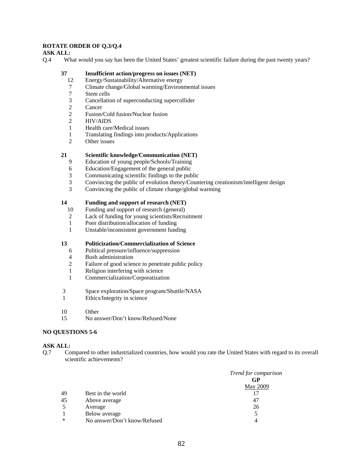### **ROTATE ORDER OF Q.3/Q.4**

#### **ASK ALL:**

Q.4 What would you say has been the United States' greatest scientific failure during the past twenty years?

#### **37 Insufficient action/progress on issues (NET)**

- 12 Energy/Sustainability/Alternative energy
- 7 Climate change/Global warming/Environmental issues
- 7 Stem cells
- 3 Cancellation of superconducting supercollider
- 2 Cancer
- 2 Fusion/Cold fusion/Nuclear fusion
- 2 HIV/AIDS
- 1 Health care/Medical issues
- 1 Translating findings into products/Applications
- 2 Other issues

#### **21 Scientific knowledge/Communication (NET)**

- 9 Education of young people/Schools/Training
- 6 Education/Engagement of the general public
- 3 Communicating scientific findings to the public
- 3 Convincing the public of evolution theory/Countering creationism/intelligent design
- 3 Convincing the public of climate change/global warming

#### **14 Funding and support of research (NET)**

- 10 Funding and support of research (general)
- 2 Lack of funding for young scientists/Recruitment
- 1 Poor distribution/allocation of funding
- 1 Unstable/inconsistent government funding

#### **13 Politicization/Commercialization of Science**

- 6 Political pressure/influence/suppression
- 4 Bush administration
- 2 Failure of good science to penetrate public policy
- 1 Religion interfering with science
- 1 Commercialization/Corporatization
- 3 Space exploration/Space program/Shuttle/NASA
- 1 Ethics/Integrity in science
- 10 Other
- 15 No answer/Don't know/Refused/None

#### **NO QUESTIONS 5-6**

#### **ASK ALL:**

Q.7 Compared to other industrialized countries, how would you rate the United States with regard to its overall scientific achievements?

|    |                              | Trend for comparison |
|----|------------------------------|----------------------|
|    |                              | GP                   |
|    |                              | <b>May 2009</b>      |
| 49 | Best in the world            |                      |
| 45 | Above average                | 47                   |
| 5  | Average                      | 26                   |
|    | Below average                |                      |
| ∗  | No answer/Don't know/Refused |                      |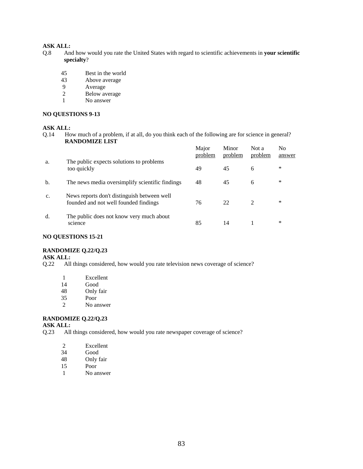- Q.8 And how would you rate the United States with regard to scientific achievements in **your scientific specialty**?
	- 45 Best in the world
	- 43 Above average<br>9 Average
	- 9 Average<br>2 Below av
	- Below average
	- 1 No answer

#### **NO QUESTIONS 9-13**

#### **ASK ALL:**

Q.14 How much of a problem, if at all, do you think each of the following are for science in general? **RANDOMIZE LIST**

|    |                                                                                      | Major<br>problem | Minor<br>problem | Not a<br>problem | No<br>answer |
|----|--------------------------------------------------------------------------------------|------------------|------------------|------------------|--------------|
| a. | The public expects solutions to problems<br>too quickly                              | 49               | 45               | 6                | $\ast$       |
| b. | The news media oversimplify scientific findings                                      | 48               | 45               | 6                | $\ast$       |
| c. | News reports don't distinguish between well<br>founded and not well founded findings | 76               | 22               | $\mathcal{L}$    | $\ast$       |
| d. | The public does not know very much about<br>science                                  | 85               | 14               |                  | *            |

#### **NO QUESTIONS 15-21**

#### **RANDOMIZE Q.22/Q.23**

### **ASK ALL:**

- Q.22 All things considered, how would you rate television news coverage of science?
	- 1 Excellent<br>14 Good
	- Good
	- 48 Only fair
	- 35 Poor
	- 2 No answer

#### **RANDOMIZE Q.22/Q.23**

- **ASK ALL:**<br>Q.23 All All things considered, how would you rate newspaper coverage of science?
	- 2 Excellent<br>34 Good
	- Good
	- 48 Only fair
	- 15 Poor
	- 1 No answer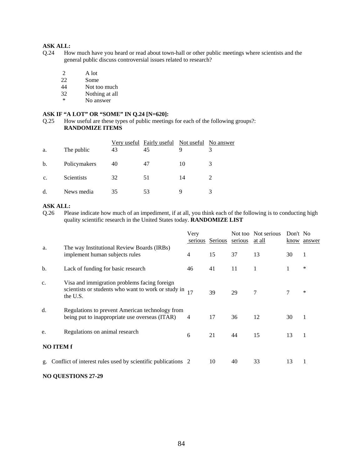- Q.24 How much have you heard or read about town-hall or other public meetings where scientists and the general public discuss controversial issues related to research?
	- 2 A lot
	- 22 Some<br>44 Not to
	- Not too much
	- 32 Nothing at all
	- \* No answer

#### **ASK IF "A LOT" OR "SOME" IN Q.24 [N=620]:**

Q.25 How useful are these types of public meetings for each of the following groups?: **RANDOMIZE ITEMS** 

| a. | The public   | 43 | Very useful Fairly useful<br>45 | Not useful<br>9 | No answer |
|----|--------------|----|---------------------------------|-----------------|-----------|
| b. | Policymakers | 40 | 47                              | 10              | 3         |
| c. | Scientists   | 32 | 51                              | 14              |           |
| d. | News media   | 35 | 53                              | Q               |           |

# **ASK ALL:**

Q.26 Please indicate how much of an impediment, if at all, you think each of the following is to conducting high quality scientific research in the United States today. **RANDOMIZE LIST** 

|    |                                                                                                                 | Very<br>serious | Serious | Not too<br>serious | Not serious<br>at all | Don't No | know answer |
|----|-----------------------------------------------------------------------------------------------------------------|-----------------|---------|--------------------|-----------------------|----------|-------------|
| a. | The way Institutional Review Boards (IRBs)<br>implement human subjects rules                                    | 4               | 15      | 37                 | 13                    | 30       | 1           |
| b. | Lack of funding for basic research                                                                              | 46              | 41      | 11                 | 1                     |          | $\ast$      |
| c. | Visa and immigration problems facing foreign<br>scientists or students who want to work or study in<br>the U.S. | 17              | 39      | 29                 | 7                     | 7        | $\ast$      |
| d. | Regulations to prevent American technology from<br>being put to inappropriate use overseas (ITAR)               | 4               | 17      | 36                 | 12                    | 30       | 1           |
| e. | Regulations on animal research                                                                                  | 6               | 21      | 44                 | 15                    | 13       | 1           |
|    | <b>NO ITEM f</b>                                                                                                |                 |         |                    |                       |          |             |
| g. | Conflict of interest rules used by scientific publications 2                                                    |                 | 10      | 40                 | 33                    | 13       | 1           |

#### **NO QUESTIONS 27-29**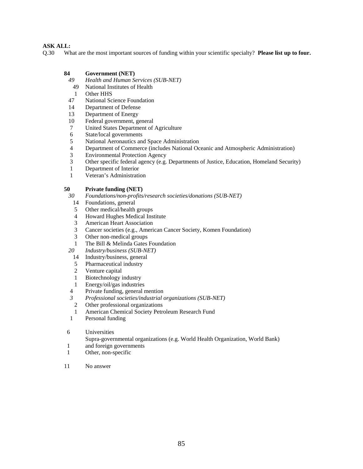Q.30 What are the most important sources of funding within your scientific specialty? **Please list up to four.** 

#### **84 Government (NET)**

- *49 Health and Human Services (SUB-NET)*
- 49 National Institutes of Health
- 1 Other HHS
- 47 National Science Foundation
- 14 Department of Defense
- 13 Department of Energy
- 10 Federal government, general
- 7 United States Department of Agriculture
- 6 State/local governments
- 5 National Aeronautics and Space Administration
- 4 Department of Commerce (includes National Oceanic and Atmospheric Administration)
- 3 Environmental Protection Agency
- 3 Other specific federal agency (e.g. Departments of Justice, Education, Homeland Security)
- 1 Department of Interior
- 1 Veteran's Administration

# **50 Private funding (NET)**

*30 Foundations/non-profits/research societies/donations (SUB-NET)* 

- 14 Foundations, general
- 5 Other medical/health groups
- 4 Howard Hughes Medical Institute
- 3 American Heart Association
- 3 Cancer societies (e.g., American Cancer Society, Komen Foundation)
- 3 Other non-medical groups
- 1 The Bill & Melinda Gates Foundation
- *20 Industry/business (SUB-NET)* 
	- 14 Industry/business, general
	- 5 Pharmaceutical industry
	- 2 Venture capital
	- 1 Biotechnology industry
	- 1 Energy/oil/gas industries
- 4 Private funding, general mention
- *3 Professional societies/industrial organizations (SUB-NET)*
- 2 Other professional organizations
- 1 American Chemical Society Petroleum Research Fund
- 1 Personal funding
- 6 Universities
	- Supra-governmental organizations (e.g. World Health Organization, World Bank)
- 1 and foreign governments
- 1 Other, non-specific
- 11 No answer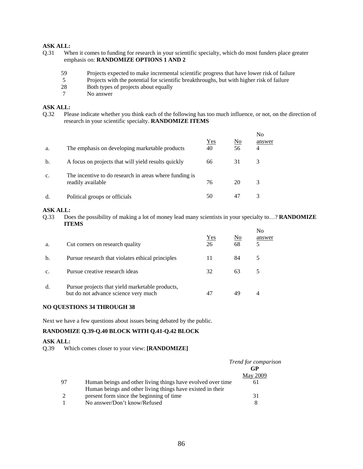- Q.31 When it comes to funding for research in your scientific specialty, which do most funders place greater emphasis on: **RANDOMIZE OPTIONS 1 AND 2** 
	- 59 Projects expected to make incremental scientific progress that have lower risk of failure
	- 5 Projects with the potential for scientific breakthroughs, but with higher risk of failure
	- 28 Both types of projects about equally
	- 7 No answer

# **ASK ALL:**

Q.32 Please indicate whether you think each of the following has too much influence, or not, on the direction of research in your scientific specialty. **RANDOMIZE ITEMS**

| a. | The emphasis on developing marketable products                              | $Yes$<br>40 | No<br>56 | No<br>answer<br>4 |
|----|-----------------------------------------------------------------------------|-------------|----------|-------------------|
| b. | A focus on projects that will yield results quickly                         | 66          | 31       | 3                 |
| c. | The incentive to do research in areas where funding is<br>readily available | 76          | 20       | 3                 |
| đ  | Political groups or officials                                               | 50          | 47       | 3                 |

#### **ASK ALL:**

Q.33 Does the possibility of making a lot of money lead many scientists in your specialty to…? **RANDOMIZE ITEMS**

| a.              | Cut corners on research quality                                                         | Yes<br>26 | No<br>68 | No<br>answer |
|-----------------|-----------------------------------------------------------------------------------------|-----------|----------|--------------|
| b.              | Pursue research that violates ethical principles                                        | 11        | 84       | 5            |
| $\mathcal{C}$ . | Pursue creative research ideas                                                          | 32        | 63       |              |
| d.              | Pursue projects that yield marketable products,<br>but do not advance science very much |           |          |              |

# **NO QUESTIONS 34 THROUGH 38**

Next we have a few questions about issues being debated by the public.

# **RANDOMIZE Q.39-Q.40 BLOCK WITH Q.41-Q.42 BLOCK**

#### **ASK ALL:**

Q.39 Which comes closer to your view: **[RANDOMIZE]** 

|    |                                                             | <i>Trend for comparison</i><br>GP |
|----|-------------------------------------------------------------|-----------------------------------|
|    |                                                             | May 2009                          |
| 97 | Human beings and other living things have evolved over time | 61                                |
|    | Human beings and other living things have existed in their  |                                   |
| 2  | present form since the beginning of time                    | 31                                |
|    | No answer/Don't know/Refused                                | 8                                 |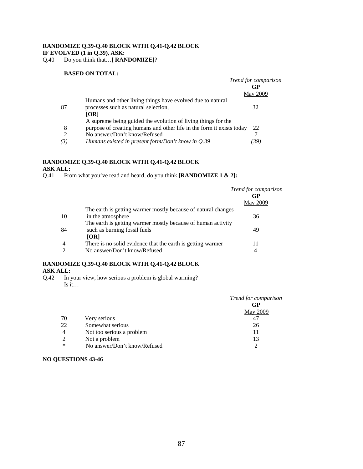# **RANDOMIZE Q.39-Q.40 BLOCK WITH Q.41-Q.42 BLOCK**

# **IF EVOLVED (1 in Q.39), ASK:**

Q.40 Do you think that…**[ RANDOMIZE]**?

### **BASED ON TOTAL:**

|     |                                                                       | Trend for comparison |
|-----|-----------------------------------------------------------------------|----------------------|
|     |                                                                       | GP                   |
|     |                                                                       | <b>May 2009</b>      |
|     | Humans and other living things have evolved due to natural            |                      |
| 87  | processes such as natural selection,                                  | 32                   |
|     | [OR]                                                                  |                      |
|     | A supreme being guided the evolution of living things for the         |                      |
| 8   | purpose of creating humans and other life in the form it exists today | 22                   |
| 2   | No answer/Don't know/Refused                                          |                      |
| (3) | Humans existed in present form/Don't know in $Q.39$                   | (39)                 |
|     |                                                                       |                      |

# **RANDOMIZE Q.39-Q.40 BLOCK WITH Q.41-Q.42 BLOCK**

**ASK ALL:**<br>Q.41 Fro From what you've read and heard, do you think **[RANDOMIZE 1 & 2]:** 

|                |                                                               | Trend for comparison |
|----------------|---------------------------------------------------------------|----------------------|
|                |                                                               | GP                   |
|                |                                                               | May 2009             |
|                | The earth is getting warmer mostly because of natural changes |                      |
| 10             | in the atmosphere                                             | 36                   |
|                | The earth is getting warmer mostly because of human activity  |                      |
| 84             | such as burning fossil fuels                                  | 49                   |
|                | [OR]                                                          |                      |
| $\overline{4}$ | There is no solid evidence that the earth is getting warmer   |                      |
| $\mathfrak{D}$ | No answer/Don't know/Refused                                  | 4                    |

# **RANDOMIZE Q.39-Q.40 BLOCK WITH Q.41-Q.42 BLOCK ASK ALL:**

Q.42 In your view, how serious a problem is global warming? Is it…

|                |                              | Trend for comparison |
|----------------|------------------------------|----------------------|
|                |                              | GP                   |
|                |                              | <b>May 2009</b>      |
| 70             | Very serious                 | 47                   |
| 22             | Somewhat serious             | 26                   |
| $\overline{4}$ | Not too serious a problem    | 11                   |
| 2              | Not a problem                | 13                   |
| ∗              | No answer/Don't know/Refused | ◠                    |

#### **NO QUESTIONS 43-46**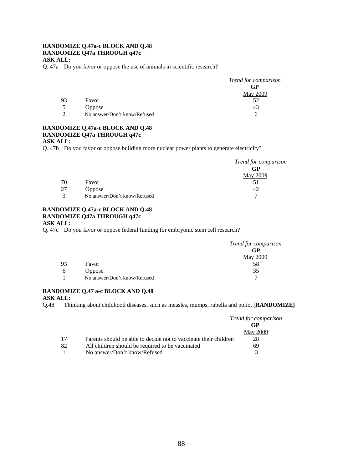#### **RANDOMIZE Q.47a-c BLOCK AND Q.48 RANDOMIZE Q47a THROUGH q47c ASK ALL:**

Q. 47a Do you favor or oppose the use of animals in scientific research?

|          |                              | Trend for comparison |
|----------|------------------------------|----------------------|
|          |                              | GP                   |
|          |                              | May 2009             |
| 93       | Favor                        | 52                   |
| 5        | <b>Oppose</b>                | 43                   |
| $\gamma$ | No answer/Don't know/Refused | h                    |

#### **RANDOMIZE Q.47a-c BLOCK AND Q.48 RANDOMIZE Q47a THROUGH q47c ASK ALL:**

Q. 47b Do you favor or oppose building more nuclear power plants to generate electricity?

|    |                              | Trend for comparison |
|----|------------------------------|----------------------|
|    |                              | GP                   |
|    |                              | May 2009             |
| 70 | Favor                        |                      |
| 27 | <b>Oppose</b>                | 42                   |
| 3  | No answer/Don't know/Refused |                      |

#### **RANDOMIZE Q.47a-c BLOCK AND Q.48 RANDOMIZE Q47a THROUGH q47c ASK ALL:**

Q. 47c Do you favor or oppose federal funding for embryonic stem cell research?

|    |                              | Trend for comparison |
|----|------------------------------|----------------------|
|    |                              | GP                   |
|    |                              | May 2009             |
| 93 | Favor                        | 58                   |
| b  | <b>Oppose</b>                | 35                   |
|    | No answer/Don't know/Refused | ┑                    |

# **RANDOMIZE Q.47 a-c BLOCK AND Q.48**

**ASK ALL:** 

Q.48 Thinking about childhood diseases, such as measles, mumps, rubella and polio, [**RANDOMIZE]** 

|    |                                                                  | <i>Trend for comparison</i> |
|----|------------------------------------------------------------------|-----------------------------|
|    |                                                                  | GP                          |
|    |                                                                  | May 2009                    |
| 17 | Parents should be able to decide not to vaccinate their children | 28                          |
| 82 | All children should be required to be vaccinated                 | 69                          |
|    | No answer/Don't know/Refused                                     |                             |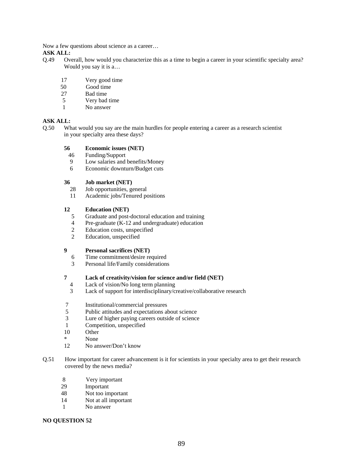Now a few questions about science as a career…

- **ASK ALL:**<br>Q.49 Ov Overall, how would you characterize this as a time to begin a career in your scientific specialty area? Would you say it is a…
	- 17 Very good time
	- 50 Good time
	- 27 Bad time
	- 5 Very bad time
	- 1 No answer

# **ASK ALL:**

Q.50 What would you say are the main hurdles for people entering a career as a research scientist in your specialty area these days?

#### **56 Economic issues (NET)**

- 46 Funding/Support
- 9 Low salaries and benefits/Money<br>6 Economic downturn/Budget cuts
- Economic downturn/Budget cuts

#### **36 Job market (NET)**

- 28 Job opportunities, general
- 11 Academic jobs/Tenured positions

#### **12 Education (NET)**

- 5 Graduate and post-doctoral education and training
- 4 Pre-graduate (K-12 and undergraduate) education
- 2 Education costs, unspecified
- 2 Education, unspecified

#### **9 Personal sacrifices (NET)**

- 6 Time commitment/desire required
- 3 Personal life/Family considerations

#### **7 Lack of creativity/vision for science and/or field (NET)**

- 4 Lack of vision/No long term planning
- 3 Lack of support for interdisciplinary/creative/collaborative research
- 7 Institutional/commercial pressures
- 5 Public attitudes and expectations about science
- 3 Lure of higher paying careers outside of science
- 1 Competition, unspecified<br>10 Other
- Other<sup>1</sup>
- \* None
- 12 No answer/Don't know
- Q.51 How important for career advancement is it for scientists in your specialty area to get their research covered by the news media?
	- 8 Very important
	- 29 Important
	- 48 Not too important
	- 14 Not at all important
	- 1 No answer

#### **NO QUESTION 52**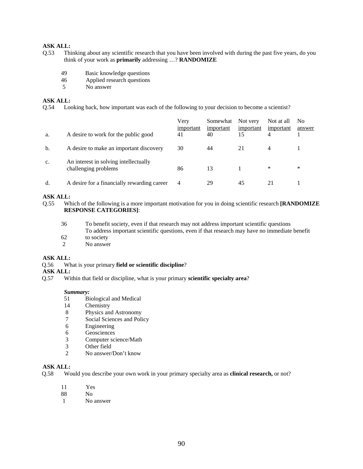- Q.53 Thinking about any scientific research that you have been involved with during the past five years, do you think of your work as **primarily** addressing …? **RANDOMIZE** 
	- 49 Basic knowledge questions
	- 46 Applied research questions
	- 5 No answer

#### **ASK ALL:**

Q.54 Looking back, how important was each of the following to your decision to become a scientist?

| a. | A desire to work for the public good                          | Very<br>important<br>41 | Somewhat<br>important<br>40 | Not very<br>important<br>15 | Not at all<br>important | No<br>answer |
|----|---------------------------------------------------------------|-------------------------|-----------------------------|-----------------------------|-------------------------|--------------|
| b. | A desire to make an important discovery                       | 30                      | 44                          | 21                          | 4                       |              |
| c. | An interest in solving intellectually<br>challenging problems | 86                      | 13                          |                             | *                       | ∗            |
| d. | A desire for a financially rewarding career                   | 4                       | 29                          | 45                          | 21                      |              |

# **ASK ALL:**

Q.55 Which of the following is a more important motivation for you in doing scientific research **[RANDOMIZE RESPONSE CATEGORIES]**:

| 36 | To benefit society, even if that research may not address important scientific questions       |  |  |
|----|------------------------------------------------------------------------------------------------|--|--|
|    | To address important scientific questions, even if that research may have no immediate benefit |  |  |
| 62 | to society                                                                                     |  |  |

2 No answer

#### **ASK ALL:**

Q.56 What is your primary **field or scientific discipline**?

# **ASK ALL:**

Q.57 Within that field or discipline, what is your primary **scientific specialty area**?

#### *Summary:*

- 51 Biological and Medical
- 14 Chemistry<br>8 Physics and
- 8 Physics and Astronomy<br>7 Social Sciences and Poli
- Social Sciences and Policy
- 6 Engineering
- 6 Geosciences
- 3 Computer science/Math<br>3 Other field
- 3 Other field<br>2 No answer
- No answer/Don't know

#### **ASK ALL:**

- Q.58 Would you describe your own work in your primary specialty area as **clinical research,** or not?
	- 11 Yes
	- N<sub>o</sub>
	- 1 No answer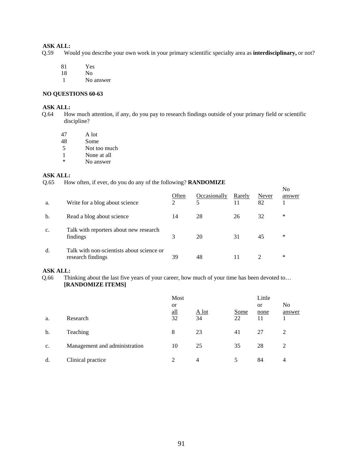Q.59 Would you describe your own work in your primary scientific specialty area as **interdisciplinary,** or not?

- 81 Yes
- 18 No
- 1 No answer

#### **NO QUESTIONS 60-63**

# **ASK ALL:**

- Q.64 How much attention, if any, do you pay to research findings outside of your primary field or scientific discipline?
	- 47 A lot<br>48 Some
	- 48 Some<br>5 Not to
	- Not too much
	- $\frac{1}{1}$  None at all  $\frac{1}{1}$  No answer
	- No answer

# **ASK ALL:**<br>Q.65 Ho

How often, if ever, do you do any of the following? **RANDOMIZE** 

| a. | Write for a blog about science                                 | Often<br>2 | Occasionally<br>5 | Rarely<br>11 | Never<br>82                 | No<br>answer |
|----|----------------------------------------------------------------|------------|-------------------|--------------|-----------------------------|--------------|
| b. | Read a blog about science                                      | 14         | 28                | 26           | 32                          | ∗            |
| c. | Talk with reporters about new research<br>findings             | 3          | 20                | 31           | 45                          | ∗            |
| d. | Talk with non-scientists about science or<br>research findings | 39         | 48                |              | $\mathcal{D}_{\mathcal{L}}$ | ∗            |

### **ASK ALL:**

Q.66 Thinking about the last five years of your career, how much of your time has been devoted to… **[RANDOMIZE ITEMS]** 

|    |                               | Most<br><b>or</b> |               |            | Little<br><sub>or</sub> | N <sub>0</sub> |
|----|-------------------------------|-------------------|---------------|------------|-------------------------|----------------|
| a. | Research                      | all<br>32         | $A$ lot<br>34 | Some<br>22 | none<br>11              | answer         |
| b. | Teaching                      | 8                 | 23            | 41         | 27                      | 2              |
| c. | Management and administration | 10                | 25            | 35         | 28                      | 2              |
| d. | Clinical practice             | $\mathfrak{D}$    | 4             | 5          | 84                      | $\overline{4}$ |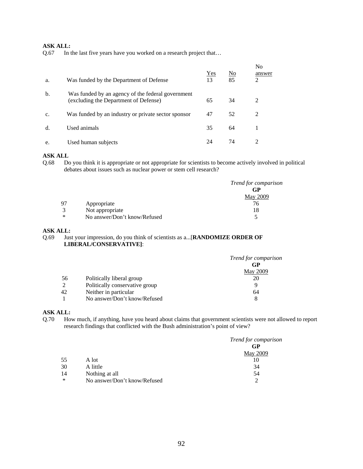Q.67 In the last five years have you worked on a research project that…

| a. | Was funded by the Department of Defense                                                    | $Yes$<br>13 | No<br>85 | N <sub>0</sub><br>answer<br>2 |
|----|--------------------------------------------------------------------------------------------|-------------|----------|-------------------------------|
| b. | Was funded by an agency of the federal government<br>(excluding the Department of Defense) | 65          | 34       | 2                             |
| c. | Was funded by an industry or private sector sponsor                                        | 47          | 52       | 2                             |
| d. | Used animals                                                                               | 35          | 64       |                               |
| e. | Used human subjects                                                                        | 24          | 74       |                               |

# **ASK ALL**

Q.68 Do you think it is appropriate or not appropriate for scientists to become actively involved in political debates about issues such as nuclear power or stem cell research?

|        |                              | <i>Trend for comparison</i> |
|--------|------------------------------|-----------------------------|
|        |                              | GP                          |
|        |                              | <b>May 2009</b>             |
| 97     | Appropriate                  | 76                          |
| 3      | Not appropriate              | 18                          |
| $\ast$ | No answer/Don't know/Refused |                             |

#### **ASK ALL:**

### Q.69 Just your impression, do you think of scientists as a...[**RANDOMIZE ORDER OF LIBERAL/CONSERVATIVE]**:

| Trend for comparison |
|----------------------|
| GP                   |
| May 2009             |
| 20                   |
| Q                    |
| 64                   |
| 8                    |
|                      |

# **ASK ALL:**

Q.70 How much, if anything, have you heard about claims that government scientists were not allowed to report research findings that conflicted with the Bush administration's point of view?

|    |                              | Trend for comparison |
|----|------------------------------|----------------------|
|    |                              | GP                   |
|    |                              | May 2009             |
| 55 | A lot                        | 10                   |
| 30 | A little                     | 34                   |
| 14 | Nothing at all               | 54                   |
| ∗  | No answer/Don't know/Refused | ◠                    |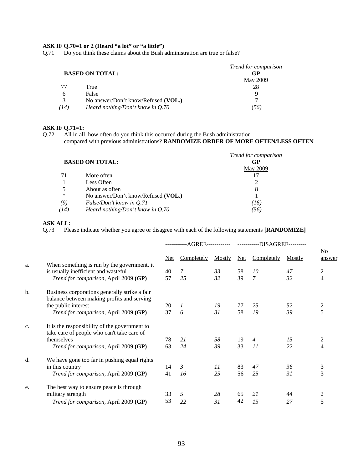#### **ASK IF Q.70=1 or 2 (Heard "a lot" or "a little")**

Q.71 Do you think these claims about the Bush administration are true or false?

|                        |                                     | Trend for comparison |
|------------------------|-------------------------------------|----------------------|
| <b>BASED ON TOTAL:</b> |                                     | GP                   |
|                        |                                     | May 2009             |
| 77                     | True                                | 28                   |
| 6                      | False                               | Q                    |
| 3                      | No answer/Don't know/Refused (VOL.) | ⇁                    |
| (14)                   | Heard nothing/Don't know in Q.70    | (56)                 |

#### **ASK IF Q.71=1:**

Q.72 All in all, how often do you think this occurred during the Bush administration compared with previous administrations? **RANDOMIZE ORDER OF MORE OFTEN/LESS OFTEN** 

|      |                                     | Trend for comparison |
|------|-------------------------------------|----------------------|
|      | <b>BASED ON TOTAL:</b>              | GP                   |
|      |                                     | <b>May 2009</b>      |
| 71   | More often                          |                      |
|      | Less Often                          | 2                    |
| 5    | About as often                      | 8                    |
| ∗    | No answer/Don't know/Refused (VOL.) |                      |
| (9)  | False/Don't know in Q.71            | (16)                 |
| (14) | Heard nothing/Don't know in $Q.70$  | (56)                 |

#### **ASK ALL:**

Q.73 Please indicate whether you agree or disagree with each of the following statements **[RANDOMIZE]**

|    |                                                                                             |      |               |        |     | -AGREE-------------     -----------DISAGREE--------- |        |                          |
|----|---------------------------------------------------------------------------------------------|------|---------------|--------|-----|------------------------------------------------------|--------|--------------------------|
|    |                                                                                             | Net. | Completely    | Mostly | Net | Completely                                           | Mostly | N <sub>0</sub><br>answer |
| a. | When something is run by the government, it<br>is usually inefficient and wasteful          | 40   | 7             | 33     | 58  | 10                                                   | 47     | $\overline{c}$           |
|    | Trend for comparison, April 2009 (GP)                                                       | 57   | 25            | 32     | 39  | $\mathcal{I}$                                        | 32     | $\overline{4}$           |
| b. | Business corporations generally strike a fair<br>balance between making profits and serving |      |               |        |     |                                                      |        |                          |
|    | the public interest                                                                         | 20   | $\mathcal{I}$ | 19     | 77  | 25                                                   | 52     | 2                        |
|    | Trend for comparison, April 2009 (GP)                                                       | 37   | 6             | 31     | 58  | 19                                                   | 39     | 5                        |
| c. | It is the responsibility of the government to<br>take care of people who can't take care of |      |               |        |     |                                                      |        |                          |
|    | themselves                                                                                  | 78   | 21            | 58     | 19  | $\overline{4}$                                       | 15     | 2                        |
|    | Trend for comparison, April 2009 (GP)                                                       | 63   | 24            | 39     | 33  | 11                                                   | 22     | $\overline{4}$           |
| d. | We have gone too far in pushing equal rights                                                |      |               |        |     |                                                      |        |                          |
|    | in this country                                                                             | 14   | 3             | 11     | 83  | 47                                                   | 36     | 3                        |
|    | Trend for comparison, April 2009 (GP)                                                       | 41   | 16            | 25     | 56  | 25                                                   | 31     | 3                        |
| e. | The best way to ensure peace is through                                                     |      |               |        |     |                                                      |        |                          |
|    | military strength                                                                           | 33   | 5             | 28     | 65  | 21                                                   | 44     | 2                        |
|    | <i>Trend for comparison</i> , April 2009 (GP)                                               | 53   | 22            | 31     | 42  | 15                                                   | 27     | 5                        |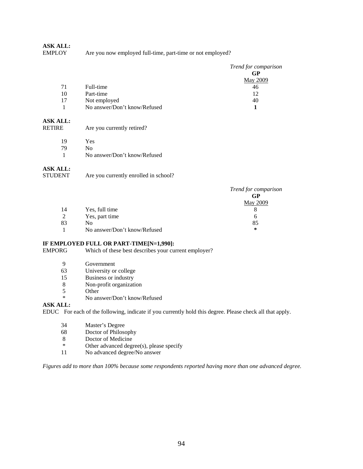Are you now employed full-time, part-time or not employed?

|    |                              | Trend for comparison |
|----|------------------------------|----------------------|
|    |                              | GP                   |
|    |                              | May 2009             |
| 71 | Full-time                    | 46                   |
| 10 | Part-time                    | 12                   |
| 17 | Not employed                 | 40                   |
|    | No answer/Don't know/Refused |                      |

# **ASK ALL:**

| RETIRE |  | Are you currently retired? |
|--------|--|----------------------------|
|--------|--|----------------------------|

19 Yes<br>
79 No  $N<sub>0</sub>$ 

1 No answer/Don't know/Refused

# **ASK ALL:**

| STUDENT | Are you currently enrolled in school? |
|---------|---------------------------------------|
|         |                                       |

|    |                              | Trend for comparison |
|----|------------------------------|----------------------|
|    |                              | GP                   |
|    |                              | May 2009             |
| 14 | Yes, full time               |                      |
| 2  | Yes, part time               | O                    |
| 83 | N <sub>0</sub>               | 85                   |
|    | No answer/Don't know/Refused | $\ast$               |

#### **IF EMPLOYED FULL OR PART-TIME[N=1,990]:**

EMPORG Which of these best describes your current employer?

- 9 Government
- 63 University or college
- 15 Business or industry
- 8 Non-profit organization
- 5 Other
- \* No answer/Don't know/Refused

#### **ASK ALL:**

EDUC For each of the following, indicate if you currently hold this degree. Please check all that apply.

- 34 Master's Degree<br>68 Doctor of Philoso
- Doctor of Philosophy
- 8 Doctor of Medicine<br>  $*$  Other advanced degrees
- \* Other advanced degree(s), please specify<br>11 No advanced degree/No answer
- No advanced degree/No answer

*Figures add to more than 100% because some respondents reported having more than one advanced degree.*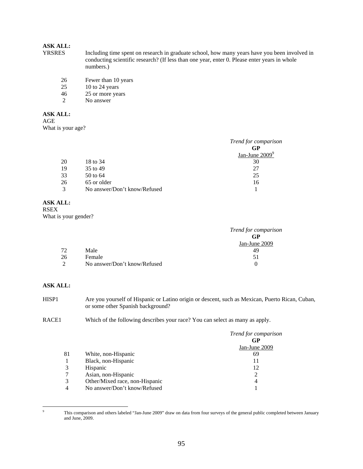- Including time spent on research in graduate school, how many years have you been involved in conducting scientific research? (If less than one year, enter 0. Please enter years in whole numbers.)
	- 26 Fewer than 10 years<br>25 10 to 24 years
	- $10$  to  $24$  years
	- 46 25 or more years
	- 2 No answer

### **ASK ALL:**

AGE

What is your age?

|    |                              | Trend for comparison |
|----|------------------------------|----------------------|
|    |                              | GP                   |
|    |                              | Jan-June $2009^9$    |
| 20 | 18 to 34                     | 30                   |
| 19 | 35 to 49                     | 27                   |
| 33 | 50 to 64                     | 25                   |
| 26 | 65 or older                  | 16                   |
| 3  | No answer/Don't know/Refused |                      |

# **ASK ALL:**

RSEX What is your gender?

|          |                              | Trend for comparison |
|----------|------------------------------|----------------------|
|          |                              | GP                   |
|          |                              | Jan-June 2009        |
| 72       | Male                         | 49                   |
| 26       | Female                       | 51                   |
| $\gamma$ | No answer/Don't know/Refused | $\theta$             |

# **ASK ALL:**

| HISP1 | Are you yourself of Hispanic or Latino origin or descent, such as Mexican, Puerto Rican, Cuban, |
|-------|-------------------------------------------------------------------------------------------------|
|       | or some other Spanish background?                                                               |

RACE1 Which of the following describes your race? You can select as many as apply.

|    |                                | Trend for comparison<br>GP |
|----|--------------------------------|----------------------------|
|    |                                | Jan-June 2009              |
| 81 | White, non-Hispanic            | 69                         |
|    | Black, non-Hispanic            | 11                         |
| 3  | Hispanic                       | 12                         |
|    | Asian, non-Hispanic            | 2                          |
| 3  | Other/Mixed race, non-Hispanic | 4                          |
| 4  | No answer/Don't know/Refused   |                            |

<sup>-&</sup>lt;br>9 This comparison and others labeled "Jan-June 2009" draw on data from four surveys of the general public completed between January and June, 2009.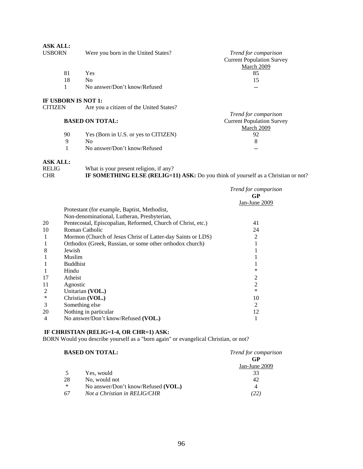| <b>ASK ALL:</b><br><b>USBORN</b>      | Were you born in the United States?     | <i>Trend for comparison</i><br><b>Current Population Survey</b><br>March 2009 |
|---------------------------------------|-----------------------------------------|-------------------------------------------------------------------------------|
| 81                                    | <b>Yes</b>                              | 85                                                                            |
| 18                                    | N <sub>0</sub>                          | 15                                                                            |
|                                       | No answer/Don't know/Refused            | --                                                                            |
| IF USBORN IS NOT 1:<br><b>CITIZEN</b> | Are you a citizen of the United States? |                                                                               |

|    | <b>BASED ON TOTAL:</b>               | <i>Trend for comparison</i><br><b>Current Population Survey</b> |
|----|--------------------------------------|-----------------------------------------------------------------|
|    |                                      | March 2009                                                      |
| 90 | Yes (Born in U.S. or yes to CITIZEN) | 92                                                              |
| Q  | Nο                                   |                                                                 |
|    | No answer/Don't know/Refused         | --                                                              |

| <b>RELIG</b> | What is your present religion, if any?                                                   |
|--------------|------------------------------------------------------------------------------------------|
| <b>CHR</b>   | <b>IF SOMETHING ELSE (RELIG=11) ASK:</b> Do you think of yourself as a Christian or not? |

|    |                                                              | Trend for comparison<br>GP |
|----|--------------------------------------------------------------|----------------------------|
|    |                                                              | $Jan$ -June $2009$         |
|    | Protestant (for example, Baptist, Methodist,                 |                            |
|    | Non-denominational, Lutheran, Presbyterian,                  |                            |
| 20 | Pentecostal, Episcopalian, Reformed, Church of Christ, etc.) | 41                         |
| 10 | Roman Catholic                                               | 24                         |
| 1  | Mormon (Church of Jesus Christ of Latter-day Saints or LDS)  | 2                          |
|    | Orthodox (Greek, Russian, or some other orthodox church)     |                            |
| 8  | Jewish                                                       |                            |
|    | Muslim                                                       |                            |
|    | <b>Buddhist</b>                                              |                            |
|    | Hindu                                                        | ∗                          |
| 17 | Atheist                                                      | 2                          |
| 11 | Agnostic                                                     | 2                          |
| 2  | Unitarian (VOL.)                                             | ∗                          |
| ∗  | Christian (VOL.)                                             | 10                         |
| 3  | Something else                                               | 2                          |
| 20 | Nothing in particular                                        | 12                         |
| 4  | No answer/Don't know/Refused (VOL.)                          |                            |

#### **IF CHRISTIAN (RELIG=1-4, OR CHR=1) ASK:**

BORN Would you describe yourself as a "born again" or evangelical Christian, or not?

|    | <b>BASED ON TOTAL:</b>              | <i>Trend for comparison</i> |  |
|----|-------------------------------------|-----------------------------|--|
|    |                                     | GP                          |  |
|    |                                     | Jan-June 2009               |  |
| 5  | Yes, would                          | 33                          |  |
| 28 | No, would not                       | 42                          |  |
| ∗  | No answer/Don't know/Refused (VOL.) | 4                           |  |
| 67 | Not a Christian in RELIG/CHR        | (22)                        |  |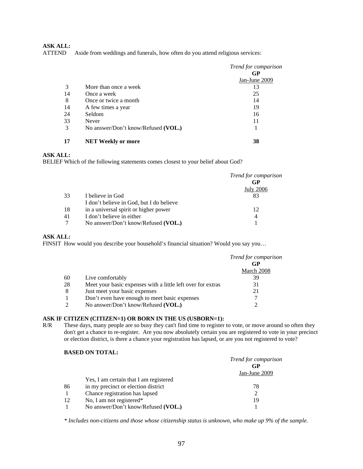ATTEND Aside from weddings and funerals, how often do you attend religious services:

|     |                                     | Trend for comparison |
|-----|-------------------------------------|----------------------|
|     |                                     | GP                   |
|     |                                     | $Jan$ -June $2009$   |
| 3   | More than once a week               | 13                   |
| 14  | Once a week                         | 25                   |
| 8   | Once or twice a month               | 14                   |
| -14 | A few times a year                  | 19                   |
| 24  | Seldom                              | 16                   |
| 33  | Never                               | 11                   |
| 3   | No answer/Don't know/Refused (VOL.) |                      |
| 17  | <b>NET Weekly or more</b>           | 38                   |

#### **ASK ALL:**

BELIEF Which of the following statements comes closest to your belief about God?

|     |                                          | Trend for comparison |
|-----|------------------------------------------|----------------------|
|     |                                          | GP                   |
|     |                                          | <b>July 2006</b>     |
| 33  | I believe in God                         |                      |
|     | I don't believe in God, but I do believe |                      |
| -18 | in a universal spirit or higher power    | 12                   |
| 41  | I don't believe in either                | 4                    |
|     | No answer/Don't know/Refused (VOL.)      |                      |

# **ASK ALL:**

FINSIT How would you describe your household's financial situation? Would you say you…

|               |                                                             | <i>Trend for comparison</i><br>GP |
|---------------|-------------------------------------------------------------|-----------------------------------|
|               |                                                             | March 2008                        |
| 60            | Live comfortably                                            | 39                                |
| 28            | Meet your basic expenses with a little left over for extras | 31                                |
| 8             | Just meet your basic expenses                               | 21                                |
|               | Don't even have enough to meet basic expenses               |                                   |
| $\mathcal{L}$ | No answer/Don't know/Refused (VOL.)                         |                                   |

#### **ASK IF CITIZEN (CITIZEN=1) OR BORN IN THE US (USBORN=1):**

R/R These days, many people are so busy they can't find time to register to vote, or move around so often they don't get a chance to re-register. Are you now absolutely certain you are registered to vote in your precinct or election district, is there a chance your registration has lapsed, or are you not registered to vote?

# **BASED ON TOTAL:**

|              |                                        | Trend for comparison<br>GP |
|--------------|----------------------------------------|----------------------------|
|              |                                        | Jan-June 2009              |
|              | Yes, I am certain that I am registered |                            |
| 86           | in my precinct or election district    | 78                         |
| $\mathbf{1}$ | Chance registration has lapsed         | 2                          |
| 12           | No, I am not registered*               | 19                         |
|              | No answer/Don't know/Refused (VOL.)    |                            |

*\* Includes non-citizens and those whose citizenship status is unknown, who make up 9% of the sample.*